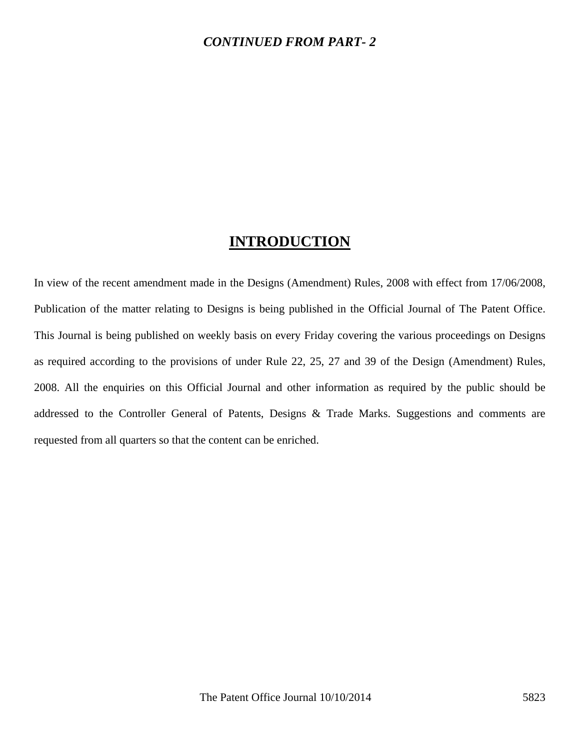## **INTRODUCTION**

In view of the recent amendment made in the Designs (Amendment) Rules, 2008 with effect from 17/06/2008, Publication of the matter relating to Designs is being published in the Official Journal of The Patent Office. This Journal is being published on weekly basis on every Friday covering the various proceedings on Designs as required according to the provisions of under Rule 22, 25, 27 and 39 of the Design (Amendment) Rules, 2008. All the enquiries on this Official Journal and other information as required by the public should be addressed to the Controller General of Patents, Designs & Trade Marks. Suggestions and comments are requested from all quarters so that the content can be enriched.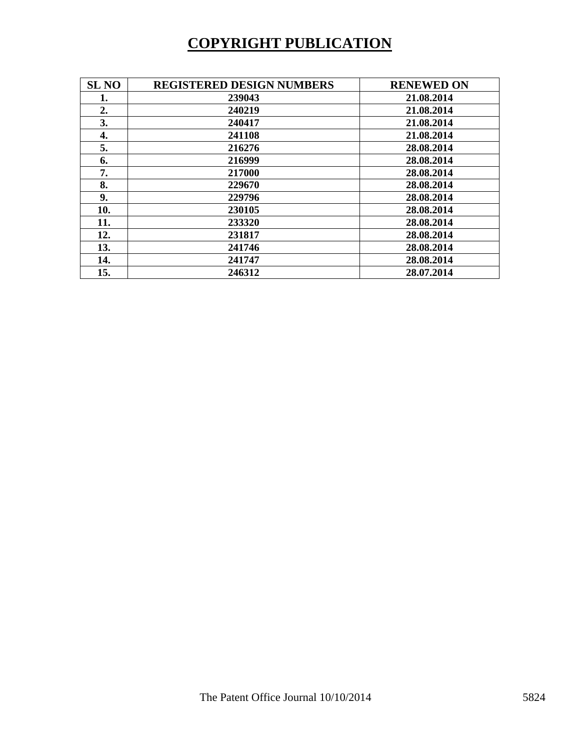## **COPYRIGHT PUBLICATION**

| <b>SL NO</b> | <b>REGISTERED DESIGN NUMBERS</b> | <b>RENEWED ON</b> |
|--------------|----------------------------------|-------------------|
| 1.           | 239043                           | 21.08.2014        |
| 2.           | 240219                           | 21.08.2014        |
| 3.           | 240417                           | 21.08.2014        |
| 4.           | 241108                           | 21.08.2014        |
| 5.           | 216276                           | 28.08.2014        |
| 6.           | 216999                           | 28.08.2014        |
| 7.           | 217000                           | 28.08.2014        |
| 8.           | 229670                           | 28.08.2014        |
| 9.           | 229796                           | 28.08.2014        |
| 10.          | 230105                           | 28.08.2014        |
| 11.          | 233320                           | 28.08.2014        |
| 12.          | 231817                           | 28.08.2014        |
| 13.          | 241746                           | 28.08.2014        |
| 14.          | 241747                           | 28.08.2014        |
| 15.          | 246312                           | 28.07.2014        |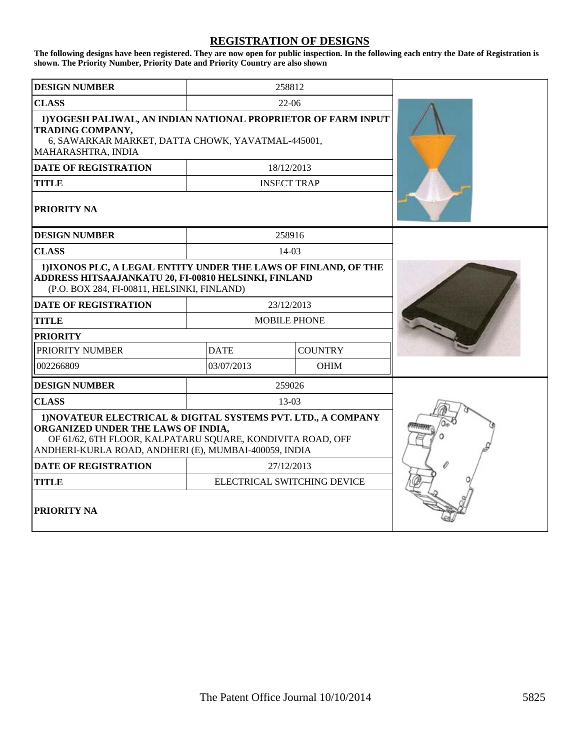## **REGISTRATION OF DESIGNS**

**The following designs have been registered. They are now open for public inspection. In the following each entry the Date of Registration is shown. The Priority Number, Priority Date and Priority Country are also shown**

| <b>DESIGN NUMBER</b>                                                                                                                                                                                                       |             | 258812              |  |
|----------------------------------------------------------------------------------------------------------------------------------------------------------------------------------------------------------------------------|-------------|---------------------|--|
| <b>CLASS</b>                                                                                                                                                                                                               | $22-06$     |                     |  |
| 1) YOGESH PALIWAL, AN INDIAN NATIONAL PROPRIETOR OF FARM INPUT<br><b>TRADING COMPANY,</b><br>6, SAWARKAR MARKET, DATTA CHOWK, YAVATMAL-445001,<br>MAHARASHTRA, INDIA                                                       |             |                     |  |
| <b>DATE OF REGISTRATION</b>                                                                                                                                                                                                |             | 18/12/2013          |  |
| <b>TITLE</b>                                                                                                                                                                                                               |             | <b>INSECT TRAP</b>  |  |
| <b>PRIORITY NA</b>                                                                                                                                                                                                         |             |                     |  |
| <b>DESIGN NUMBER</b>                                                                                                                                                                                                       |             | 258916              |  |
| <b>CLASS</b>                                                                                                                                                                                                               |             | $14-03$             |  |
| 1) IXONOS PLC, A LEGAL ENTITY UNDER THE LAWS OF FINLAND, OF THE<br>ADDRESS HITSAAJANKATU 20, FI-00810 HELSINKI, FINLAND<br>(P.O. BOX 284, FI-00811, HELSINKI, FINLAND)                                                     |             |                     |  |
| <b>DATE OF REGISTRATION</b>                                                                                                                                                                                                |             | 23/12/2013          |  |
| <b>TITLE</b>                                                                                                                                                                                                               |             | <b>MOBILE PHONE</b> |  |
| <b>PRIORITY</b>                                                                                                                                                                                                            |             |                     |  |
| PRIORITY NUMBER                                                                                                                                                                                                            | <b>DATE</b> | <b>COUNTRY</b>      |  |
| 002266809                                                                                                                                                                                                                  | 03/07/2013  | <b>OHIM</b>         |  |
| <b>DESIGN NUMBER</b>                                                                                                                                                                                                       |             | 259026              |  |
| <b>CLASS</b>                                                                                                                                                                                                               |             | $13-03$             |  |
| 1) NOVATEUR ELECTRICAL & DIGITAL SYSTEMS PVT. LTD., A COMPANY<br>ORGANIZED UNDER THE LAWS OF INDIA,<br>OF 61/62, 6TH FLOOR, KALPATARU SQUARE, KONDIVITA ROAD, OFF<br>ANDHERI-KURLA ROAD, ANDHERI (E), MUMBAI-400059, INDIA |             |                     |  |
| <b>DATE OF REGISTRATION</b>                                                                                                                                                                                                |             | 27/12/2013          |  |
| <b>TITLE</b><br>ELECTRICAL SWITCHING DEVICE                                                                                                                                                                                |             |                     |  |
| <b>PRIORITY NA</b>                                                                                                                                                                                                         |             |                     |  |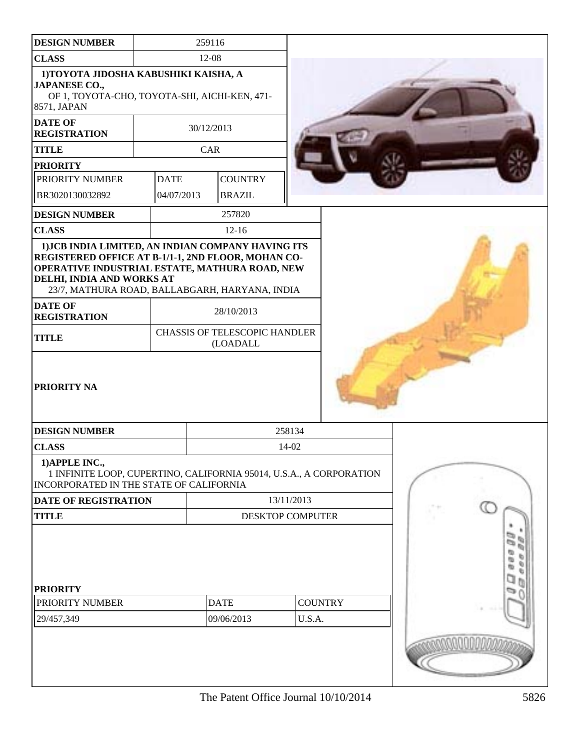| <b>DESIGN NUMBER</b>                                                                                                                                                                                                                      | 259116                       |                                           |                         |            |                |  |    |
|-------------------------------------------------------------------------------------------------------------------------------------------------------------------------------------------------------------------------------------------|------------------------------|-------------------------------------------|-------------------------|------------|----------------|--|----|
| <b>CLASS</b>                                                                                                                                                                                                                              |                              | 12-08                                     |                         |            |                |  |    |
| 1) TOYOTA JIDOSHA KABUSHIKI KAISHA, A<br><b>JAPANESE CO.,</b><br>OF 1, TOYOTA-CHO, TOYOTA-SHI, AICHI-KEN, 471-                                                                                                                            |                              |                                           |                         |            |                |  |    |
| 8571, JAPAN                                                                                                                                                                                                                               |                              |                                           |                         |            |                |  |    |
| <b>REGISTRATION</b>                                                                                                                                                                                                                       | <b>DATE OF</b><br>30/12/2013 |                                           |                         |            |                |  |    |
| <b>TITLE</b>                                                                                                                                                                                                                              |                              | CAR                                       |                         |            |                |  |    |
| <b>PRIORITY</b>                                                                                                                                                                                                                           |                              |                                           |                         |            |                |  |    |
| PRIORITY NUMBER                                                                                                                                                                                                                           | <b>DATE</b>                  | <b>COUNTRY</b>                            |                         |            |                |  |    |
| BR3020130032892                                                                                                                                                                                                                           | 04/07/2013                   | <b>BRAZIL</b>                             |                         |            |                |  |    |
| <b>DESIGN NUMBER</b>                                                                                                                                                                                                                      |                              | 257820                                    |                         |            |                |  |    |
| <b>CLASS</b>                                                                                                                                                                                                                              |                              | $12-16$                                   |                         |            |                |  |    |
| 1) JCB INDIA LIMITED, AN INDIAN COMPANY HAVING ITS<br>REGISTERED OFFICE AT B-1/1-1, 2ND FLOOR, MOHAN CO-<br>OPERATIVE INDUSTRIAL ESTATE, MATHURA ROAD, NEW<br>DELHI, INDIA AND WORKS AT<br>23/7, MATHURA ROAD, BALLABGARH, HARYANA, INDIA |                              |                                           |                         |            |                |  |    |
| <b>DATE OF</b><br><b>REGISTRATION</b>                                                                                                                                                                                                     | 28/10/2013                   |                                           |                         |            |                |  |    |
| <b>TITLE</b>                                                                                                                                                                                                                              |                              | CHASSIS OF TELESCOPIC HANDLER<br>(LOADALL |                         |            |                |  |    |
| PRIORITY NA                                                                                                                                                                                                                               |                              |                                           |                         |            |                |  |    |
| <b>DESIGN NUMBER</b>                                                                                                                                                                                                                      |                              |                                           |                         | 258134     |                |  |    |
| <b>CLASS</b>                                                                                                                                                                                                                              |                              |                                           |                         | 14-02      |                |  |    |
| 1) APPLE INC.,<br>1 INFINITE LOOP, CUPERTINO, CALIFORNIA 95014, U.S.A., A CORPORATION<br>INCORPORATED IN THE STATE OF CALIFORNIA                                                                                                          |                              |                                           |                         |            |                |  |    |
| <b>DATE OF REGISTRATION</b>                                                                                                                                                                                                               |                              |                                           |                         | 13/11/2013 |                |  |    |
| <b>TITLE</b>                                                                                                                                                                                                                              |                              |                                           | <b>DESKTOP COMPUTER</b> |            |                |  |    |
| <b>PRIORITY</b><br>PRIORITY NUMBER<br>29/457,349                                                                                                                                                                                          |                              | <b>DATE</b><br>09/06/2013                 |                         | U.S.A.     | <b>COUNTRY</b> |  | a, |
|                                                                                                                                                                                                                                           |                              |                                           |                         |            |                |  |    |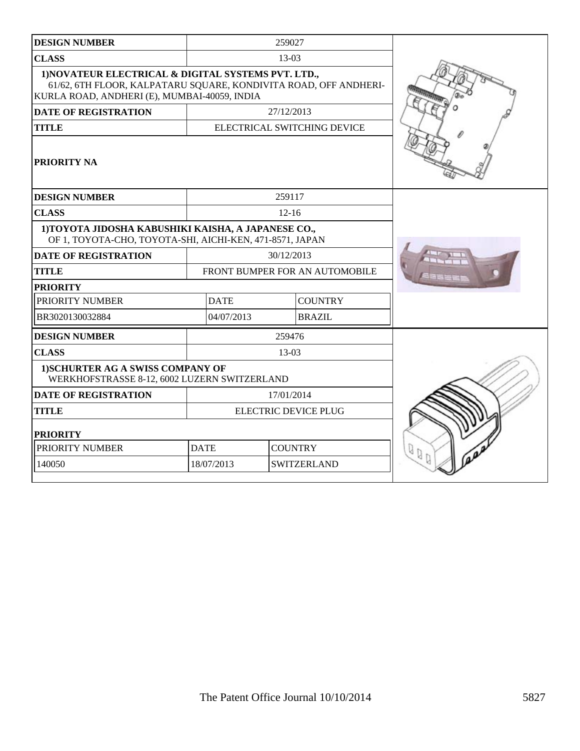| <b>DESIGN NUMBER</b>                                                                                                                                                    |                             | 259027     |                                |         |
|-------------------------------------------------------------------------------------------------------------------------------------------------------------------------|-----------------------------|------------|--------------------------------|---------|
| <b>CLASS</b>                                                                                                                                                            |                             | $13-03$    |                                |         |
| 1) NOVATEUR ELECTRICAL & DIGITAL SYSTEMS PVT. LTD.,<br>61/62, 6TH FLOOR, KALPATARU SQUARE, KONDIVITA ROAD, OFF ANDHERI-<br>KURLA ROAD, ANDHERI (E), MUMBAI-40059, INDIA |                             |            |                                |         |
| <b>DATE OF REGISTRATION</b>                                                                                                                                             |                             | 27/12/2013 |                                |         |
| <b>TITLE</b>                                                                                                                                                            | ELECTRICAL SWITCHING DEVICE |            |                                |         |
| <b>PRIORITY NA</b>                                                                                                                                                      |                             |            |                                |         |
| <b>DESIGN NUMBER</b>                                                                                                                                                    |                             | 259117     |                                |         |
| <b>CLASS</b>                                                                                                                                                            |                             | $12 - 16$  |                                |         |
| 1) TOYOTA JIDOSHA KABUSHIKI KAISHA, A JAPANESE CO.,<br>OF 1, TOYOTA-CHO, TOYOTA-SHI, AICHI-KEN, 471-8571, JAPAN                                                         |                             |            |                                |         |
| <b>DATE OF REGISTRATION</b>                                                                                                                                             |                             | 30/12/2013 |                                |         |
| <b>TITLE</b>                                                                                                                                                            |                             |            | FRONT BUMPER FOR AN AUTOMOBILE |         |
| <b>PRIORITY</b>                                                                                                                                                         |                             |            |                                |         |
| PRIORITY NUMBER                                                                                                                                                         | <b>DATE</b>                 |            | <b>COUNTRY</b>                 |         |
| BR3020130032884                                                                                                                                                         | 04/07/2013                  |            | <b>BRAZIL</b>                  |         |
| <b>DESIGN NUMBER</b>                                                                                                                                                    |                             | 259476     |                                |         |
| <b>CLASS</b>                                                                                                                                                            |                             | 13-03      |                                |         |
| 1) SCHURTER AG A SWISS COMPANY OF<br>WERKHOFSTRASSE 8-12, 6002 LUZERN SWITZERLAND                                                                                       |                             |            |                                |         |
| <b>DATE OF REGISTRATION</b>                                                                                                                                             |                             | 17/01/2014 |                                |         |
| <b>TITLE</b>                                                                                                                                                            | <b>ELECTRIC DEVICE PLUG</b> |            |                                |         |
| <b>PRIORITY</b>                                                                                                                                                         |                             |            |                                |         |
| PRIORITY NUMBER                                                                                                                                                         | <b>DATE</b>                 |            | <b>COUNTRY</b>                 | $Q_{Q}$ |
| 140050                                                                                                                                                                  | 18/07/2013                  |            | <b>SWITZERLAND</b>             |         |
|                                                                                                                                                                         |                             |            |                                |         |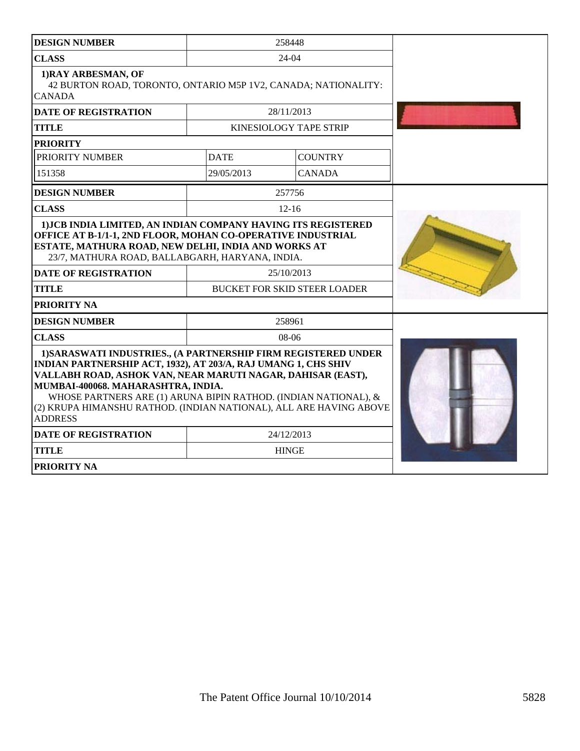| <b>DESIGN NUMBER</b>                                                                                                                                                                                                                                                                                                                                                                             | 258448      |                                                   |  |
|--------------------------------------------------------------------------------------------------------------------------------------------------------------------------------------------------------------------------------------------------------------------------------------------------------------------------------------------------------------------------------------------------|-------------|---------------------------------------------------|--|
| <b>CLASS</b>                                                                                                                                                                                                                                                                                                                                                                                     |             |                                                   |  |
| 1) RAY ARBESMAN, OF<br>42 BURTON ROAD, TORONTO, ONTARIO M5P 1V2, CANADA; NATIONALITY:<br><b>CANADA</b>                                                                                                                                                                                                                                                                                           |             |                                                   |  |
| <b>DATE OF REGISTRATION</b>                                                                                                                                                                                                                                                                                                                                                                      |             | 28/11/2013                                        |  |
| <b>TITLE</b>                                                                                                                                                                                                                                                                                                                                                                                     |             | KINESIOLOGY TAPE STRIP                            |  |
| <b>PRIORITY</b>                                                                                                                                                                                                                                                                                                                                                                                  |             |                                                   |  |
| PRIORITY NUMBER                                                                                                                                                                                                                                                                                                                                                                                  | <b>DATE</b> | <b>COUNTRY</b>                                    |  |
| 151358                                                                                                                                                                                                                                                                                                                                                                                           | 29/05/2013  | <b>CANADA</b>                                     |  |
| <b>DESIGN NUMBER</b>                                                                                                                                                                                                                                                                                                                                                                             |             | 257756                                            |  |
| <b>CLASS</b>                                                                                                                                                                                                                                                                                                                                                                                     |             | $12 - 16$                                         |  |
| 1) JCB INDIA LIMITED, AN INDIAN COMPANY HAVING ITS REGISTERED<br>OFFICE AT B-1/1-1, 2ND FLOOR, MOHAN CO-OPERATIVE INDUSTRIAL<br>ESTATE, MATHURA ROAD, NEW DELHI, INDIA AND WORKS AT<br>23/7, MATHURA ROAD, BALLABGARH, HARYANA, INDIA.<br><b>DATE OF REGISTRATION</b><br><b>TITLE</b><br>PRIORITY NA                                                                                             |             | 25/10/2013<br><b>BUCKET FOR SKID STEER LOADER</b> |  |
| <b>DESIGN NUMBER</b>                                                                                                                                                                                                                                                                                                                                                                             |             | 258961                                            |  |
| <b>CLASS</b>                                                                                                                                                                                                                                                                                                                                                                                     |             | $08-06$                                           |  |
| 1) SARASWATI INDUSTRIES., (A PARTNERSHIP FIRM REGISTERED UNDER<br>INDIAN PARTNERSHIP ACT, 1932), AT 203/A, RAJ UMANG 1, CHS SHIV<br>VALLABH ROAD, ASHOK VAN, NEAR MARUTI NAGAR, DAHISAR (EAST),<br>MUMBAI-400068. MAHARASHTRA, INDIA.<br>WHOSE PARTNERS ARE (1) ARUNA BIPIN RATHOD. (INDIAN NATIONAL), &<br>(2) KRUPA HIMANSHU RATHOD. (INDIAN NATIONAL), ALL ARE HAVING ABOVE<br><b>ADDRESS</b> |             |                                                   |  |
| <b>DATE OF REGISTRATION</b>                                                                                                                                                                                                                                                                                                                                                                      |             | 24/12/2013                                        |  |
| <b>TITLE</b>                                                                                                                                                                                                                                                                                                                                                                                     |             | <b>HINGE</b>                                      |  |
| PRIORITY NA                                                                                                                                                                                                                                                                                                                                                                                      |             |                                                   |  |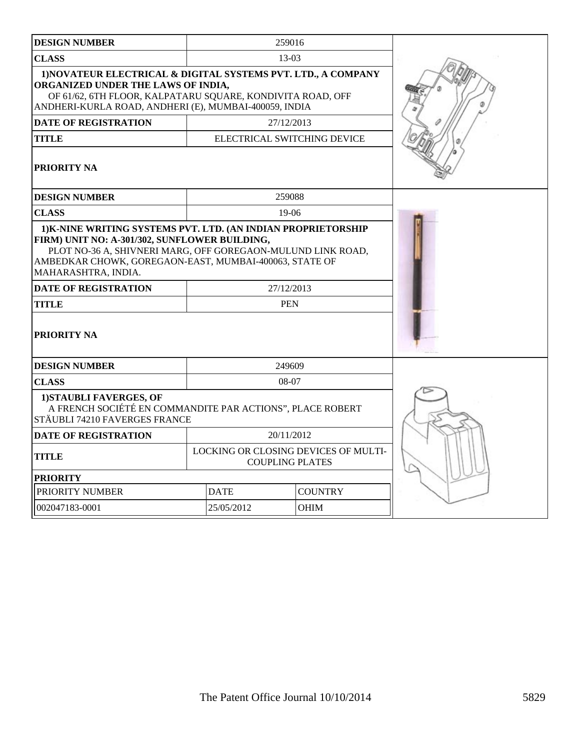| <b>DESIGN NUMBER</b>                                                                                                                                                                                                         |                                                                | 259016                      |                |  |
|------------------------------------------------------------------------------------------------------------------------------------------------------------------------------------------------------------------------------|----------------------------------------------------------------|-----------------------------|----------------|--|
| <b>CLASS</b>                                                                                                                                                                                                                 | $13-03$                                                        |                             |                |  |
| 1) NOVATEUR ELECTRICAL & DIGITAL SYSTEMS PVT. LTD., A COMPANY<br>ORGANIZED UNDER THE LAWS OF INDIA,<br>OF 61/62, 6TH FLOOR, KALPATARU SQUARE, KONDIVITA ROAD, OFF<br>ANDHERI-KURLA ROAD, ANDHERI (E), MUMBAI-400059, INDIA   |                                                                |                             |                |  |
| <b>DATE OF REGISTRATION</b>                                                                                                                                                                                                  |                                                                | 27/12/2013                  |                |  |
| <b>TITLE</b>                                                                                                                                                                                                                 |                                                                | ELECTRICAL SWITCHING DEVICE |                |  |
| <b>PRIORITY NA</b>                                                                                                                                                                                                           |                                                                |                             |                |  |
| <b>DESIGN NUMBER</b>                                                                                                                                                                                                         |                                                                | 259088                      |                |  |
| <b>CLASS</b>                                                                                                                                                                                                                 |                                                                | $19-06$                     |                |  |
| FIRM) UNIT NO: A-301/302, SUNFLOWER BUILDING,<br>PLOT NO-36 A, SHIVNERI MARG, OFF GOREGAON-MULUND LINK ROAD,<br>AMBEDKAR CHOWK, GOREGAON-EAST, MUMBAI-400063, STATE OF<br>MAHARASHTRA. INDIA.<br><b>DATE OF REGISTRATION</b> |                                                                |                             |                |  |
| <b>TITLE</b>                                                                                                                                                                                                                 | <b>PEN</b>                                                     |                             |                |  |
| PRIORITY NA                                                                                                                                                                                                                  |                                                                |                             |                |  |
| <b>DESIGN NUMBER</b>                                                                                                                                                                                                         |                                                                | 249609                      |                |  |
| <b>CLASS</b>                                                                                                                                                                                                                 |                                                                | 08-07                       |                |  |
| 1) STAUBLI FAVERGES, OF<br>A FRENCH SOCIÉTÉ EN COMMANDITE PAR ACTIONS", PLACE ROBERT<br>STÄUBLI 74210 FAVERGES FRANCE                                                                                                        |                                                                |                             |                |  |
| <b>DATE OF REGISTRATION</b>                                                                                                                                                                                                  | 20/11/2012                                                     |                             |                |  |
| TITLE                                                                                                                                                                                                                        | LOCKING OR CLOSING DEVICES OF MULTI-<br><b>COUPLING PLATES</b> |                             |                |  |
| <b>PRIORITY</b>                                                                                                                                                                                                              |                                                                |                             |                |  |
| PRIORITY NUMBER                                                                                                                                                                                                              |                                                                | <b>DATE</b>                 | <b>COUNTRY</b> |  |
| 002047183-0001                                                                                                                                                                                                               |                                                                | 25/05/2012                  |                |  |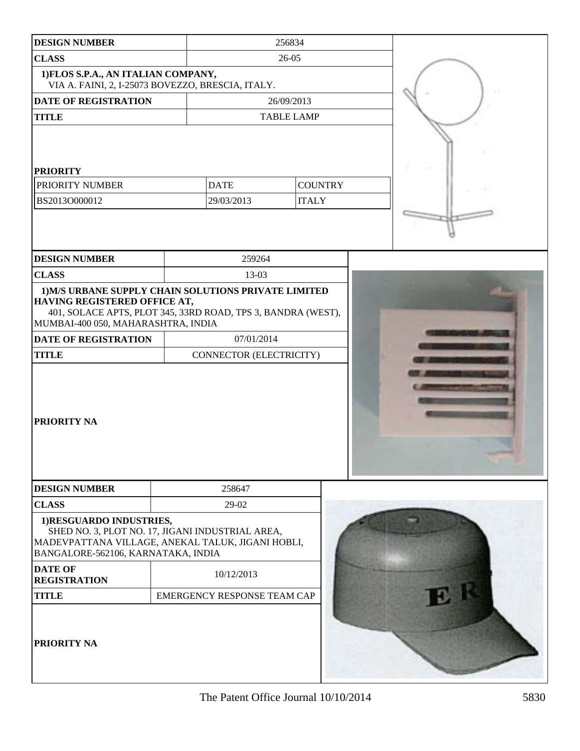| <b>DESIGN NUMBER</b>                                                                                                                                                   |  | 256834                      |                   |  |  |
|------------------------------------------------------------------------------------------------------------------------------------------------------------------------|--|-----------------------------|-------------------|--|--|
| <b>CLASS</b>                                                                                                                                                           |  | 26-05                       |                   |  |  |
| 1) FLOS S.P.A., AN ITALIAN COMPANY,<br>VIA A. FAINI, 2, I-25073 BOVEZZO, BRESCIA, ITALY.                                                                               |  |                             |                   |  |  |
| <b>DATE OF REGISTRATION</b>                                                                                                                                            |  |                             | 26/09/2013        |  |  |
| <b>TITLE</b>                                                                                                                                                           |  |                             | <b>TABLE LAMP</b> |  |  |
| <b>PRIORITY</b><br>PRIORITY NUMBER                                                                                                                                     |  | <b>DATE</b>                 | <b>COUNTRY</b>    |  |  |
| BS2013O000012                                                                                                                                                          |  | 29/03/2013                  | <b>ITALY</b>      |  |  |
|                                                                                                                                                                        |  |                             |                   |  |  |
| <b>DESIGN NUMBER</b>                                                                                                                                                   |  | 259264                      |                   |  |  |
| <b>CLASS</b>                                                                                                                                                           |  | 13-03                       |                   |  |  |
| 1) M/S URBANE SUPPLY CHAIN SOLUTIONS PRIVATE LIMITED<br>HAVING REGISTERED OFFICE AT,<br>401, SOLACE APTS, PLOT 345, 33RD ROAD, TPS 3, BANDRA (WEST),                   |  |                             |                   |  |  |
| MUMBAI-400 050, MAHARASHTRA, INDIA                                                                                                                                     |  |                             |                   |  |  |
| <b>DATE OF REGISTRATION</b>                                                                                                                                            |  | 07/01/2014                  |                   |  |  |
| <b>TITLE</b>                                                                                                                                                           |  | CONNECTOR (ELECTRICITY)     |                   |  |  |
| <b>PRIORITY NA</b>                                                                                                                                                     |  |                             |                   |  |  |
| <b>DESIGN NUMBER</b>                                                                                                                                                   |  | 258647                      |                   |  |  |
| <b>CLASS</b>                                                                                                                                                           |  | 29-02                       |                   |  |  |
| 1)RESGUARDO INDUSTRIES,<br>SHED NO. 3, PLOT NO. 17, JIGANI INDUSTRIAL AREA,<br>MADEVPATTANA VILLAGE, ANEKAL TALUK, JIGANI HOBLI,<br>BANGALORE-562106, KARNATAKA, INDIA |  |                             |                   |  |  |
| <b>DATE OF</b><br><b>REGISTRATION</b>                                                                                                                                  |  | 10/12/2013                  |                   |  |  |
| <b>TITLE</b>                                                                                                                                                           |  | EMERGENCY RESPONSE TEAM CAP |                   |  |  |
| <b>PRIORITY NA</b>                                                                                                                                                     |  |                             |                   |  |  |

The Patent Office Journal  $10/10/2014$  5830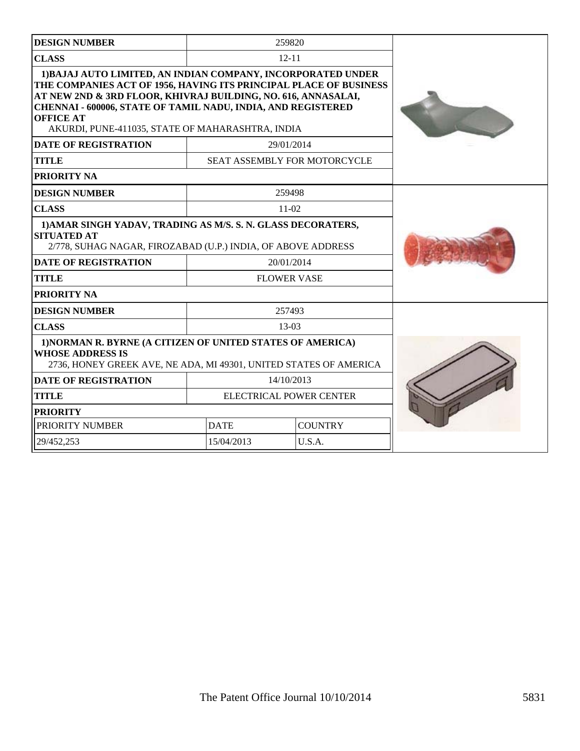| <b>DESIGN NUMBER</b>                                                                                                                                                                                                                                                                                                                              |             | 259820                       |  |
|---------------------------------------------------------------------------------------------------------------------------------------------------------------------------------------------------------------------------------------------------------------------------------------------------------------------------------------------------|-------------|------------------------------|--|
| <b>CLASS</b>                                                                                                                                                                                                                                                                                                                                      |             | $12 - 11$                    |  |
| 1) BAJAJ AUTO LIMITED, AN INDIAN COMPANY, INCORPORATED UNDER<br>THE COMPANIES ACT OF 1956, HAVING ITS PRINCIPAL PLACE OF BUSINESS<br>AT NEW 2ND & 3RD FLOOR, KHIVRAJ BUILDING, NO. 616, ANNASALAI,<br><b>CHENNAI - 600006, STATE OF TAMIL NADU, INDIA, AND REGISTERED</b><br><b>OFFICE AT</b><br>AKURDI, PUNE-411035, STATE OF MAHARASHTRA, INDIA |             |                              |  |
| <b>DATE OF REGISTRATION</b>                                                                                                                                                                                                                                                                                                                       |             | 29/01/2014                   |  |
| <b>TITLE</b>                                                                                                                                                                                                                                                                                                                                      |             | SEAT ASSEMBLY FOR MOTORCYCLE |  |
| PRIORITY NA                                                                                                                                                                                                                                                                                                                                       |             |                              |  |
| <b>DESIGN NUMBER</b>                                                                                                                                                                                                                                                                                                                              |             | 259498                       |  |
| <b>CLASS</b>                                                                                                                                                                                                                                                                                                                                      |             | $11-02$                      |  |
| 1) AMAR SINGH YADAV, TRADING AS M/S. S. N. GLASS DECORATERS,<br><b>SITUATED AT</b><br>2/778, SUHAG NAGAR, FIROZABAD (U.P.) INDIA, OF ABOVE ADDRESS                                                                                                                                                                                                |             |                              |  |
| <b>DATE OF REGISTRATION</b>                                                                                                                                                                                                                                                                                                                       |             | 20/01/2014                   |  |
| <b>TITLE</b>                                                                                                                                                                                                                                                                                                                                      |             | <b>FLOWER VASE</b>           |  |
| PRIORITY NA                                                                                                                                                                                                                                                                                                                                       |             |                              |  |
| <b>DESIGN NUMBER</b>                                                                                                                                                                                                                                                                                                                              |             | 257493                       |  |
| <b>CLASS</b>                                                                                                                                                                                                                                                                                                                                      |             | $13-03$                      |  |
| 1) NORMAN R. BYRNE (A CITIZEN OF UNITED STATES OF AMERICA)<br><b>WHOSE ADDRESS IS</b><br>2736, HONEY GREEK AVE, NE ADA, MI 49301, UNITED STATES OF AMERICA                                                                                                                                                                                        |             |                              |  |
| <b>DATE OF REGISTRATION</b>                                                                                                                                                                                                                                                                                                                       |             | 14/10/2013                   |  |
| <b>TITLE</b>                                                                                                                                                                                                                                                                                                                                      |             | ELECTRICAL POWER CENTER      |  |
| <b>PRIORITY</b>                                                                                                                                                                                                                                                                                                                                   |             |                              |  |
| PRIORITY NUMBER                                                                                                                                                                                                                                                                                                                                   | <b>DATE</b> | <b>COUNTRY</b>               |  |
| 29/452,253                                                                                                                                                                                                                                                                                                                                        | 15/04/2013  | U.S.A.                       |  |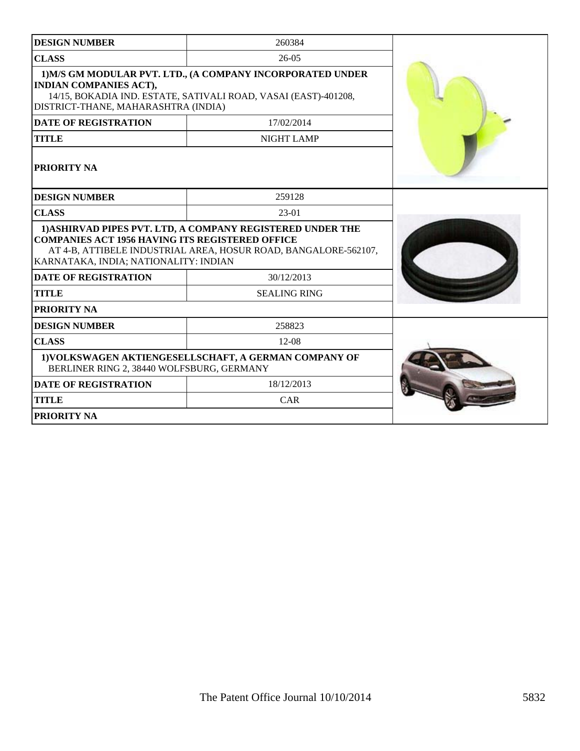| <b>DESIGN NUMBER</b>                                                                                                                                                                                  | 260384                                                                                                                        |  |
|-------------------------------------------------------------------------------------------------------------------------------------------------------------------------------------------------------|-------------------------------------------------------------------------------------------------------------------------------|--|
| <b>CLASS</b>                                                                                                                                                                                          | $26-05$                                                                                                                       |  |
| 1) M/S GM MODULAR PVT, LTD., (A COMPANY INCORPORATED UNDER<br><b>INDIAN COMPANIES ACT),</b><br>14/15, BOKADIA IND. ESTATE, SATIVALI ROAD, VASAI (EAST)-401208,<br>DISTRICT-THANE, MAHARASHTRA (INDIA) |                                                                                                                               |  |
| <b>DATE OF REGISTRATION</b>                                                                                                                                                                           | 17/02/2014                                                                                                                    |  |
| <b>TITLE</b>                                                                                                                                                                                          | <b>NIGHT LAMP</b>                                                                                                             |  |
| <b>PRIORITY NA</b>                                                                                                                                                                                    |                                                                                                                               |  |
| <b>DESIGN NUMBER</b>                                                                                                                                                                                  | 259128                                                                                                                        |  |
| <b>CLASS</b>                                                                                                                                                                                          | 23-01                                                                                                                         |  |
| <b>COMPANIES ACT 1956 HAVING ITS REGISTERED OFFICE</b><br>KARNATAKA, INDIA; NATIONALITY: INDIAN                                                                                                       | 1) ASHIRVAD PIPES PVT. LTD, A COMPANY REGISTERED UNDER THE<br>AT 4-B, ATTIBELE INDUSTRIAL AREA, HOSUR ROAD, BANGALORE-562107, |  |
| <b>DATE OF REGISTRATION</b>                                                                                                                                                                           | 30/12/2013                                                                                                                    |  |
| <b>TITLE</b>                                                                                                                                                                                          | <b>SEALING RING</b>                                                                                                           |  |
| PRIORITY NA                                                                                                                                                                                           |                                                                                                                               |  |
| <b>DESIGN NUMBER</b>                                                                                                                                                                                  | 258823                                                                                                                        |  |
| <b>CLASS</b>                                                                                                                                                                                          | $12-08$                                                                                                                       |  |
| BERLINER RING 2, 38440 WOLFSBURG, GERMANY                                                                                                                                                             | 1) VOLKSWAGEN AKTIENGESELLSCHAFT, A GERMAN COMPANY OF                                                                         |  |
| <b>DATE OF REGISTRATION</b>                                                                                                                                                                           |                                                                                                                               |  |
| <b>TITLE</b>                                                                                                                                                                                          | CAR                                                                                                                           |  |
| PRIORITY NA                                                                                                                                                                                           |                                                                                                                               |  |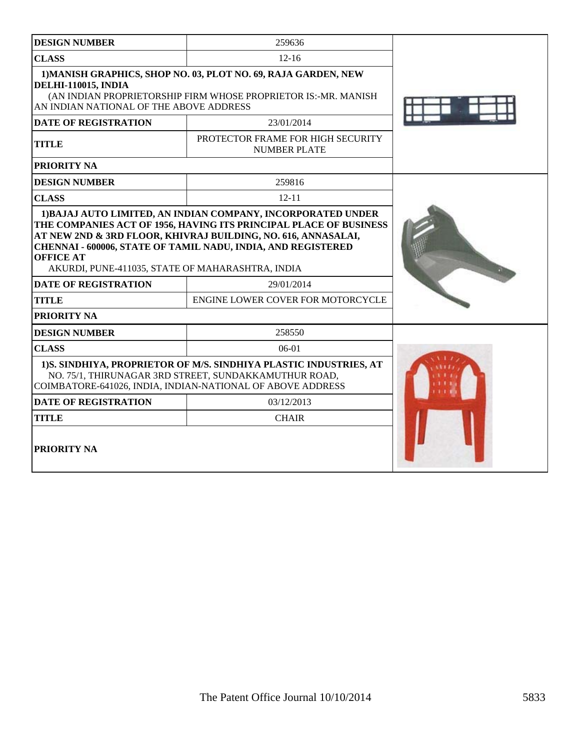| <b>DESIGN NUMBER</b>                                                                                                                                                                                                                                                                                                                       | 259636                                                   |  |  |  |  |
|--------------------------------------------------------------------------------------------------------------------------------------------------------------------------------------------------------------------------------------------------------------------------------------------------------------------------------------------|----------------------------------------------------------|--|--|--|--|
| <b>CLASS</b>                                                                                                                                                                                                                                                                                                                               | $12 - 16$                                                |  |  |  |  |
| 1) MANISH GRAPHICS, SHOP NO. 03, PLOT NO. 69, RAJA GARDEN, NEW<br><b>DELHI-110015, INDIA</b><br>(AN INDIAN PROPRIETORSHIP FIRM WHOSE PROPRIETOR IS:-MR. MANISH<br>AN INDIAN NATIONAL OF THE ABOVE ADDRESS                                                                                                                                  |                                                          |  |  |  |  |
| <b>DATE OF REGISTRATION</b>                                                                                                                                                                                                                                                                                                                | 23/01/2014                                               |  |  |  |  |
| <b>TITLE</b>                                                                                                                                                                                                                                                                                                                               | PROTECTOR FRAME FOR HIGH SECURITY<br><b>NUMBER PLATE</b> |  |  |  |  |
| PRIORITY NA                                                                                                                                                                                                                                                                                                                                |                                                          |  |  |  |  |
| <b>DESIGN NUMBER</b>                                                                                                                                                                                                                                                                                                                       | 259816                                                   |  |  |  |  |
| <b>CLASS</b>                                                                                                                                                                                                                                                                                                                               | $12 - 11$                                                |  |  |  |  |
| 1) BAJAJ AUTO LIMITED, AN INDIAN COMPANY, INCORPORATED UNDER<br>THE COMPANIES ACT OF 1956, HAVING ITS PRINCIPAL PLACE OF BUSINESS<br>AT NEW 2ND & 3RD FLOOR, KHIVRAJ BUILDING, NO. 616, ANNASALAI,<br>CHENNAI - 600006, STATE OF TAMIL NADU, INDIA, AND REGISTERED<br><b>OFFICE AT</b><br>AKURDI, PUNE-411035, STATE OF MAHARASHTRA, INDIA |                                                          |  |  |  |  |
| <b>DATE OF REGISTRATION</b>                                                                                                                                                                                                                                                                                                                | 29/01/2014                                               |  |  |  |  |
| <b>TITLE</b>                                                                                                                                                                                                                                                                                                                               | ENGINE LOWER COVER FOR MOTORCYCLE                        |  |  |  |  |
| PRIORITY NA                                                                                                                                                                                                                                                                                                                                |                                                          |  |  |  |  |
| <b>DESIGN NUMBER</b>                                                                                                                                                                                                                                                                                                                       | 258550                                                   |  |  |  |  |
| <b>CLASS</b>                                                                                                                                                                                                                                                                                                                               | $06-01$                                                  |  |  |  |  |
| 1) S. SINDHIYA, PROPRIETOR OF M/S. SINDHIYA PLASTIC INDUSTRIES, AT<br>NO. 75/1, THIRUNAGAR 3RD STREET, SUNDAKKAMUTHUR ROAD,<br>COIMBATORE-641026, INDIA, INDIAN-NATIONAL OF ABOVE ADDRESS                                                                                                                                                  |                                                          |  |  |  |  |
| <b>DATE OF REGISTRATION</b>                                                                                                                                                                                                                                                                                                                | 03/12/2013                                               |  |  |  |  |
| <b>TITLE</b>                                                                                                                                                                                                                                                                                                                               | <b>CHAIR</b>                                             |  |  |  |  |
| PRIORITY NA                                                                                                                                                                                                                                                                                                                                |                                                          |  |  |  |  |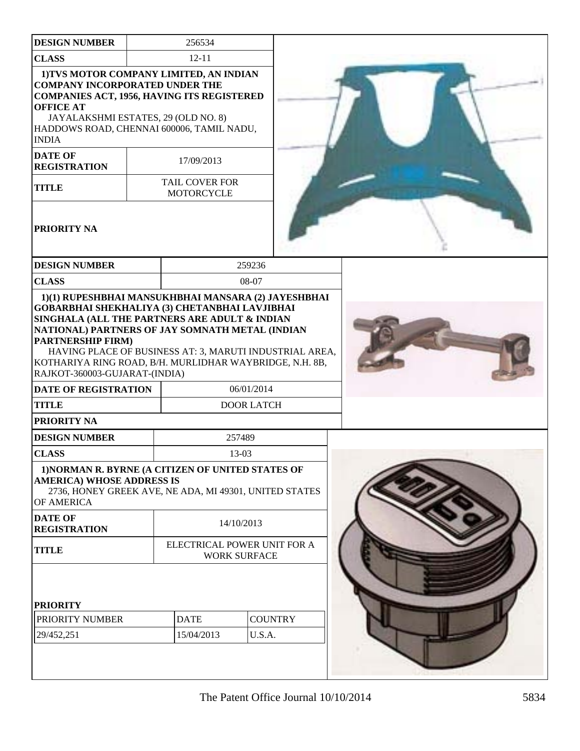| <b>DESIGN NUMBER</b>                                                                                                                                                                                                                                          |                                                    | 256534                                     |                                 |  |  |
|---------------------------------------------------------------------------------------------------------------------------------------------------------------------------------------------------------------------------------------------------------------|----------------------------------------------------|--------------------------------------------|---------------------------------|--|--|
| <b>CLASS</b>                                                                                                                                                                                                                                                  |                                                    | $12 - 11$                                  |                                 |  |  |
| 1) TVS MOTOR COMPANY LIMITED, AN INDIAN<br><b>COMPANY INCORPORATED UNDER THE</b><br><b>COMPANIES ACT, 1956, HAVING ITS REGISTERED</b><br><b>OFFICE AT</b><br>JAYALAKSHMI ESTATES, 29 (OLD NO. 8)<br>HADDOWS ROAD, CHENNAI 600006, TAMIL NADU,<br><b>INDIA</b> |                                                    |                                            |                                 |  |  |
| <b>DATE OF</b><br><b>REGISTRATION</b>                                                                                                                                                                                                                         |                                                    | 17/09/2013                                 |                                 |  |  |
| <b>TITLE</b>                                                                                                                                                                                                                                                  |                                                    | <b>TAIL COVER FOR</b><br><b>MOTORCYCLE</b> |                                 |  |  |
| PRIORITY NA                                                                                                                                                                                                                                                   |                                                    |                                            |                                 |  |  |
| <b>DESIGN NUMBER</b>                                                                                                                                                                                                                                          |                                                    |                                            | 259236                          |  |  |
| <b>CLASS</b>                                                                                                                                                                                                                                                  |                                                    |                                            | 08-07                           |  |  |
| NATIONAL) PARTNERS OF JAY SOMNATH METAL (INDIAN<br><b>PARTNERSHIP FIRM)</b><br>HAVING PLACE OF BUSINESS AT: 3, MARUTI INDUSTRIAL AREA,<br>KOTHARIYA RING ROAD, B/H. MURLIDHAR WAYBRIDGE, N.H. 8B,<br>RAJKOT-360003-GUJARAT-(INDIA)                            |                                                    |                                            |                                 |  |  |
| <b>DATE OF REGISTRATION</b><br><b>TITLE</b>                                                                                                                                                                                                                   |                                                    |                                            | 06/01/2014<br><b>DOOR LATCH</b> |  |  |
| <b>PRIORITY NA</b>                                                                                                                                                                                                                                            |                                                    |                                            |                                 |  |  |
| <b>DESIGN NUMBER</b>                                                                                                                                                                                                                                          |                                                    |                                            | 257489                          |  |  |
| <b>CLASS</b>                                                                                                                                                                                                                                                  |                                                    |                                            | 13-03                           |  |  |
| 1) NORMAN R. BYRNE (A CITIZEN OF UNITED STATES OF<br><b>AMERICA) WHOSE ADDRESS IS</b><br>2736, HONEY GREEK AVE, NE ADA, MI 49301, UNITED STATES<br>OF AMERICA<br><b>DATE OF</b>                                                                               |                                                    |                                            |                                 |  |  |
| <b>REGISTRATION</b>                                                                                                                                                                                                                                           |                                                    |                                            | 14/10/2013                      |  |  |
| <b>TITLE</b>                                                                                                                                                                                                                                                  | ELECTRICAL POWER UNIT FOR A<br><b>WORK SURFACE</b> |                                            |                                 |  |  |
| <b>PRIORITY</b>                                                                                                                                                                                                                                               |                                                    |                                            |                                 |  |  |
| PRIORITY NUMBER                                                                                                                                                                                                                                               |                                                    | <b>DATE</b>                                | <b>COUNTRY</b>                  |  |  |
| 29/452,251                                                                                                                                                                                                                                                    |                                                    | 15/04/2013                                 | U.S.A.                          |  |  |
|                                                                                                                                                                                                                                                               |                                                    |                                            |                                 |  |  |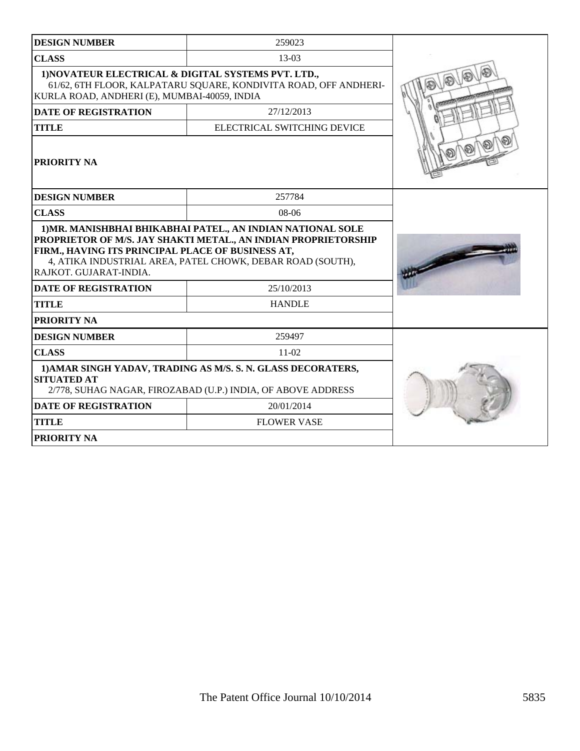| <b>DESIGN NUMBER</b>                                                                                                                                                                                                                                                       | 259023                      |  |
|----------------------------------------------------------------------------------------------------------------------------------------------------------------------------------------------------------------------------------------------------------------------------|-----------------------------|--|
| <b>CLASS</b>                                                                                                                                                                                                                                                               | $13-03$                     |  |
| 1) NOVATEUR ELECTRICAL & DIGITAL SYSTEMS PVT. LTD.,<br>61/62, 6TH FLOOR, KALPATARU SQUARE, KONDIVITA ROAD, OFF ANDHERI-<br>KURLA ROAD, ANDHERI (E), MUMBAI-40059, INDIA                                                                                                    |                             |  |
| <b>DATE OF REGISTRATION</b>                                                                                                                                                                                                                                                |                             |  |
| <b>TITLE</b>                                                                                                                                                                                                                                                               | ELECTRICAL SWITCHING DEVICE |  |
| PRIORITY NA                                                                                                                                                                                                                                                                |                             |  |
| <b>DESIGN NUMBER</b>                                                                                                                                                                                                                                                       | 257784                      |  |
| <b>CLASS</b>                                                                                                                                                                                                                                                               | $08-06$                     |  |
| 1) MR. MANISHBHAI BHIKABHAI PATEL., AN INDIAN NATIONAL SOLE<br>PROPRIETOR OF M/S. JAY SHAKTI METAL., AN INDIAN PROPRIETORSHIP<br>FIRM., HAVING ITS PRINCIPAL PLACE OF BUSINESS AT,<br>4, ATIKA INDUSTRIAL AREA, PATEL CHOWK, DEBAR ROAD (SOUTH),<br>RAJKOT. GUJARAT-INDIA. |                             |  |
| <b>DATE OF REGISTRATION</b>                                                                                                                                                                                                                                                | 25/10/2013                  |  |
| <b>TITLE</b>                                                                                                                                                                                                                                                               | <b>HANDLE</b>               |  |
| PRIORITY NA                                                                                                                                                                                                                                                                |                             |  |
| <b>DESIGN NUMBER</b>                                                                                                                                                                                                                                                       | 259497                      |  |
| <b>CLASS</b>                                                                                                                                                                                                                                                               | $11-02$                     |  |
| 1) AMAR SINGH YADAV, TRADING AS M/S. S. N. GLASS DECORATERS,<br><b>SITUATED AT</b><br>2/778, SUHAG NAGAR, FIROZABAD (U.P.) INDIA, OF ABOVE ADDRESS                                                                                                                         |                             |  |
| <b>DATE OF REGISTRATION</b>                                                                                                                                                                                                                                                |                             |  |
| <b>TITLE</b>                                                                                                                                                                                                                                                               | <b>FLOWER VASE</b>          |  |
| PRIORITY NA                                                                                                                                                                                                                                                                |                             |  |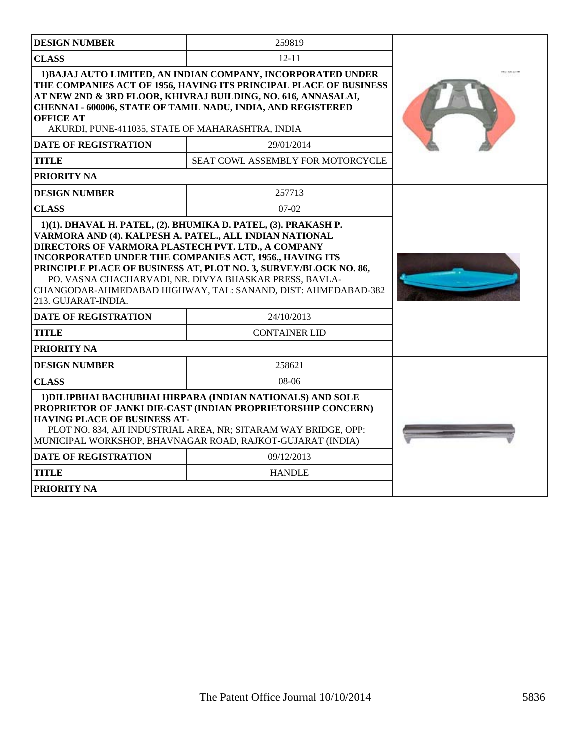| <b>DESIGN NUMBER</b>                                                                                                                                                                                                                                                                                                                                                                           | 259819                                   |  |
|------------------------------------------------------------------------------------------------------------------------------------------------------------------------------------------------------------------------------------------------------------------------------------------------------------------------------------------------------------------------------------------------|------------------------------------------|--|
| <b>CLASS</b>                                                                                                                                                                                                                                                                                                                                                                                   | $12 - 11$                                |  |
| 1) BAJAJ AUTO LIMITED, AN INDIAN COMPANY, INCORPORATED UNDER<br>THE COMPANIES ACT OF 1956, HAVING ITS PRINCIPAL PLACE OF BUSINESS<br>AT NEW 2ND & 3RD FLOOR, KHIVRAJ BUILDING, NO. 616, ANNASALAI,<br>CHENNAI - 600006, STATE OF TAMIL NADU, INDIA, AND REGISTERED<br><b>OFFICE AT</b><br>AKURDI, PUNE-411035, STATE OF MAHARASHTRA, INDIA                                                     |                                          |  |
| <b>DATE OF REGISTRATION</b>                                                                                                                                                                                                                                                                                                                                                                    | 29/01/2014                               |  |
| TITLE                                                                                                                                                                                                                                                                                                                                                                                          | <b>SEAT COWL ASSEMBLY FOR MOTORCYCLE</b> |  |
| PRIORITY NA                                                                                                                                                                                                                                                                                                                                                                                    |                                          |  |
| <b>DESIGN NUMBER</b>                                                                                                                                                                                                                                                                                                                                                                           | 257713                                   |  |
| <b>CLASS</b>                                                                                                                                                                                                                                                                                                                                                                                   | $07-02$                                  |  |
| VARMORA AND (4). KALPESH A. PATEL., ALL INDIAN NATIONAL<br>DIRECTORS OF VARMORA PLASTECH PVT. LTD., A COMPANY<br>INCORPORATED UNDER THE COMPANIES ACT, 1956., HAVING ITS<br>PRINCIPLE PLACE OF BUSINESS AT, PLOT NO. 3, SURVEY/BLOCK NO. 86,<br>PO. VASNA CHACHARVADI, NR. DIVYA BHASKAR PRESS, BAVLA-<br>CHANGODAR-AHMEDABAD HIGHWAY, TAL: SANAND, DIST: AHMEDABAD-382<br>213. GUJARAT-INDIA. |                                          |  |
| <b>DATE OF REGISTRATION</b>                                                                                                                                                                                                                                                                                                                                                                    | 24/10/2013                               |  |
| <b>TITLE</b>                                                                                                                                                                                                                                                                                                                                                                                   | <b>CONTAINER LID</b>                     |  |
| PRIORITY NA                                                                                                                                                                                                                                                                                                                                                                                    |                                          |  |
| <b>DESIGN NUMBER</b>                                                                                                                                                                                                                                                                                                                                                                           | 258621                                   |  |
| <b>CLASS</b>                                                                                                                                                                                                                                                                                                                                                                                   | $08-06$                                  |  |
| 1) DILIPBHAI BACHUBHAI HIRPARA (INDIAN NATIONALS) AND SOLE<br>PROPRIETOR OF JANKI DIE-CAST (INDIAN PROPRIETORSHIP CONCERN)<br><b>HAVING PLACE OF BUSINESS AT-</b><br>PLOT NO. 834, AJI INDUSTRIAL AREA, NR; SITARAM WAY BRIDGE, OPP:<br>MUNICIPAL WORKSHOP, BHAVNAGAR ROAD, RAJKOT-GUJARAT (INDIA)<br><b>DATE OF REGISTRATION</b>                                                              |                                          |  |
| <b>TITLE</b>                                                                                                                                                                                                                                                                                                                                                                                   | 09/12/2013                               |  |
|                                                                                                                                                                                                                                                                                                                                                                                                | <b>HANDLE</b>                            |  |
| <b>PRIORITY NA</b>                                                                                                                                                                                                                                                                                                                                                                             |                                          |  |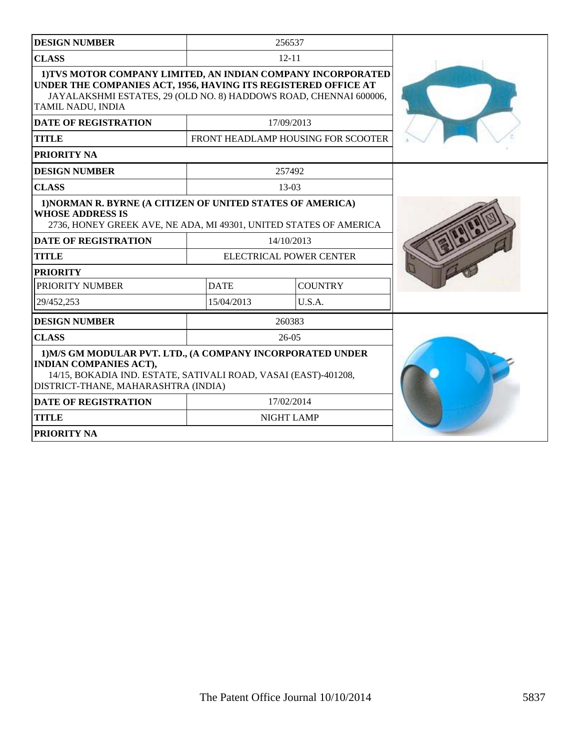| <b>DESIGN NUMBER</b>                                                                                                                                                                                                     |             | 256537                             |  |
|--------------------------------------------------------------------------------------------------------------------------------------------------------------------------------------------------------------------------|-------------|------------------------------------|--|
| <b>CLASS</b>                                                                                                                                                                                                             |             | $12 - 11$                          |  |
| 1) TVS MOTOR COMPANY LIMITED, AN INDIAN COMPANY INCORPORATED<br>UNDER THE COMPANIES ACT, 1956, HAVING ITS REGISTERED OFFICE AT<br>JAYALAKSHMI ESTATES, 29 (OLD NO. 8) HADDOWS ROAD, CHENNAI 600006,<br>TAMIL NADU, INDIA |             |                                    |  |
| <b>DATE OF REGISTRATION</b>                                                                                                                                                                                              |             | 17/09/2013                         |  |
| <b>TITLE</b>                                                                                                                                                                                                             |             | FRONT HEADLAMP HOUSING FOR SCOOTER |  |
| PRIORITY NA                                                                                                                                                                                                              |             |                                    |  |
| <b>DESIGN NUMBER</b>                                                                                                                                                                                                     |             | 257492                             |  |
| <b>CLASS</b>                                                                                                                                                                                                             |             | $13-03$                            |  |
| 1) NORMAN R. BYRNE (A CITIZEN OF UNITED STATES OF AMERICA)<br><b>WHOSE ADDRESS IS</b><br>2736, HONEY GREEK AVE, NE ADA, MI 49301, UNITED STATES OF AMERICA                                                               |             |                                    |  |
| <b>DATE OF REGISTRATION</b>                                                                                                                                                                                              |             | 14/10/2013                         |  |
| <b>TITLE</b>                                                                                                                                                                                                             |             | ELECTRICAL POWER CENTER            |  |
| <b>PRIORITY</b>                                                                                                                                                                                                          |             |                                    |  |
| PRIORITY NUMBER                                                                                                                                                                                                          | <b>DATE</b> | <b>COUNTRY</b>                     |  |
| 29/452.253                                                                                                                                                                                                               | 15/04/2013  | U.S.A.                             |  |
| <b>DESIGN NUMBER</b>                                                                                                                                                                                                     |             | 260383                             |  |
| <b>CLASS</b>                                                                                                                                                                                                             |             | $26-05$                            |  |
| 1) M/S GM MODULAR PVT, LTD., (A COMPANY INCORPORATED UNDER<br><b>INDIAN COMPANIES ACT),</b><br>14/15, BOKADIA IND. ESTATE, SATIVALI ROAD, VASAI (EAST)-401208,<br>DISTRICT-THANE, MAHARASHTRA (INDIA)                    |             |                                    |  |
| <b>DATE OF REGISTRATION</b>                                                                                                                                                                                              |             | 17/02/2014                         |  |
| <b>TITLE</b>                                                                                                                                                                                                             |             | <b>NIGHT LAMP</b>                  |  |
| PRIORITY NA                                                                                                                                                                                                              |             |                                    |  |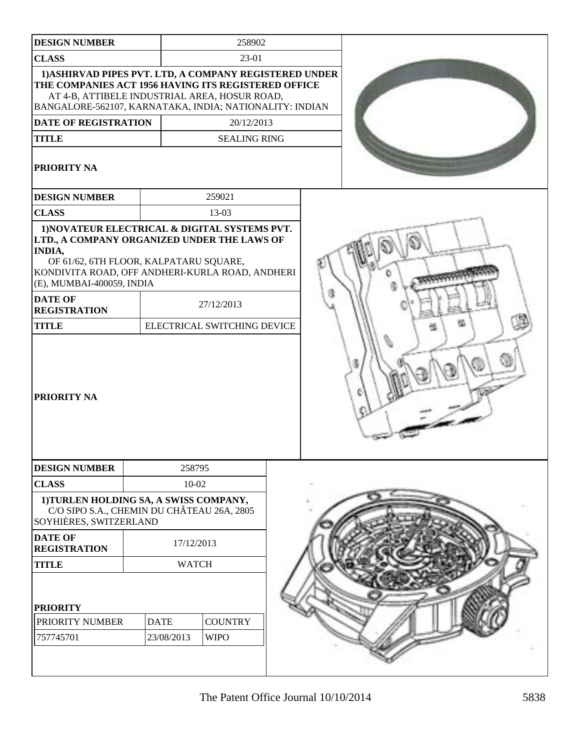| <b>DESIGN NUMBER</b>                                                                                                                                                                                                                                                             |              | 258902                            |  |  |
|----------------------------------------------------------------------------------------------------------------------------------------------------------------------------------------------------------------------------------------------------------------------------------|--------------|-----------------------------------|--|--|
| <b>CLASS</b>                                                                                                                                                                                                                                                                     |              | 23-01                             |  |  |
| 1) ASHIRVAD PIPES PVT. LTD, A COMPANY REGISTERED UNDER<br>THE COMPANIES ACT 1956 HAVING ITS REGISTERED OFFICE<br>AT 4-B, ATTIBELE INDUSTRIAL AREA, HOSUR ROAD,<br>BANGALORE-562107, KARNATAKA, INDIA; NATIONALITY: INDIAN<br>DATE OF REGISTRATION<br><b>TITLE</b><br>PRIORITY NA |              | 20/12/2013<br><b>SEALING RING</b> |  |  |
| <b>DESIGN NUMBER</b>                                                                                                                                                                                                                                                             |              | 259021                            |  |  |
| <b>CLASS</b>                                                                                                                                                                                                                                                                     |              | 13-03                             |  |  |
| 1) NOVATEUR ELECTRICAL & DIGITAL SYSTEMS PVT.<br>LTD., A COMPANY ORGANIZED UNDER THE LAWS OF<br>INDIA,<br>OF 61/62, 6TH FLOOR, KALPATARU SQUARE,<br>KONDIVITA ROAD, OFF ANDHERI-KURLA ROAD, ANDHERI<br>(E), MUMBAI-400059, INDIA<br><b>DATE OF</b>                               |              |                                   |  |  |
| <b>REGISTRATION</b>                                                                                                                                                                                                                                                              |              | 27/12/2013                        |  |  |
| <b>TITLE</b>                                                                                                                                                                                                                                                                     |              | ELECTRICAL SWITCHING DEVICE       |  |  |
| PRIORITY NA                                                                                                                                                                                                                                                                      |              |                                   |  |  |
| <b>DESIGN NUMBER</b>                                                                                                                                                                                                                                                             | 258795       |                                   |  |  |
| <b>CLASS</b>                                                                                                                                                                                                                                                                     | $10 - 02$    |                                   |  |  |
| 1) TURLEN HOLDING SA, A SWISS COMPANY,<br>C/O SIPO S.A., CHEMIN DU CHÂTEAU 26A, 2805<br>SOYHIÈRES, SWITZERLAND                                                                                                                                                                   |              |                                   |  |  |
| <b>DATE OF</b><br><b>REGISTRATION</b>                                                                                                                                                                                                                                            | 17/12/2013   |                                   |  |  |
| <b>TITLE</b>                                                                                                                                                                                                                                                                     | <b>WATCH</b> |                                   |  |  |
| <b>PRIORITY</b>                                                                                                                                                                                                                                                                  |              |                                   |  |  |
| PRIORITY NUMBER                                                                                                                                                                                                                                                                  | <b>DATE</b>  | <b>COUNTRY</b>                    |  |  |
| 757745701                                                                                                                                                                                                                                                                        | 23/08/2013   | <b>WIPO</b>                       |  |  |
|                                                                                                                                                                                                                                                                                  |              |                                   |  |  |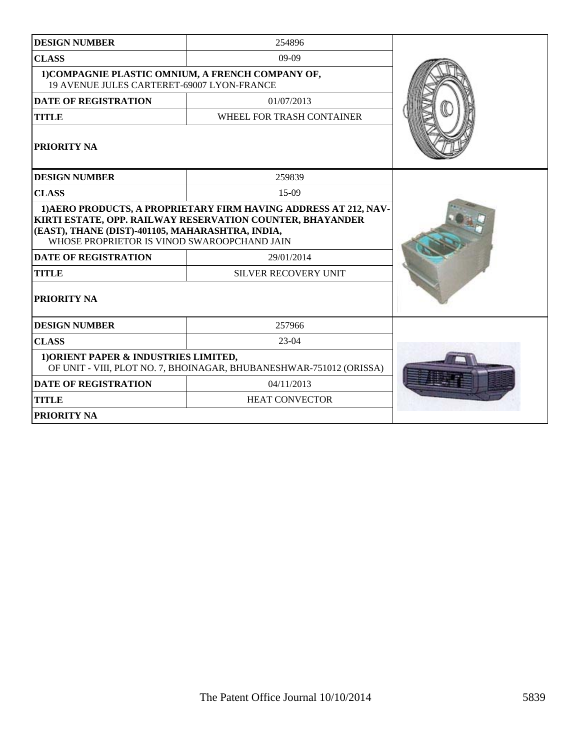| <b>DESIGN NUMBER</b>                                                                                                                                                                                                             | 254896                      |  |  |  |
|----------------------------------------------------------------------------------------------------------------------------------------------------------------------------------------------------------------------------------|-----------------------------|--|--|--|
| <b>CLASS</b>                                                                                                                                                                                                                     | $09-09$                     |  |  |  |
| 1) COMPAGNIE PLASTIC OMNIUM, A FRENCH COMPANY OF,<br>19 AVENUE JULES CARTERET-69007 LYON-FRANCE                                                                                                                                  |                             |  |  |  |
| <b>DATE OF REGISTRATION</b>                                                                                                                                                                                                      | 01/07/2013                  |  |  |  |
| <b>TITLE</b>                                                                                                                                                                                                                     | WHEEL FOR TRASH CONTAINER   |  |  |  |
| PRIORITY NA                                                                                                                                                                                                                      |                             |  |  |  |
| <b>DESIGN NUMBER</b>                                                                                                                                                                                                             | 259839                      |  |  |  |
| <b>CLASS</b>                                                                                                                                                                                                                     | 15-09                       |  |  |  |
| 1) AERO PRODUCTS, A PROPRIETARY FIRM HAVING ADDRESS AT 212, NAV-<br>KIRTI ESTATE, OPP. RAILWAY RESERVATION COUNTER, BHAYANDER<br>(EAST), THANE (DIST)-401105, MAHARASHTRA, INDIA,<br>WHOSE PROPRIETOR IS VINOD SWAROOPCHAND JAIN |                             |  |  |  |
| <b>DATE OF REGISTRATION</b>                                                                                                                                                                                                      | 29/01/2014                  |  |  |  |
| <b>TITLE</b>                                                                                                                                                                                                                     | <b>SILVER RECOVERY UNIT</b> |  |  |  |
| PRIORITY NA                                                                                                                                                                                                                      |                             |  |  |  |
| <b>DESIGN NUMBER</b>                                                                                                                                                                                                             | 257966                      |  |  |  |
| <b>CLASS</b>                                                                                                                                                                                                                     | $23-04$                     |  |  |  |
| 1) ORIENT PAPER & INDUSTRIES LIMITED,<br>OF UNIT - VIII, PLOT NO. 7, BHOINAGAR, BHUBANESHWAR-751012 (ORISSA)                                                                                                                     |                             |  |  |  |
| <b>DATE OF REGISTRATION</b>                                                                                                                                                                                                      | 04/11/2013                  |  |  |  |
| <b>TITLE</b>                                                                                                                                                                                                                     | <b>HEAT CONVECTOR</b>       |  |  |  |
| <b>PRIORITY NA</b>                                                                                                                                                                                                               |                             |  |  |  |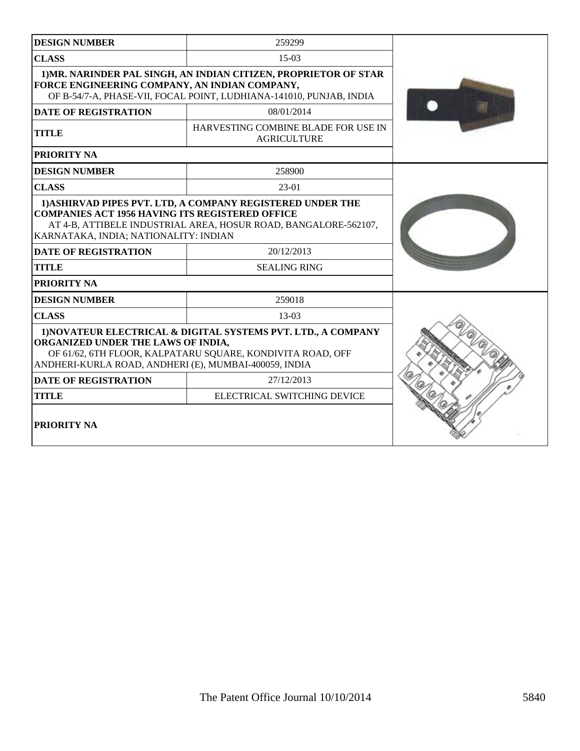| <b>DESIGN NUMBER</b>                                                                                                                                                                                                             | 259299                                                    |  |
|----------------------------------------------------------------------------------------------------------------------------------------------------------------------------------------------------------------------------------|-----------------------------------------------------------|--|
| <b>CLASS</b>                                                                                                                                                                                                                     | $15-03$                                                   |  |
| 1) MR. NARINDER PAL SINGH, AN INDIAN CITIZEN, PROPRIETOR OF STAR<br>FORCE ENGINEERING COMPANY, AN INDIAN COMPANY,<br>OF B-54/7-A, PHASE-VII, FOCAL POINT, LUDHIANA-141010, PUNJAB, INDIA                                         |                                                           |  |
| <b>DATE OF REGISTRATION</b>                                                                                                                                                                                                      | 08/01/2014                                                |  |
| <b>TITLE</b>                                                                                                                                                                                                                     | HARVESTING COMBINE BLADE FOR USE IN<br><b>AGRICULTURE</b> |  |
| PRIORITY NA                                                                                                                                                                                                                      |                                                           |  |
| <b>DESIGN NUMBER</b>                                                                                                                                                                                                             | 258900                                                    |  |
| <b>CLASS</b>                                                                                                                                                                                                                     | 23-01                                                     |  |
| 1) ASHIRVAD PIPES PVT. LTD, A COMPANY REGISTERED UNDER THE<br><b>COMPANIES ACT 1956 HAVING ITS REGISTERED OFFICE</b><br>AT 4-B, ATTIBELE INDUSTRIAL AREA, HOSUR ROAD, BANGALORE-562107,<br>KARNATAKA, INDIA; NATIONALITY: INDIAN |                                                           |  |
| <b>DATE OF REGISTRATION</b>                                                                                                                                                                                                      | 20/12/2013                                                |  |
| <b>TITLE</b>                                                                                                                                                                                                                     | <b>SEALING RING</b>                                       |  |
| <b>PRIORITY NA</b>                                                                                                                                                                                                               |                                                           |  |
| <b>DESIGN NUMBER</b>                                                                                                                                                                                                             | 259018                                                    |  |
| <b>CLASS</b>                                                                                                                                                                                                                     | 13-03                                                     |  |
| 1) NOVATEUR ELECTRICAL & DIGITAL SYSTEMS PVT. LTD., A COMPANY<br>ORGANIZED UNDER THE LAWS OF INDIA,<br>OF 61/62, 6TH FLOOR, KALPATARU SQUARE, KONDIVITA ROAD, OFF<br>ANDHERI-KURLA ROAD, ANDHERI (E), MUMBAI-400059, INDIA       |                                                           |  |
| <b>DATE OF REGISTRATION</b>                                                                                                                                                                                                      | 27/12/2013                                                |  |
| <b>TITLE</b>                                                                                                                                                                                                                     | ELECTRICAL SWITCHING DEVICE                               |  |
| PRIORITY NA                                                                                                                                                                                                                      |                                                           |  |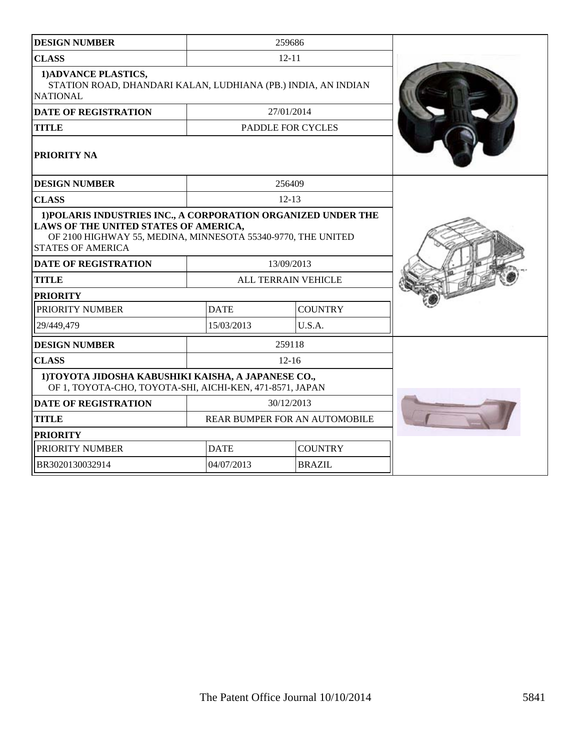| <b>DESIGN NUMBER</b>                                                                                                                                                                               |             | 259686                        |  |
|----------------------------------------------------------------------------------------------------------------------------------------------------------------------------------------------------|-------------|-------------------------------|--|
| <b>CLASS</b>                                                                                                                                                                                       |             | $12 - 11$                     |  |
| 1) ADVANCE PLASTICS,<br>STATION ROAD, DHANDARI KALAN, LUDHIANA (PB.) INDIA, AN INDIAN<br><b>NATIONAL</b>                                                                                           |             |                               |  |
| <b>DATE OF REGISTRATION</b>                                                                                                                                                                        |             | 27/01/2014                    |  |
| <b>TITLE</b>                                                                                                                                                                                       |             | PADDLE FOR CYCLES             |  |
| PRIORITY NA                                                                                                                                                                                        |             |                               |  |
| <b>DESIGN NUMBER</b>                                                                                                                                                                               |             | 256409                        |  |
| <b>CLASS</b>                                                                                                                                                                                       |             | $12 - 13$                     |  |
| 1) POLARIS INDUSTRIES INC., A CORPORATION ORGANIZED UNDER THE<br>LAWS OF THE UNITED STATES OF AMERICA,<br>OF 2100 HIGHWAY 55, MEDINA, MINNESOTA 55340-9770, THE UNITED<br><b>STATES OF AMERICA</b> |             |                               |  |
| <b>DATE OF REGISTRATION</b>                                                                                                                                                                        |             | 13/09/2013                    |  |
| <b>TITLE</b>                                                                                                                                                                                       |             | ALL TERRAIN VEHICLE           |  |
| <b>PRIORITY</b>                                                                                                                                                                                    |             |                               |  |
| PRIORITY NUMBER                                                                                                                                                                                    | <b>DATE</b> | <b>COUNTRY</b>                |  |
| 29/449,479                                                                                                                                                                                         | 15/03/2013  | U.S.A.                        |  |
| <b>DESIGN NUMBER</b>                                                                                                                                                                               |             | 259118                        |  |
| <b>CLASS</b>                                                                                                                                                                                       |             | $12 - 16$                     |  |
| 1) TOYOTA JIDOSHA KABUSHIKI KAISHA, A JAPANESE CO.,<br>OF 1, TOYOTA-CHO, TOYOTA-SHI, AICHI-KEN, 471-8571, JAPAN                                                                                    |             |                               |  |
| <b>DATE OF REGISTRATION</b>                                                                                                                                                                        |             | 30/12/2013                    |  |
| <b>TITLE</b>                                                                                                                                                                                       |             | REAR BUMPER FOR AN AUTOMOBILE |  |
| <b>PRIORITY</b>                                                                                                                                                                                    |             |                               |  |
| PRIORITY NUMBER                                                                                                                                                                                    | <b>DATE</b> | <b>COUNTRY</b>                |  |
| BR3020130032914                                                                                                                                                                                    | 04/07/2013  | <b>BRAZIL</b>                 |  |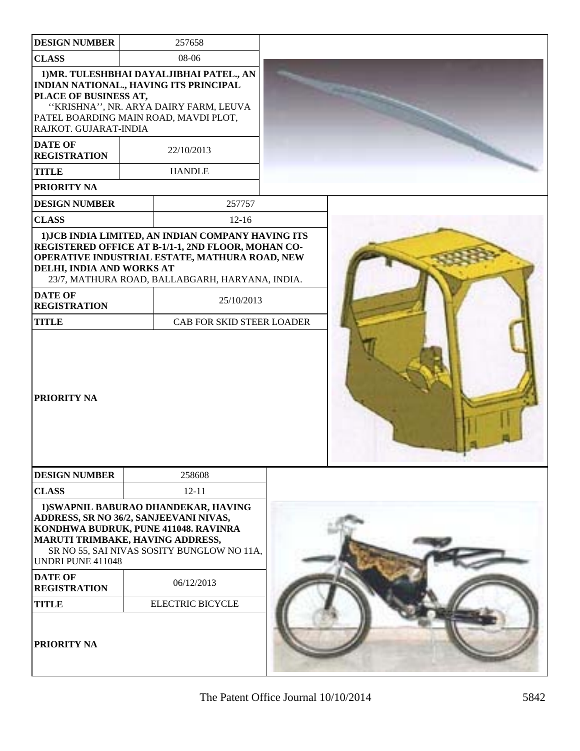| <b>DESIGN NUMBER</b>                                                                            | 257658                                                                                                                                                                                                        |  |
|-------------------------------------------------------------------------------------------------|---------------------------------------------------------------------------------------------------------------------------------------------------------------------------------------------------------------|--|
| <b>CLASS</b>                                                                                    | 08-06                                                                                                                                                                                                         |  |
| PLACE OF BUSINESS AT,<br>PATEL BOARDING MAIN ROAD, MAVDI PLOT,<br>RAJKOT. GUJARAT-INDIA         | 1) MR. TULESHBHAI DAYALJIBHAI PATEL., AN<br>INDIAN NATIONAL., HAVING ITS PRINCIPAL<br>"KRISHNA", NR. ARYA DAIRY FARM, LEUVA                                                                                   |  |
| <b>DATE OF</b><br><b>REGISTRATION</b>                                                           | 22/10/2013                                                                                                                                                                                                    |  |
| <b>TITLE</b>                                                                                    | <b>HANDLE</b>                                                                                                                                                                                                 |  |
| PRIORITY NA                                                                                     |                                                                                                                                                                                                               |  |
| <b>DESIGN NUMBER</b>                                                                            | 257757                                                                                                                                                                                                        |  |
| <b>CLASS</b>                                                                                    | $12-16$                                                                                                                                                                                                       |  |
| DELHI, INDIA AND WORKS AT                                                                       | 1) JCB INDIA LIMITED, AN INDIAN COMPANY HAVING ITS<br>REGISTERED OFFICE AT B-1/1-1, 2ND FLOOR, MOHAN CO-<br>OPERATIVE INDUSTRIAL ESTATE, MATHURA ROAD, NEW<br>23/7, MATHURA ROAD, BALLABGARH, HARYANA, INDIA. |  |
| <b>DATE OF</b><br><b>REGISTRATION</b>                                                           | 25/10/2013                                                                                                                                                                                                    |  |
| <b>TITLE</b>                                                                                    | CAB FOR SKID STEER LOADER                                                                                                                                                                                     |  |
| PRIORITY NA                                                                                     |                                                                                                                                                                                                               |  |
| <b>DESIGN NUMBER</b>                                                                            | 258608                                                                                                                                                                                                        |  |
| <b>CLASS</b>                                                                                    | $12 - 11$                                                                                                                                                                                                     |  |
| ADDRESS, SR NO 36/2, SANJEEVANI NIVAS,<br>MARUTI TRIMBAKE, HAVING ADDRESS,<br>UNDRI PUNE 411048 | 1) SWAPNIL BABURAO DHANDEKAR, HAVING<br>KONDHWA BUDRUK, PUNE 411048. RAVINRA<br>SR NO 55, SAI NIVAS SOSITY BUNGLOW NO 11A,                                                                                    |  |
| <b>DATE OF</b><br><b>REGISTRATION</b>                                                           | 06/12/2013                                                                                                                                                                                                    |  |
| <b>TITLE</b>                                                                                    | <b>ELECTRIC BICYCLE</b>                                                                                                                                                                                       |  |
| PRIORITY NA                                                                                     |                                                                                                                                                                                                               |  |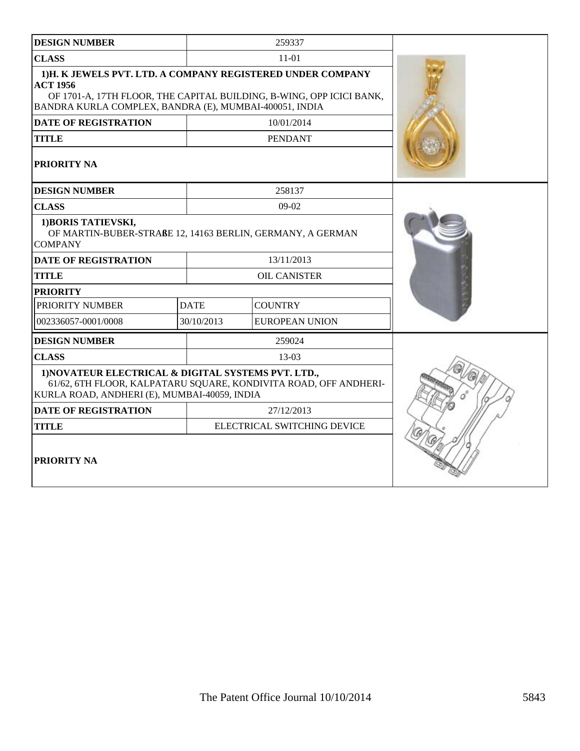| <b>DESIGN NUMBER</b>                                                                                                                                                                                            |             | 259337                |  |  |
|-----------------------------------------------------------------------------------------------------------------------------------------------------------------------------------------------------------------|-------------|-----------------------|--|--|
| <b>CLASS</b>                                                                                                                                                                                                    | $11 - 01$   |                       |  |  |
| 1)H. K JEWELS PVT. LTD. A COMPANY REGISTERED UNDER COMPANY<br><b>ACT 1956</b><br>OF 1701-A, 17TH FLOOR, THE CAPITAL BUILDING, B-WING, OPP ICICI BANK,<br>BANDRA KURLA COMPLEX, BANDRA (E), MUMBAI-400051, INDIA |             |                       |  |  |
| <b>DATE OF REGISTRATION</b>                                                                                                                                                                                     |             | 10/01/2014            |  |  |
| <b>TITLE</b>                                                                                                                                                                                                    |             | <b>PENDANT</b>        |  |  |
| PRIORITY NA                                                                                                                                                                                                     |             |                       |  |  |
| <b>DESIGN NUMBER</b>                                                                                                                                                                                            |             | 258137                |  |  |
| <b>CLASS</b>                                                                                                                                                                                                    |             | $09-02$               |  |  |
| 1) BORIS TATIEVSKI,<br>OF MARTIN-BUBER-STRAßE 12, 14163 BERLIN, GERMANY, A GERMAN<br><b>COMPANY</b>                                                                                                             |             |                       |  |  |
| DATE OF REGISTRATION                                                                                                                                                                                            |             | 13/11/2013            |  |  |
| <b>TITLE</b>                                                                                                                                                                                                    |             | <b>OIL CANISTER</b>   |  |  |
| <b>PRIORITY</b>                                                                                                                                                                                                 |             |                       |  |  |
| PRIORITY NUMBER                                                                                                                                                                                                 | <b>DATE</b> | <b>COUNTRY</b>        |  |  |
| 002336057-0001/0008                                                                                                                                                                                             | 30/10/2013  | <b>EUROPEAN UNION</b> |  |  |
| <b>DESIGN NUMBER</b>                                                                                                                                                                                            |             | 259024                |  |  |
| <b>CLASS</b>                                                                                                                                                                                                    |             | $13-03$               |  |  |
| 1) NOVATEUR ELECTRICAL & DIGITAL SYSTEMS PVT. LTD.,<br>61/62, 6TH FLOOR, KALPATARU SQUARE, KONDIVITA ROAD, OFF ANDHERI-<br>KURLA ROAD, ANDHERI (E), MUMBAI-40059, INDIA                                         |             |                       |  |  |
| <b>DATE OF REGISTRATION</b>                                                                                                                                                                                     |             |                       |  |  |
| <b>TITLE</b>                                                                                                                                                                                                    |             |                       |  |  |
| <b>PRIORITY NA</b>                                                                                                                                                                                              |             |                       |  |  |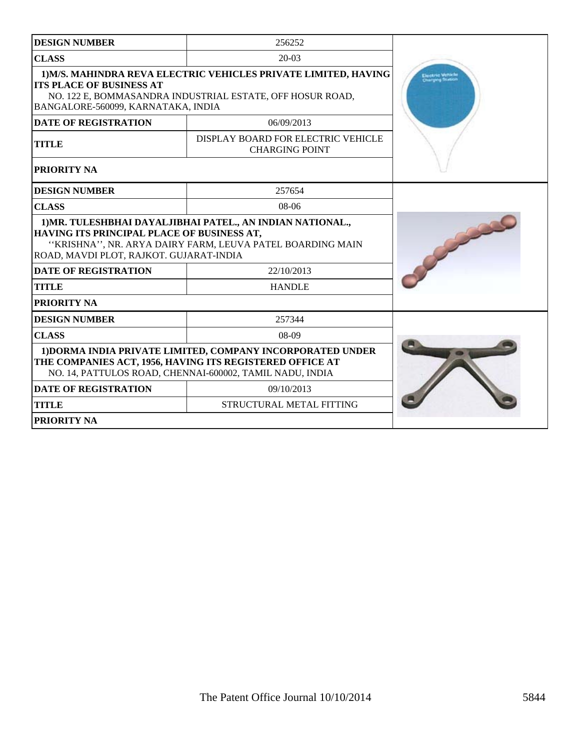| <b>DESIGN NUMBER</b>                                                                                                                                                                                             | 256252                                                                                                                                                                             |  |  |
|------------------------------------------------------------------------------------------------------------------------------------------------------------------------------------------------------------------|------------------------------------------------------------------------------------------------------------------------------------------------------------------------------------|--|--|
| <b>CLASS</b>                                                                                                                                                                                                     | $20-03$                                                                                                                                                                            |  |  |
| 1) M/S. MAHINDRA REVA ELECTRIC VEHICLES PRIVATE LIMITED, HAVING<br><b>ITS PLACE OF BUSINESS AT</b><br>NO. 122 E, BOMMASANDRA INDUSTRIAL ESTATE, OFF HOSUR ROAD,<br>BANGALORE-560099, KARNATAKA, INDIA            |                                                                                                                                                                                    |  |  |
| <b>DATE OF REGISTRATION</b>                                                                                                                                                                                      | 06/09/2013                                                                                                                                                                         |  |  |
| <b>TITLE</b>                                                                                                                                                                                                     | DISPLAY BOARD FOR ELECTRIC VEHICLE<br><b>CHARGING POINT</b>                                                                                                                        |  |  |
| PRIORITY NA                                                                                                                                                                                                      |                                                                                                                                                                                    |  |  |
| <b>DESIGN NUMBER</b>                                                                                                                                                                                             | 257654                                                                                                                                                                             |  |  |
| <b>CLASS</b>                                                                                                                                                                                                     | $08-06$                                                                                                                                                                            |  |  |
| 1) MR. TULESHBHAI DAYALJIBHAI PATEL., AN INDIAN NATIONAL.,<br>HAVING ITS PRINCIPAL PLACE OF BUSINESS AT,<br>"KRISHNA", NR. ARYA DAIRY FARM, LEUVA PATEL BOARDING MAIN<br>ROAD, MAVDI PLOT, RAJKOT. GUJARAT-INDIA |                                                                                                                                                                                    |  |  |
| <b>DATE OF REGISTRATION</b>                                                                                                                                                                                      |                                                                                                                                                                                    |  |  |
| <b>TITLE</b>                                                                                                                                                                                                     | <b>HANDLE</b>                                                                                                                                                                      |  |  |
| PRIORITY NA                                                                                                                                                                                                      |                                                                                                                                                                                    |  |  |
| <b>DESIGN NUMBER</b>                                                                                                                                                                                             | 257344                                                                                                                                                                             |  |  |
| <b>CLASS</b>                                                                                                                                                                                                     | $08-09$                                                                                                                                                                            |  |  |
|                                                                                                                                                                                                                  | 1) DORMA INDIA PRIVATE LIMITED, COMPANY INCORPORATED UNDER<br>THE COMPANIES ACT, 1956, HAVING ITS REGISTERED OFFICE AT<br>NO. 14, PATTULOS ROAD, CHENNAI-600002, TAMIL NADU, INDIA |  |  |
| <b>DATE OF REGISTRATION</b>                                                                                                                                                                                      | 09/10/2013                                                                                                                                                                         |  |  |
| <b>TITLE</b>                                                                                                                                                                                                     | STRUCTURAL METAL FITTING                                                                                                                                                           |  |  |
| <b>PRIORITY NA</b>                                                                                                                                                                                               |                                                                                                                                                                                    |  |  |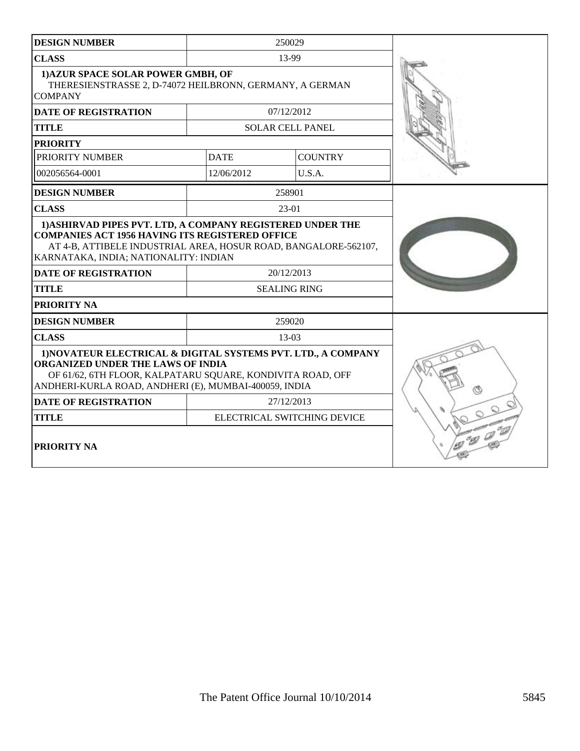| <b>DESIGN NUMBER</b>                                                                                                                                                                                                             |             |                             |  |
|----------------------------------------------------------------------------------------------------------------------------------------------------------------------------------------------------------------------------------|-------------|-----------------------------|--|
| <b>CLASS</b>                                                                                                                                                                                                                     |             | 13-99                       |  |
| 1) AZUR SPACE SOLAR POWER GMBH, OF<br>THERESIENSTRASSE 2, D-74072 HEILBRONN, GERMANY, A GERMAN<br><b>COMPANY</b>                                                                                                                 |             |                             |  |
| <b>DATE OF REGISTRATION</b>                                                                                                                                                                                                      |             | 07/12/2012                  |  |
| <b>TITLE</b>                                                                                                                                                                                                                     |             | <b>SOLAR CELL PANEL</b>     |  |
| <b>PRIORITY</b>                                                                                                                                                                                                                  |             |                             |  |
| PRIORITY NUMBER                                                                                                                                                                                                                  | <b>DATE</b> | <b>COUNTRY</b>              |  |
| 002056564-0001                                                                                                                                                                                                                   | 12/06/2012  | U.S.A.                      |  |
| <b>DESIGN NUMBER</b>                                                                                                                                                                                                             |             | 258901                      |  |
| <b>CLASS</b>                                                                                                                                                                                                                     |             | $23-01$                     |  |
| 1) ASHIRVAD PIPES PVT. LTD, A COMPANY REGISTERED UNDER THE<br><b>COMPANIES ACT 1956 HAVING ITS REGISTERED OFFICE</b><br>AT 4-B, ATTIBELE INDUSTRIAL AREA, HOSUR ROAD, BANGALORE-562107,<br>KARNATAKA, INDIA; NATIONALITY: INDIAN |             |                             |  |
| <b>DATE OF REGISTRATION</b>                                                                                                                                                                                                      |             | 20/12/2013                  |  |
| <b>TITLE</b>                                                                                                                                                                                                                     |             | <b>SEALING RING</b>         |  |
| <b>PRIORITY NA</b>                                                                                                                                                                                                               |             |                             |  |
| <b>DESIGN NUMBER</b>                                                                                                                                                                                                             |             | 259020                      |  |
| <b>CLASS</b>                                                                                                                                                                                                                     |             | 13-03                       |  |
| 1) NOVATEUR ELECTRICAL & DIGITAL SYSTEMS PVT. LTD., A COMPANY<br>ORGANIZED UNDER THE LAWS OF INDIA<br>OF 61/62, 6TH FLOOR, KALPATARU SQUARE, KONDIVITA ROAD, OFF<br>ANDHERI-KURLA ROAD, ANDHERI (E), MUMBAI-400059, INDIA        |             |                             |  |
| <b>DATE OF REGISTRATION</b>                                                                                                                                                                                                      |             | 27/12/2013                  |  |
| <b>TITLE</b>                                                                                                                                                                                                                     |             | ELECTRICAL SWITCHING DEVICE |  |
| <b>PRIORITY NA</b>                                                                                                                                                                                                               |             |                             |  |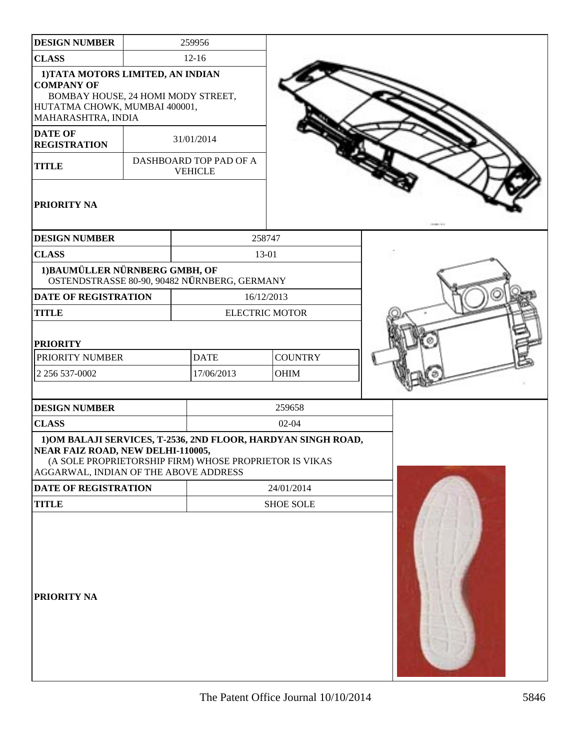| <b>DESIGN NUMBER</b>                                                                                                                                | 259956                                                                                                                  |                       |  |
|-----------------------------------------------------------------------------------------------------------------------------------------------------|-------------------------------------------------------------------------------------------------------------------------|-----------------------|--|
| <b>CLASS</b>                                                                                                                                        | $12-16$                                                                                                                 |                       |  |
| 1) TATA MOTORS LIMITED, AN INDIAN<br><b>COMPANY OF</b><br>BOMBAY HOUSE, 24 HOMI MODY STREET,<br>HUTATMA CHOWK, MUMBAI 400001,<br>MAHARASHTRA, INDIA |                                                                                                                         |                       |  |
| <b>DATE OF</b>                                                                                                                                      |                                                                                                                         |                       |  |
| <b>REGISTRATION</b>                                                                                                                                 | 31/01/2014                                                                                                              |                       |  |
| <b>TITLE</b>                                                                                                                                        | DASHBOARD TOP PAD OF A<br><b>VEHICLE</b>                                                                                |                       |  |
| PRIORITY NA                                                                                                                                         |                                                                                                                         |                       |  |
| <b>DESIGN NUMBER</b>                                                                                                                                |                                                                                                                         | 258747                |  |
| <b>CLASS</b>                                                                                                                                        |                                                                                                                         | 13-01                 |  |
| 1) BAUMÜLLER NÜRNBERG GMBH, OF                                                                                                                      | OSTENDSTRASSE 80-90, 90482 NÜRNBERG, GERMANY                                                                            |                       |  |
| <b>DATE OF REGISTRATION</b>                                                                                                                         |                                                                                                                         | 16/12/2013            |  |
| <b>TITLE</b>                                                                                                                                        |                                                                                                                         | <b>ELECTRIC MOTOR</b> |  |
| <b>PRIORITY</b>                                                                                                                                     |                                                                                                                         |                       |  |
| PRIORITY NUMBER                                                                                                                                     | <b>DATE</b>                                                                                                             | <b>COUNTRY</b>        |  |
| 2 256 537-0002                                                                                                                                      | 17/06/2013                                                                                                              | OHIM                  |  |
| <b>DESIGN NUMBER</b>                                                                                                                                |                                                                                                                         | 259658                |  |
| <b>CLASS</b>                                                                                                                                        |                                                                                                                         | $02 - 04$             |  |
| NEAR FAIZ ROAD, NEW DELHI-110005,<br>AGGARWAL, INDIAN OF THE ABOVE ADDRESS                                                                          | 1) OM BALAJI SERVICES, T-2536, 2ND FLOOR, HARDYAN SINGH ROAD,<br>(A SOLE PROPRIETORSHIP FIRM) WHOSE PROPRIETOR IS VIKAS |                       |  |
| DATE OF REGISTRATION                                                                                                                                |                                                                                                                         | 24/01/2014            |  |
| <b>TITLE</b>                                                                                                                                        |                                                                                                                         | <b>SHOE SOLE</b>      |  |
| <b>PRIORITY NA</b>                                                                                                                                  |                                                                                                                         |                       |  |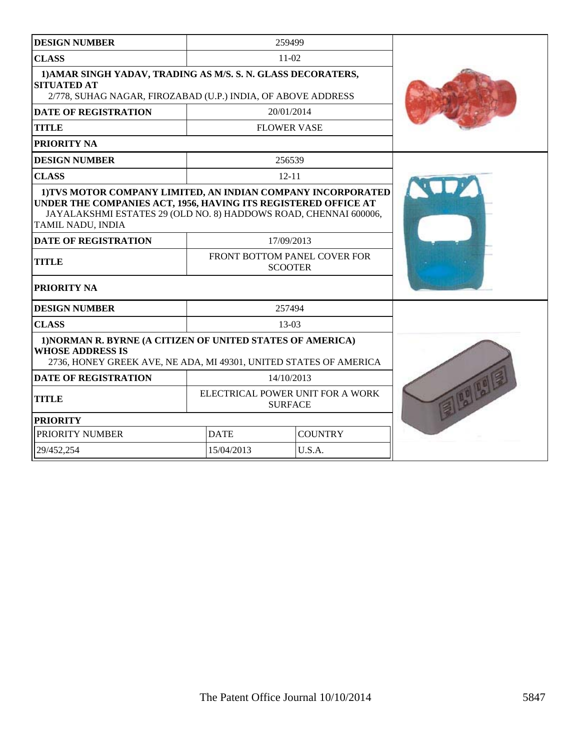| <b>DESIGN NUMBER</b>                                                                                                                                                                                                    |                                                    | 259499                                         |  |
|-------------------------------------------------------------------------------------------------------------------------------------------------------------------------------------------------------------------------|----------------------------------------------------|------------------------------------------------|--|
| <b>CLASS</b>                                                                                                                                                                                                            |                                                    | 11-02                                          |  |
| 1) AMAR SINGH YADAV, TRADING AS M/S. S. N. GLASS DECORATERS,<br><b>SITUATED AT</b><br>2/778, SUHAG NAGAR, FIROZABAD (U.P.) INDIA, OF ABOVE ADDRESS                                                                      |                                                    |                                                |  |
| <b>DATE OF REGISTRATION</b>                                                                                                                                                                                             |                                                    | 20/01/2014                                     |  |
| <b>TITLE</b>                                                                                                                                                                                                            | <b>FLOWER VASE</b>                                 |                                                |  |
| <b>PRIORITY NA</b>                                                                                                                                                                                                      |                                                    |                                                |  |
| <b>DESIGN NUMBER</b>                                                                                                                                                                                                    |                                                    | 256539                                         |  |
| <b>CLASS</b>                                                                                                                                                                                                            |                                                    | $12 - 11$                                      |  |
| 1) TVS MOTOR COMPANY LIMITED, AN INDIAN COMPANY INCORPORATED<br>UNDER THE COMPANIES ACT, 1956, HAVING ITS REGISTERED OFFICE AT<br>JAYALAKSHMI ESTATES 29 (OLD NO. 8) HADDOWS ROAD, CHENNAI 600006,<br>TAMIL NADU, INDIA |                                                    |                                                |  |
| <b>DATE OF REGISTRATION</b>                                                                                                                                                                                             |                                                    | 17/09/2013                                     |  |
| <b>TITLE</b>                                                                                                                                                                                                            |                                                    | FRONT BOTTOM PANEL COVER FOR<br><b>SCOOTER</b> |  |
| PRIORITY NA                                                                                                                                                                                                             |                                                    |                                                |  |
| <b>DESIGN NUMBER</b>                                                                                                                                                                                                    |                                                    | 257494                                         |  |
| <b>CLASS</b>                                                                                                                                                                                                            |                                                    | $13-03$                                        |  |
| 1) NORMAN R. BYRNE (A CITIZEN OF UNITED STATES OF AMERICA)<br><b>WHOSE ADDRESS IS</b><br>2736, HONEY GREEK AVE, NE ADA, MI 49301, UNITED STATES OF AMERICA                                                              |                                                    |                                                |  |
| <b>DATE OF REGISTRATION</b>                                                                                                                                                                                             |                                                    | 14/10/2013                                     |  |
| <b>TITLE</b>                                                                                                                                                                                                            | ELECTRICAL POWER UNIT FOR A WORK<br><b>SURFACE</b> |                                                |  |
| <b>PRIORITY</b>                                                                                                                                                                                                         |                                                    |                                                |  |
| PRIORITY NUMBER                                                                                                                                                                                                         | <b>DATE</b>                                        | <b>COUNTRY</b>                                 |  |
| 29/452,254                                                                                                                                                                                                              | 15/04/2013                                         | U.S.A.                                         |  |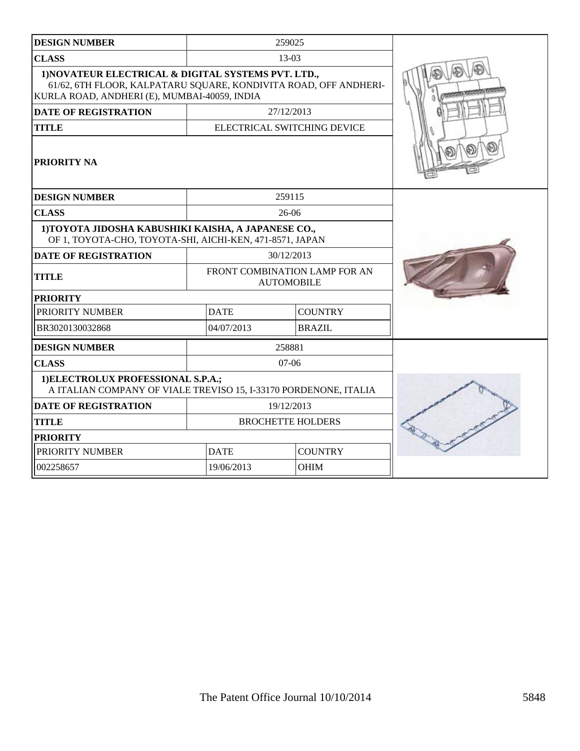| <b>DESIGN NUMBER</b>                                                                                                                                                    |             | 259025                                             |  |
|-------------------------------------------------------------------------------------------------------------------------------------------------------------------------|-------------|----------------------------------------------------|--|
| <b>CLASS</b>                                                                                                                                                            |             | $13-03$                                            |  |
| 1) NOVATEUR ELECTRICAL & DIGITAL SYSTEMS PVT. LTD.,<br>61/62, 6TH FLOOR, KALPATARU SQUARE, KONDIVITA ROAD, OFF ANDHERI-<br>KURLA ROAD, ANDHERI (E), MUMBAI-40059, INDIA |             |                                                    |  |
| <b>DATE OF REGISTRATION</b>                                                                                                                                             |             | 27/12/2013                                         |  |
| <b>TITLE</b>                                                                                                                                                            |             | ELECTRICAL SWITCHING DEVICE                        |  |
| PRIORITY NA                                                                                                                                                             |             |                                                    |  |
| <b>DESIGN NUMBER</b>                                                                                                                                                    |             | 259115                                             |  |
| <b>CLASS</b>                                                                                                                                                            |             | $26-06$                                            |  |
| 1) TOYOTA JIDOSHA KABUSHIKI KAISHA, A JAPANESE CO.,<br>OF 1, TOYOTA-CHO, TOYOTA-SHI, AICHI-KEN, 471-8571, JAPAN                                                         |             |                                                    |  |
| <b>DATE OF REGISTRATION</b>                                                                                                                                             |             | 30/12/2013                                         |  |
| <b>TITLE</b>                                                                                                                                                            |             | FRONT COMBINATION LAMP FOR AN<br><b>AUTOMOBILE</b> |  |
| <b>PRIORITY</b>                                                                                                                                                         |             |                                                    |  |
| PRIORITY NUMBER                                                                                                                                                         | <b>DATE</b> | <b>COUNTRY</b>                                     |  |
| BR3020130032868                                                                                                                                                         | 04/07/2013  | <b>BRAZIL</b>                                      |  |
| <b>DESIGN NUMBER</b>                                                                                                                                                    |             | 258881                                             |  |
| <b>CLASS</b>                                                                                                                                                            |             | $07-06$                                            |  |
| 1) ELECTROLUX PROFESSIONAL S.P.A.;<br>A ITALIAN COMPANY OF VIALE TREVISO 15, I-33170 PORDENONE, ITALIA                                                                  |             |                                                    |  |
| <b>DATE OF REGISTRATION</b>                                                                                                                                             |             | 19/12/2013                                         |  |
| <b>TITLE</b>                                                                                                                                                            |             | <b>BROCHETTE HOLDERS</b>                           |  |
| <b>PRIORITY</b>                                                                                                                                                         |             |                                                    |  |
| PRIORITY NUMBER                                                                                                                                                         | <b>DATE</b> | <b>COUNTRY</b>                                     |  |
| 002258657                                                                                                                                                               | 19/06/2013  | <b>OHIM</b>                                        |  |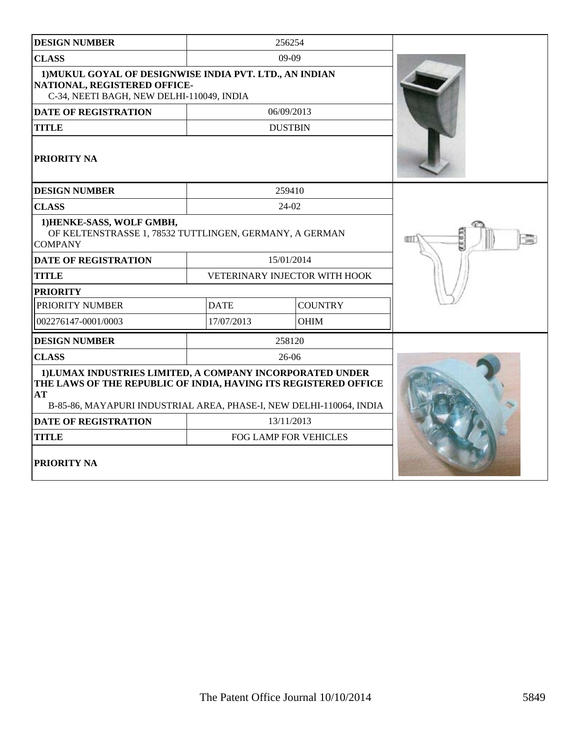| <b>DESIGN NUMBER</b>                                                                                                                                                                                      |             | 256254                        |  |
|-----------------------------------------------------------------------------------------------------------------------------------------------------------------------------------------------------------|-------------|-------------------------------|--|
| <b>CLASS</b>                                                                                                                                                                                              |             | $09-09$                       |  |
| 1) MUKUL GOYAL OF DESIGNWISE INDIA PVT. LTD., AN INDIAN<br>NATIONAL, REGISTERED OFFICE-<br>C-34, NEETI BAGH, NEW DELHI-110049, INDIA                                                                      |             |                               |  |
| DATE OF REGISTRATION                                                                                                                                                                                      |             | 06/09/2013                    |  |
| <b>TITLE</b>                                                                                                                                                                                              |             | <b>DUSTBIN</b>                |  |
| PRIORITY NA                                                                                                                                                                                               |             |                               |  |
| <b>DESIGN NUMBER</b>                                                                                                                                                                                      |             | 259410                        |  |
| <b>CLASS</b>                                                                                                                                                                                              |             | 24-02                         |  |
| 1) HENKE-SASS, WOLF GMBH,<br>OF KELTENSTRASSE 1, 78532 TUTTLINGEN, GERMANY, A GERMAN<br><b>COMPANY</b>                                                                                                    |             |                               |  |
| <b>DATE OF REGISTRATION</b>                                                                                                                                                                               |             | 15/01/2014                    |  |
| <b>TITLE</b>                                                                                                                                                                                              |             | VETERINARY INJECTOR WITH HOOK |  |
| <b>PRIORITY</b>                                                                                                                                                                                           |             |                               |  |
| PRIORITY NUMBER                                                                                                                                                                                           | <b>DATE</b> | <b>COUNTRY</b>                |  |
| 002276147-0001/0003                                                                                                                                                                                       | 17/07/2013  | <b>OHIM</b>                   |  |
| <b>DESIGN NUMBER</b>                                                                                                                                                                                      |             | 258120                        |  |
| <b>CLASS</b>                                                                                                                                                                                              |             | 26-06                         |  |
| 1) LUMAX INDUSTRIES LIMITED, A COMPANY INCORPORATED UNDER<br>THE LAWS OF THE REPUBLIC OF INDIA, HAVING ITS REGISTERED OFFICE<br>AT<br>B-85-86, MAYAPURI INDUSTRIAL AREA, PHASE-I, NEW DELHI-110064, INDIA |             |                               |  |
| <b>DATE OF REGISTRATION</b>                                                                                                                                                                               |             | 13/11/2013                    |  |
| <b>TITLE</b>                                                                                                                                                                                              |             | FOG LAMP FOR VEHICLES         |  |
| PRIORITY NA                                                                                                                                                                                               |             |                               |  |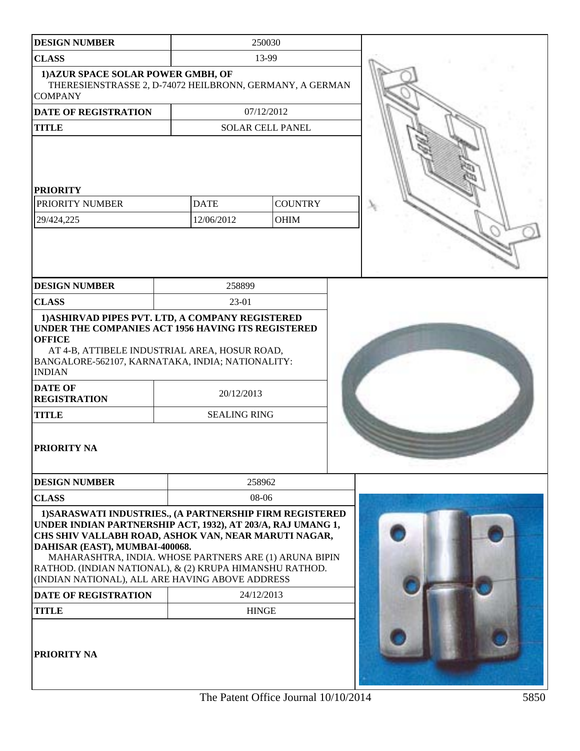| <b>DESIGN NUMBER</b>                                                                                                                                                                                                                                                                                                                                                                                                                                    |                                   | 250030                     |  |  |
|---------------------------------------------------------------------------------------------------------------------------------------------------------------------------------------------------------------------------------------------------------------------------------------------------------------------------------------------------------------------------------------------------------------------------------------------------------|-----------------------------------|----------------------------|--|--|
| <b>CLASS</b>                                                                                                                                                                                                                                                                                                                                                                                                                                            |                                   | 13-99                      |  |  |
| 1) AZUR SPACE SOLAR POWER GMBH, OF<br>THERESIENSTRASSE 2, D-74072 HEILBRONN, GERMANY, A GERMAN<br><b>COMPANY</b>                                                                                                                                                                                                                                                                                                                                        |                                   |                            |  |  |
| <b>DATE OF REGISTRATION</b>                                                                                                                                                                                                                                                                                                                                                                                                                             |                                   | 07/12/2012                 |  |  |
| <b>TITLE</b>                                                                                                                                                                                                                                                                                                                                                                                                                                            |                                   | <b>SOLAR CELL PANEL</b>    |  |  |
| <b>PRIORITY</b><br>PRIORITY NUMBER<br>29/424,225                                                                                                                                                                                                                                                                                                                                                                                                        | <b>DATE</b><br>12/06/2012         | <b>COUNTRY</b><br>OHIM     |  |  |
| <b>DESIGN NUMBER</b>                                                                                                                                                                                                                                                                                                                                                                                                                                    | 258899                            |                            |  |  |
| <b>CLASS</b>                                                                                                                                                                                                                                                                                                                                                                                                                                            | 23-01                             |                            |  |  |
| AT 4-B, ATTIBELE INDUSTRIAL AREA, HOSUR ROAD,<br>BANGALORE-562107, KARNATAKA, INDIA; NATIONALITY:<br><b>INDIAN</b><br><b>DATE OF</b><br><b>REGISTRATION</b><br><b>TITLE</b><br><b>PRIORITY NA</b>                                                                                                                                                                                                                                                       | 20/12/2013<br><b>SEALING RING</b> |                            |  |  |
| <b>DESIGN NUMBER</b>                                                                                                                                                                                                                                                                                                                                                                                                                                    |                                   | 258962                     |  |  |
| <b>CLASS</b>                                                                                                                                                                                                                                                                                                                                                                                                                                            |                                   | 08-06                      |  |  |
| 1) SARASWATI INDUSTRIES., (A PARTNERSHIP FIRM REGISTERED<br>UNDER INDIAN PARTNERSHIP ACT, 1932), AT 203/A, RAJ UMANG 1,<br>CHS SHIV VALLABH ROAD, ASHOK VAN, NEAR MARUTI NAGAR,<br>DAHISAR (EAST), MUMBAI-400068.<br>MAHARASHTRA, INDIA. WHOSE PARTNERS ARE (1) ARUNA BIPIN<br>RATHOD. (INDIAN NATIONAL), & (2) KRUPA HIMANSHU RATHOD.<br>(INDIAN NATIONAL), ALL ARE HAVING ABOVE ADDRESS<br><b>DATE OF REGISTRATION</b><br><b>TITLE</b><br>PRIORITY NA |                                   | 24/12/2013<br><b>HINGE</b> |  |  |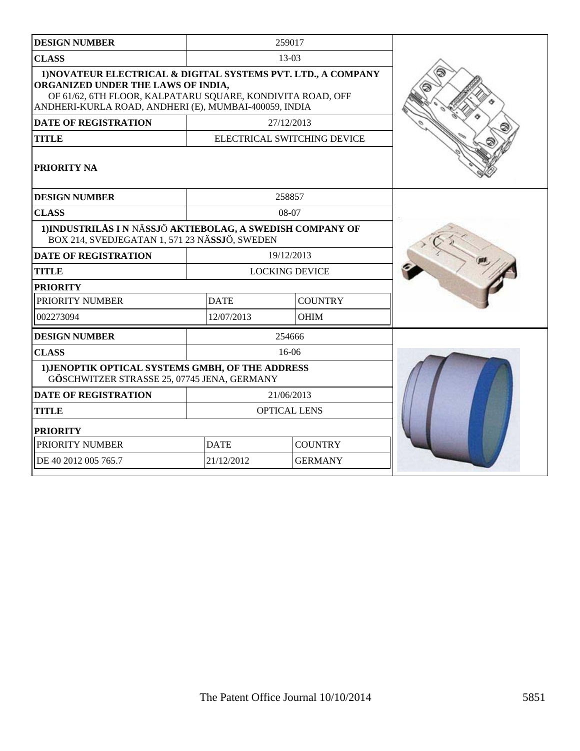| <b>DESIGN NUMBER</b>                                                                                                                                                                                                       |             | 259017                      |  |
|----------------------------------------------------------------------------------------------------------------------------------------------------------------------------------------------------------------------------|-------------|-----------------------------|--|
| <b>CLASS</b>                                                                                                                                                                                                               |             | 13-03                       |  |
| 1) NOVATEUR ELECTRICAL & DIGITAL SYSTEMS PVT. LTD., A COMPANY<br>ORGANIZED UNDER THE LAWS OF INDIA,<br>OF 61/62, 6TH FLOOR, KALPATARU SQUARE, KONDIVITA ROAD, OFF<br>ANDHERI-KURLA ROAD, ANDHERI (E), MUMBAI-400059, INDIA |             |                             |  |
| <b>DATE OF REGISTRATION</b>                                                                                                                                                                                                |             | 27/12/2013                  |  |
| <b>TITLE</b>                                                                                                                                                                                                               |             | ELECTRICAL SWITCHING DEVICE |  |
| <b>PRIORITY NA</b>                                                                                                                                                                                                         |             |                             |  |
| <b>DESIGN NUMBER</b>                                                                                                                                                                                                       |             | 258857                      |  |
| <b>CLASS</b>                                                                                                                                                                                                               |             | 08-07                       |  |
| 1) INDUSTRILÅS I N NÄSSJÖ AKTIEBOLAG, A SWEDISH COMPANY OF<br>BOX 214, SVEDJEGATAN 1, 571 23 NÄSSJÖ, SWEDEN                                                                                                                |             |                             |  |
| <b>DATE OF REGISTRATION</b>                                                                                                                                                                                                |             | 19/12/2013                  |  |
| <b>TITLE</b>                                                                                                                                                                                                               |             | <b>LOCKING DEVICE</b>       |  |
| <b>PRIORITY</b>                                                                                                                                                                                                            |             |                             |  |
| PRIORITY NUMBER                                                                                                                                                                                                            | <b>DATE</b> | <b>COUNTRY</b>              |  |
| 002273094                                                                                                                                                                                                                  | 12/07/2013  | OHIM                        |  |
| <b>DESIGN NUMBER</b>                                                                                                                                                                                                       |             | 254666                      |  |
| <b>CLASS</b>                                                                                                                                                                                                               |             | 16-06                       |  |
| 1) JENOPTIK OPTICAL SYSTEMS GMBH, OF THE ADDRESS<br>GÖSCHWITZER STRASSE 25, 07745 JENA, GERMANY                                                                                                                            |             |                             |  |
| <b>DATE OF REGISTRATION</b>                                                                                                                                                                                                |             | 21/06/2013                  |  |
| <b>TITLE</b>                                                                                                                                                                                                               |             | <b>OPTICAL LENS</b>         |  |
| <b>PRIORITY</b>                                                                                                                                                                                                            |             |                             |  |
| PRIORITY NUMBER                                                                                                                                                                                                            | <b>DATE</b> | <b>COUNTRY</b>              |  |
| DE 40 2012 005 765.7                                                                                                                                                                                                       | 21/12/2012  | <b>GERMANY</b>              |  |
|                                                                                                                                                                                                                            |             |                             |  |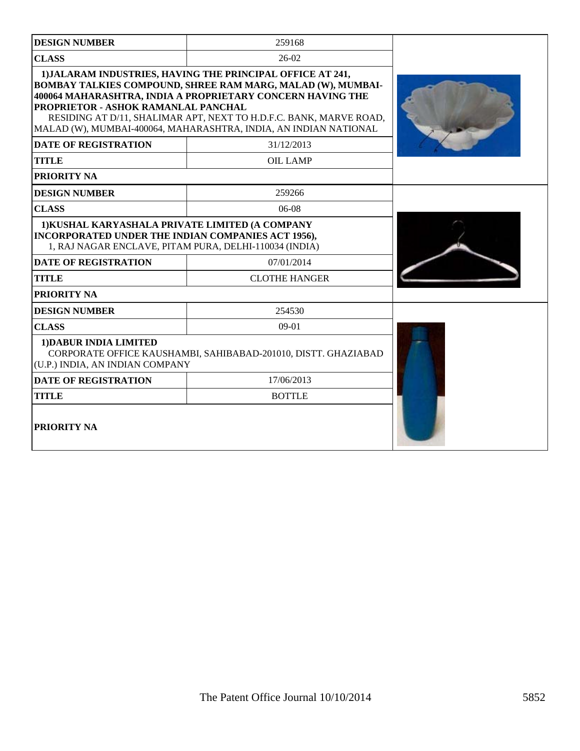| <b>DESIGN NUMBER</b>                                                                                                                                                                                                                                                                                                                                                            | 259168                                                         |  |  |  |
|---------------------------------------------------------------------------------------------------------------------------------------------------------------------------------------------------------------------------------------------------------------------------------------------------------------------------------------------------------------------------------|----------------------------------------------------------------|--|--|--|
| <b>CLASS</b>                                                                                                                                                                                                                                                                                                                                                                    | $26-02$                                                        |  |  |  |
| 1) JALARAM INDUSTRIES, HAVING THE PRINCIPAL OFFICE AT 241,<br><b>BOMBAY TALKIES COMPOUND, SHREE RAM MARG, MALAD (W), MUMBAI-</b><br>400064 MAHARASHTRA, INDIA A PROPRIETARY CONCERN HAVING THE<br>PROPRIETOR - ASHOK RAMANLAL PANCHAL<br>RESIDING AT D/11, SHALIMAR APT, NEXT TO H.D.F.C. BANK, MARVE ROAD,<br>MALAD (W), MUMBAI-400064, MAHARASHTRA, INDIA, AN INDIAN NATIONAL |                                                                |  |  |  |
| <b>DATE OF REGISTRATION</b>                                                                                                                                                                                                                                                                                                                                                     | 31/12/2013                                                     |  |  |  |
| <b>TITLE</b>                                                                                                                                                                                                                                                                                                                                                                    | <b>OIL LAMP</b>                                                |  |  |  |
| PRIORITY NA                                                                                                                                                                                                                                                                                                                                                                     |                                                                |  |  |  |
| <b>DESIGN NUMBER</b>                                                                                                                                                                                                                                                                                                                                                            | 259266                                                         |  |  |  |
| <b>CLASS</b>                                                                                                                                                                                                                                                                                                                                                                    | 06-08                                                          |  |  |  |
| 1) KUSHAL KARYASHALA PRIVATE LIMITED (A COMPANY<br>INCORPORATED UNDER THE INDIAN COMPANIES ACT 1956),<br>1, RAJ NAGAR ENCLAVE, PITAM PURA, DELHI-110034 (INDIA)                                                                                                                                                                                                                 |                                                                |  |  |  |
| <b>DATE OF REGISTRATION</b>                                                                                                                                                                                                                                                                                                                                                     | 07/01/2014                                                     |  |  |  |
| <b>TITLE</b>                                                                                                                                                                                                                                                                                                                                                                    | <b>CLOTHE HANGER</b>                                           |  |  |  |
| PRIORITY NA                                                                                                                                                                                                                                                                                                                                                                     |                                                                |  |  |  |
| <b>DESIGN NUMBER</b>                                                                                                                                                                                                                                                                                                                                                            | 254530                                                         |  |  |  |
| <b>CLASS</b>                                                                                                                                                                                                                                                                                                                                                                    | $09-01$                                                        |  |  |  |
| 1) DABUR INDIA LIMITED<br>(U.P.) INDIA, AN INDIAN COMPANY                                                                                                                                                                                                                                                                                                                       | CORPORATE OFFICE KAUSHAMBI, SAHIBABAD-201010, DISTT. GHAZIABAD |  |  |  |
| <b>DATE OF REGISTRATION</b>                                                                                                                                                                                                                                                                                                                                                     | 17/06/2013                                                     |  |  |  |
| <b>TITLE</b>                                                                                                                                                                                                                                                                                                                                                                    | <b>BOTTLE</b>                                                  |  |  |  |
| PRIORITY NA                                                                                                                                                                                                                                                                                                                                                                     |                                                                |  |  |  |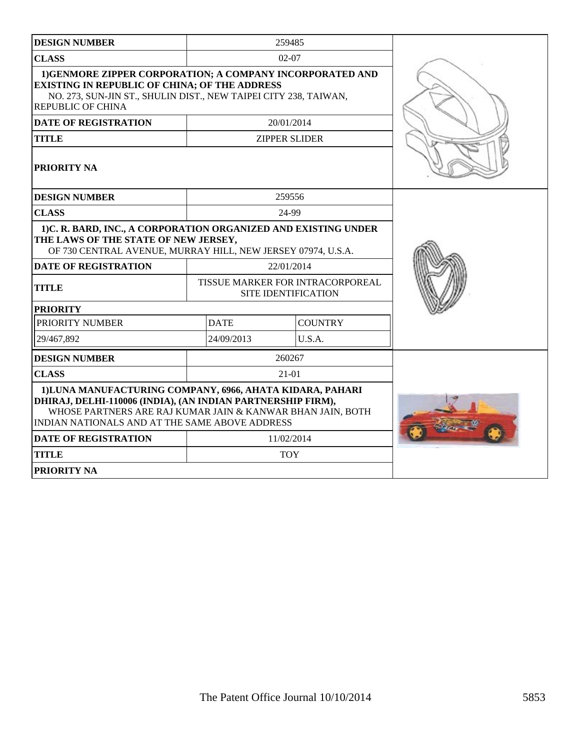| <b>DESIGN NUMBER</b>                                                                                                                                                                                                                     |             | 259485                                                         |  |
|------------------------------------------------------------------------------------------------------------------------------------------------------------------------------------------------------------------------------------------|-------------|----------------------------------------------------------------|--|
| <b>CLASS</b>                                                                                                                                                                                                                             |             | $02 - 07$                                                      |  |
| 1) GENMORE ZIPPER CORPORATION; A COMPANY INCORPORATED AND<br><b>EXISTING IN REPUBLIC OF CHINA; OF THE ADDRESS</b><br>NO. 273, SUN-JIN ST., SHULIN DIST., NEW TAIPEI CITY 238, TAIWAN,<br><b>REPUBLIC OF CHINA</b>                        |             |                                                                |  |
| <b>DATE OF REGISTRATION</b>                                                                                                                                                                                                              |             | 20/01/2014                                                     |  |
| <b>TITLE</b>                                                                                                                                                                                                                             |             | <b>ZIPPER SLIDER</b>                                           |  |
| <b>PRIORITY NA</b>                                                                                                                                                                                                                       |             |                                                                |  |
| <b>DESIGN NUMBER</b>                                                                                                                                                                                                                     |             | 259556                                                         |  |
| <b>CLASS</b>                                                                                                                                                                                                                             |             | 24-99                                                          |  |
| 1)C. R. BARD, INC., A CORPORATION ORGANIZED AND EXISTING UNDER<br>THE LAWS OF THE STATE OF NEW JERSEY,<br>OF 730 CENTRAL AVENUE, MURRAY HILL, NEW JERSEY 07974, U.S.A.                                                                   |             |                                                                |  |
| <b>DATE OF REGISTRATION</b>                                                                                                                                                                                                              |             | 22/01/2014                                                     |  |
| <b>TITLE</b>                                                                                                                                                                                                                             |             | TISSUE MARKER FOR INTRACORPOREAL<br><b>SITE IDENTIFICATION</b> |  |
| <b>PRIORITY</b>                                                                                                                                                                                                                          |             |                                                                |  |
| PRIORITY NUMBER                                                                                                                                                                                                                          | <b>DATE</b> | <b>COUNTRY</b>                                                 |  |
| 29/467,892                                                                                                                                                                                                                               | 24/09/2013  | U.S.A.                                                         |  |
| <b>DESIGN NUMBER</b>                                                                                                                                                                                                                     |             | 260267                                                         |  |
| <b>CLASS</b>                                                                                                                                                                                                                             |             | $21-01$                                                        |  |
| 1) LUNA MANUFACTURING COMPANY, 6966, AHATA KIDARA, PAHARI<br>DHIRAJ, DELHI-110006 (INDIA), (AN INDIAN PARTNERSHIP FIRM),<br>WHOSE PARTNERS ARE RAJ KUMAR JAIN & KANWAR BHAN JAIN, BOTH<br>INDIAN NATIONALS AND AT THE SAME ABOVE ADDRESS |             |                                                                |  |
| <b>DATE OF REGISTRATION</b>                                                                                                                                                                                                              |             | 11/02/2014                                                     |  |
| <b>TITLE</b>                                                                                                                                                                                                                             |             | <b>TOY</b>                                                     |  |
| <b>PRIORITY NA</b>                                                                                                                                                                                                                       |             |                                                                |  |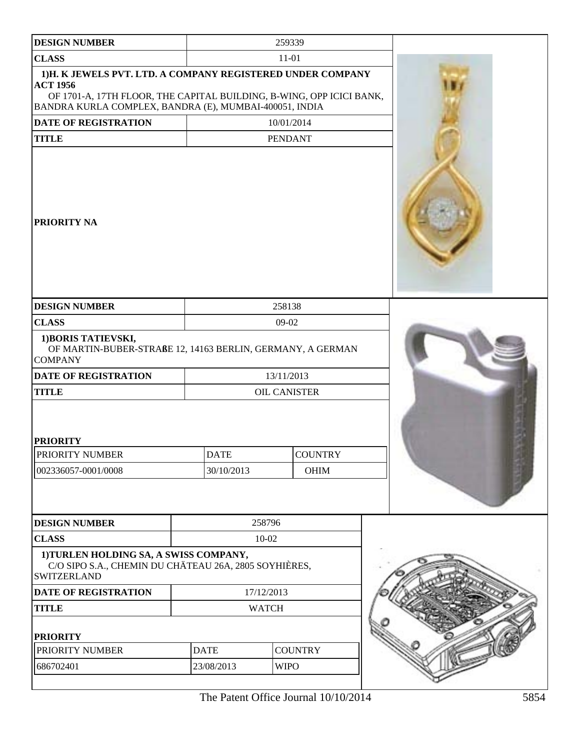| <b>DESIGN NUMBER</b>                                                                                                                                                                                            |                           | 259339                 |  |
|-----------------------------------------------------------------------------------------------------------------------------------------------------------------------------------------------------------------|---------------------------|------------------------|--|
| <b>CLASS</b>                                                                                                                                                                                                    |                           | $11 - 01$              |  |
| 1)H. K JEWELS PVT. LTD. A COMPANY REGISTERED UNDER COMPANY<br><b>ACT 1956</b><br>OF 1701-A, 17TH FLOOR, THE CAPITAL BUILDING, B-WING, OPP ICICI BANK,<br>BANDRA KURLA COMPLEX, BANDRA (E), MUMBAI-400051, INDIA |                           |                        |  |
| DATE OF REGISTRATION                                                                                                                                                                                            |                           | 10/01/2014             |  |
| <b>TITLE</b>                                                                                                                                                                                                    |                           | <b>PENDANT</b>         |  |
| PRIORITY NA                                                                                                                                                                                                     |                           |                        |  |
| <b>DESIGN NUMBER</b>                                                                                                                                                                                            |                           | 258138                 |  |
| <b>CLASS</b>                                                                                                                                                                                                    |                           | 09-02                  |  |
| 1) BORIS TATIEVSKI,<br>OF MARTIN-BUBER-STRAßE 12, 14163 BERLIN, GERMANY, A GERMAN<br><b>COMPANY</b>                                                                                                             |                           |                        |  |
| <b>DATE OF REGISTRATION</b>                                                                                                                                                                                     |                           | 13/11/2013             |  |
| <b>TITLE</b>                                                                                                                                                                                                    |                           | <b>OIL CANISTER</b>    |  |
| <b>PRIORITY</b><br><b>PRIORITY NUMBER</b><br>002336057-0001/0008                                                                                                                                                | <b>DATE</b><br>30/10/2013 | <b>COUNTRY</b><br>OHIM |  |
| <b>DESIGN NUMBER</b>                                                                                                                                                                                            |                           | 258796                 |  |
| <b>CLASS</b>                                                                                                                                                                                                    |                           | 10-02                  |  |
| 1) TURLEN HOLDING SA, A SWISS COMPANY,<br>C/O SIPO S.A., CHEMIN DU CHÄTEAU 26A, 2805 SOYHIÈRES,<br><b>SWITZERLAND</b>                                                                                           |                           |                        |  |
| DATE OF REGISTRATION                                                                                                                                                                                            |                           | 17/12/2013             |  |
| <b>TITLE</b>                                                                                                                                                                                                    |                           | <b>WATCH</b>           |  |
| <b>PRIORITY</b>                                                                                                                                                                                                 |                           |                        |  |
| PRIORITY NUMBER                                                                                                                                                                                                 | <b>DATE</b>               | <b>COUNTRY</b>         |  |
| 686702401                                                                                                                                                                                                       | 23/08/2013                | <b>WIPO</b>            |  |
|                                                                                                                                                                                                                 |                           |                        |  |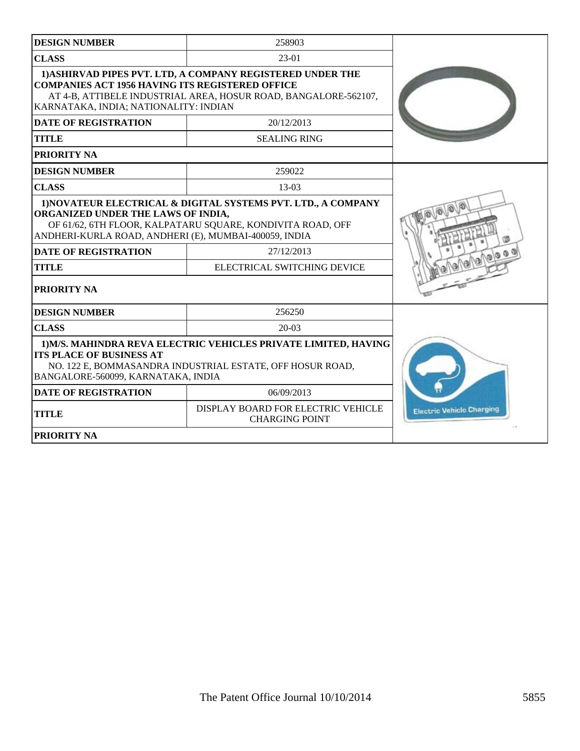| <b>DESIGN NUMBER</b>                                                                                                                                                                                                                                      | 258903                                                                                                                        |                                        |
|-----------------------------------------------------------------------------------------------------------------------------------------------------------------------------------------------------------------------------------------------------------|-------------------------------------------------------------------------------------------------------------------------------|----------------------------------------|
| <b>CLASS</b>                                                                                                                                                                                                                                              | $23-01$                                                                                                                       |                                        |
| <b>COMPANIES ACT 1956 HAVING ITS REGISTERED OFFICE</b><br>KARNATAKA, INDIA; NATIONALITY: INDIAN                                                                                                                                                           | 1) ASHIRVAD PIPES PVT. LTD, A COMPANY REGISTERED UNDER THE<br>AT 4-B, ATTIBELE INDUSTRIAL AREA, HOSUR ROAD, BANGALORE-562107, |                                        |
| <b>DATE OF REGISTRATION</b>                                                                                                                                                                                                                               | 20/12/2013                                                                                                                    |                                        |
| <b>TITLE</b>                                                                                                                                                                                                                                              | <b>SEALING RING</b>                                                                                                           |                                        |
| <b>PRIORITY NA</b>                                                                                                                                                                                                                                        |                                                                                                                               |                                        |
| <b>DESIGN NUMBER</b>                                                                                                                                                                                                                                      | 259022                                                                                                                        |                                        |
| <b>CLASS</b>                                                                                                                                                                                                                                              | $13-03$                                                                                                                       |                                        |
| 1) NOVATEUR ELECTRICAL & DIGITAL SYSTEMS PVT. LTD., A COMPANY<br>ORGANIZED UNDER THE LAWS OF INDIA,<br>OF 61/62, 6TH FLOOR, KALPATARU SQUARE, KONDIVITA ROAD, OFF<br>ANDHERI-KURLA ROAD, ANDHERI (E), MUMBAI-400059, INDIA<br><b>DATE OF REGISTRATION</b> |                                                                                                                               |                                        |
| <b>TITLE</b>                                                                                                                                                                                                                                              | 27/12/2013<br>ELECTRICAL SWITCHING DEVICE                                                                                     | $D \otimes \mathcal{O}(\mathcal{Q}_0)$ |
| PRIORITY NA                                                                                                                                                                                                                                               |                                                                                                                               |                                        |
| <b>DESIGN NUMBER</b>                                                                                                                                                                                                                                      | 256250                                                                                                                        |                                        |
| <b>CLASS</b>                                                                                                                                                                                                                                              | $20-03$                                                                                                                       |                                        |
| 1) M/S. MAHINDRA REVA ELECTRIC VEHICLES PRIVATE LIMITED, HAVING<br><b>ITS PLACE OF BUSINESS AT</b><br>NO. 122 E, BOMMASANDRA INDUSTRIAL ESTATE, OFF HOSUR ROAD,<br>BANGALORE-560099, KARNATAKA, INDIA                                                     |                                                                                                                               |                                        |
| <b>DATE OF REGISTRATION</b>                                                                                                                                                                                                                               | 06/09/2013                                                                                                                    |                                        |
| <b>TITLE</b>                                                                                                                                                                                                                                              | DISPLAY BOARD FOR ELECTRIC VEHICLE<br><b>CHARGING POINT</b>                                                                   | <b>Electric Vehicle Charging</b>       |
| PRIORITY NA                                                                                                                                                                                                                                               |                                                                                                                               |                                        |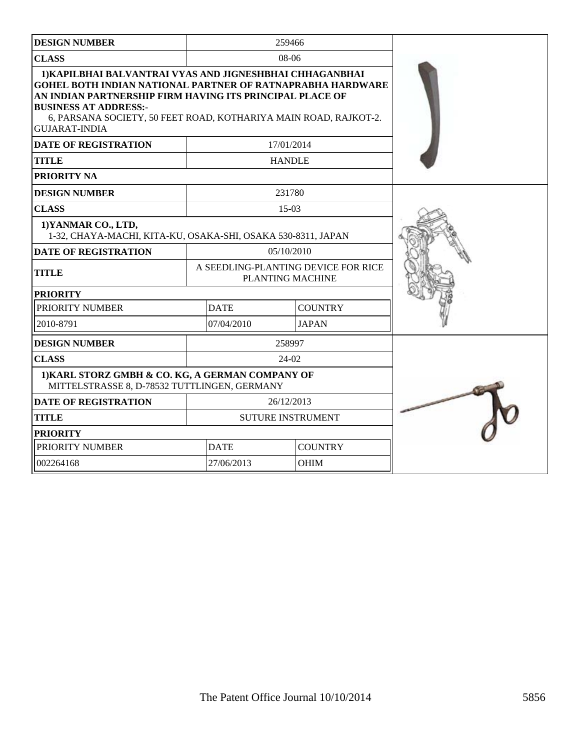| <b>DESIGN NUMBER</b>                                                                                                                                                                                                                                                                                                  |                                                         | 259466        |                |  |
|-----------------------------------------------------------------------------------------------------------------------------------------------------------------------------------------------------------------------------------------------------------------------------------------------------------------------|---------------------------------------------------------|---------------|----------------|--|
| <b>CLASS</b>                                                                                                                                                                                                                                                                                                          |                                                         | $08-06$       |                |  |
| 1) KAPILBHAI BALVANTRAI VYAS AND JIGNESHBHAI CHHAGANBHAI<br><b>GOHEL BOTH INDIAN NATIONAL PARTNER OF RATNAPRABHA HARDWARE</b><br>AN INDIAN PARTNERSHIP FIRM HAVING ITS PRINCIPAL PLACE OF<br><b>BUSINESS AT ADDRESS:-</b><br>6, PARSANA SOCIETY, 50 FEET ROAD, KOTHARIYA MAIN ROAD, RAJKOT-2.<br><b>GUJARAT-INDIA</b> |                                                         |               |                |  |
| <b>DATE OF REGISTRATION</b>                                                                                                                                                                                                                                                                                           |                                                         | 17/01/2014    |                |  |
| <b>TITLE</b>                                                                                                                                                                                                                                                                                                          |                                                         | <b>HANDLE</b> |                |  |
| PRIORITY NA                                                                                                                                                                                                                                                                                                           |                                                         |               |                |  |
| <b>DESIGN NUMBER</b>                                                                                                                                                                                                                                                                                                  |                                                         | 231780        |                |  |
| <b>CLASS</b>                                                                                                                                                                                                                                                                                                          |                                                         | $15-03$       |                |  |
| 1) YANMAR CO., LTD,<br>1-32, CHAYA-MACHI, KITA-KU, OSAKA-SHI, OSAKA 530-8311, JAPAN                                                                                                                                                                                                                                   |                                                         |               |                |  |
| <b>DATE OF REGISTRATION</b>                                                                                                                                                                                                                                                                                           | 05/10/2010                                              |               |                |  |
| <b>TITLE</b>                                                                                                                                                                                                                                                                                                          | A SEEDLING-PLANTING DEVICE FOR RICE<br>PLANTING MACHINE |               |                |  |
| <b>PRIORITY</b>                                                                                                                                                                                                                                                                                                       |                                                         |               |                |  |
| PRIORITY NUMBER                                                                                                                                                                                                                                                                                                       | <b>DATE</b>                                             |               | <b>COUNTRY</b> |  |
| 2010-8791                                                                                                                                                                                                                                                                                                             | 07/04/2010                                              |               | <b>JAPAN</b>   |  |
| <b>DESIGN NUMBER</b>                                                                                                                                                                                                                                                                                                  |                                                         | 258997        |                |  |
| <b>CLASS</b>                                                                                                                                                                                                                                                                                                          |                                                         | $24-02$       |                |  |
| 1) KARL STORZ GMBH & CO. KG, A GERMAN COMPANY OF<br>MITTELSTRASSE 8, D-78532 TUTTLINGEN, GERMANY                                                                                                                                                                                                                      |                                                         |               |                |  |
| <b>DATE OF REGISTRATION</b>                                                                                                                                                                                                                                                                                           | 26/12/2013                                              |               |                |  |
| <b>TITLE</b>                                                                                                                                                                                                                                                                                                          | <b>SUTURE INSTRUMENT</b>                                |               |                |  |
| <b>PRIORITY</b>                                                                                                                                                                                                                                                                                                       |                                                         |               |                |  |
| PRIORITY NUMBER                                                                                                                                                                                                                                                                                                       | <b>DATE</b>                                             |               | <b>COUNTRY</b> |  |
| 002264168                                                                                                                                                                                                                                                                                                             | 27/06/2013                                              |               | OHIM           |  |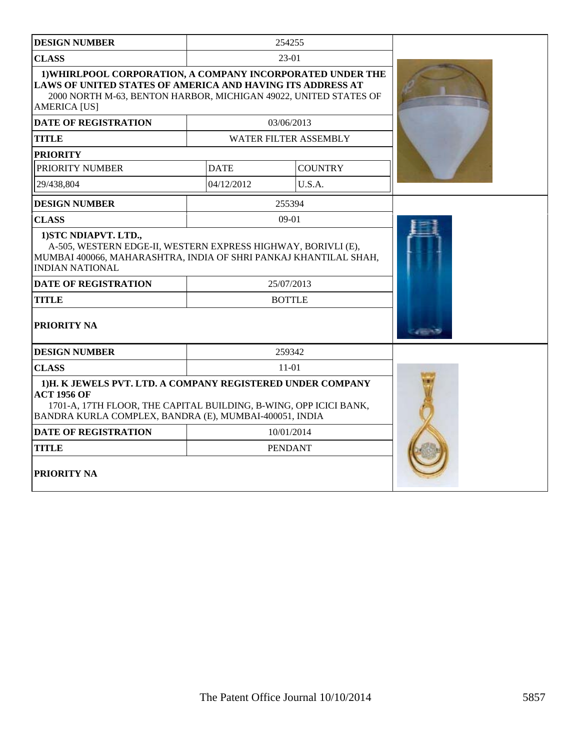| <b>DESIGN NUMBER</b>                                                                                                                                                                                                       |             | 254255                       |  |
|----------------------------------------------------------------------------------------------------------------------------------------------------------------------------------------------------------------------------|-------------|------------------------------|--|
| <b>CLASS</b>                                                                                                                                                                                                               |             | 23-01                        |  |
| 1) WHIRLPOOL CORPORATION, A COMPANY INCORPORATED UNDER THE<br><b>LAWS OF UNITED STATES OF AMERICA AND HAVING ITS ADDRESS AT</b><br>2000 NORTH M-63, BENTON HARBOR, MICHIGAN 49022, UNITED STATES OF<br><b>AMERICA [US]</b> |             |                              |  |
| <b>DATE OF REGISTRATION</b>                                                                                                                                                                                                |             | 03/06/2013                   |  |
| <b>TITLE</b>                                                                                                                                                                                                               |             | <b>WATER FILTER ASSEMBLY</b> |  |
| <b>PRIORITY</b>                                                                                                                                                                                                            |             |                              |  |
| PRIORITY NUMBER                                                                                                                                                                                                            | <b>DATE</b> | <b>COUNTRY</b>               |  |
| 29/438,804                                                                                                                                                                                                                 | 04/12/2012  | U.S.A.                       |  |
| <b>DESIGN NUMBER</b>                                                                                                                                                                                                       |             | 255394                       |  |
| <b>CLASS</b>                                                                                                                                                                                                               |             | $09-01$                      |  |
| 1) STC NDIAPVT. LTD.,<br>A-505, WESTERN EDGE-II, WESTERN EXPRESS HIGHWAY, BORIVLI (E),<br>MUMBAI 400066, MAHARASHTRA, INDIA OF SHRI PANKAJ KHANTILAL SHAH,<br><b>INDIAN NATIONAL</b>                                       |             |                              |  |
| <b>DATE OF REGISTRATION</b>                                                                                                                                                                                                |             | 25/07/2013                   |  |
| <b>TITLE</b>                                                                                                                                                                                                               |             | <b>BOTTLE</b>                |  |
| PRIORITY NA                                                                                                                                                                                                                |             |                              |  |
| <b>DESIGN NUMBER</b>                                                                                                                                                                                                       |             | 259342                       |  |
| <b>CLASS</b>                                                                                                                                                                                                               |             |                              |  |
| 1)H. K JEWELS PVT. LTD. A COMPANY REGISTERED UNDER COMPANY<br><b>ACT 1956 OF</b><br>1701-A, 17TH FLOOR, THE CAPITAL BUILDING, B-WING, OPP ICICI BANK,<br>BANDRA KURLA COMPLEX, BANDRA (E), MUMBAI-400051, INDIA            |             |                              |  |
| <b>DATE OF REGISTRATION</b>                                                                                                                                                                                                |             | 10/01/2014                   |  |
| <b>TITLE</b>                                                                                                                                                                                                               |             | <b>PENDANT</b>               |  |
| PRIORITY NA                                                                                                                                                                                                                |             |                              |  |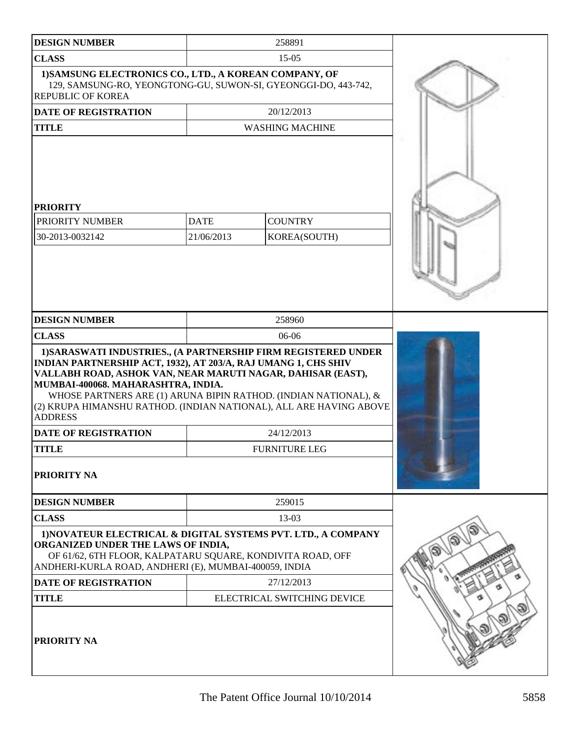| <b>DESIGN NUMBER</b>                                                                                                                                                                                                                                                                                                                                                                                                                            |                           | 258891                                    |  |
|-------------------------------------------------------------------------------------------------------------------------------------------------------------------------------------------------------------------------------------------------------------------------------------------------------------------------------------------------------------------------------------------------------------------------------------------------|---------------------------|-------------------------------------------|--|
| <b>CLASS</b>                                                                                                                                                                                                                                                                                                                                                                                                                                    |                           | $15-05$                                   |  |
| 1) SAMSUNG ELECTRONICS CO., LTD., A KOREAN COMPANY, OF<br>129, SAMSUNG-RO, YEONGTONG-GU, SUWON-SI, GYEONGGI-DO, 443-742,<br><b>REPUBLIC OF KOREA</b>                                                                                                                                                                                                                                                                                            |                           |                                           |  |
| <b>DATE OF REGISTRATION</b>                                                                                                                                                                                                                                                                                                                                                                                                                     |                           | 20/12/2013                                |  |
| <b>TITLE</b>                                                                                                                                                                                                                                                                                                                                                                                                                                    |                           | <b>WASHING MACHINE</b>                    |  |
| <b>PRIORITY</b><br>PRIORITY NUMBER<br>30-2013-0032142                                                                                                                                                                                                                                                                                                                                                                                           | <b>DATE</b><br>21/06/2013 | <b>COUNTRY</b><br>KOREA(SOUTH)            |  |
| <b>DESIGN NUMBER</b>                                                                                                                                                                                                                                                                                                                                                                                                                            |                           | 258960                                    |  |
| <b>CLASS</b>                                                                                                                                                                                                                                                                                                                                                                                                                                    |                           | 06-06                                     |  |
| 1) SARASWATI INDUSTRIES., (A PARTNERSHIP FIRM REGISTERED UNDER<br>INDIAN PARTNERSHIP ACT, 1932), AT 203/A, RAJ UMANG 1, CHS SHIV<br>VALLABH ROAD, ASHOK VAN, NEAR MARUTI NAGAR, DAHISAR (EAST),<br>MUMBAI-400068. MAHARASHTRA, INDIA.<br>WHOSE PARTNERS ARE (1) ARUNA BIPIN RATHOD. (INDIAN NATIONAL), &<br>(2) KRUPA HIMANSHU RATHOD. (INDIAN NATIONAL), ALL ARE HAVING ABOVE<br><b>ADDRESS</b><br><b>DATE OF REGISTRATION</b><br><b>TITLE</b> |                           |                                           |  |
| PRIORITY NA                                                                                                                                                                                                                                                                                                                                                                                                                                     |                           |                                           |  |
| <b>DESIGN NUMBER</b>                                                                                                                                                                                                                                                                                                                                                                                                                            |                           | 259015                                    |  |
| <b>CLASS</b>                                                                                                                                                                                                                                                                                                                                                                                                                                    |                           | 13-03                                     |  |
| 1) NOVATEUR ELECTRICAL & DIGITAL SYSTEMS PVT. LTD., A COMPANY<br>ORGANIZED UNDER THE LAWS OF INDIA,<br>OF 61/62, 6TH FLOOR, KALPATARU SQUARE, KONDIVITA ROAD, OFF<br>ANDHERI-KURLA ROAD, ANDHERI (E), MUMBAI-400059, INDIA<br><b>DATE OF REGISTRATION</b>                                                                                                                                                                                       |                           |                                           |  |
| <b>TITLE</b>                                                                                                                                                                                                                                                                                                                                                                                                                                    |                           | 27/12/2013<br>ELECTRICAL SWITCHING DEVICE |  |
| PRIORITY NA                                                                                                                                                                                                                                                                                                                                                                                                                                     |                           |                                           |  |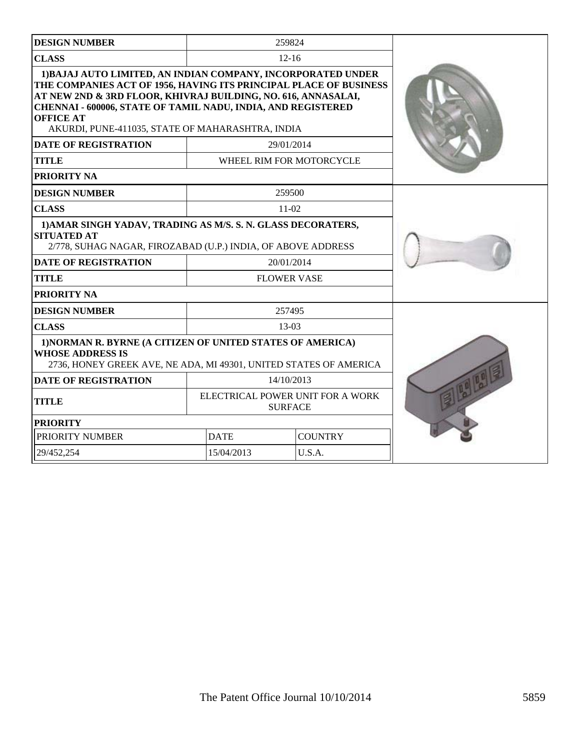| <b>DESIGN NUMBER</b>                                                                                                                                                                                                                                                                                                                       | 259824                                             |                |  |
|--------------------------------------------------------------------------------------------------------------------------------------------------------------------------------------------------------------------------------------------------------------------------------------------------------------------------------------------|----------------------------------------------------|----------------|--|
| <b>CLASS</b>                                                                                                                                                                                                                                                                                                                               | $12 - 16$                                          |                |  |
| 1) BAJAJ AUTO LIMITED, AN INDIAN COMPANY, INCORPORATED UNDER<br>THE COMPANIES ACT OF 1956, HAVING ITS PRINCIPAL PLACE OF BUSINESS<br>AT NEW 2ND & 3RD FLOOR, KHIVRAJ BUILDING, NO. 616, ANNASALAI,<br>CHENNAI - 600006, STATE OF TAMIL NADU, INDIA, AND REGISTERED<br><b>OFFICE AT</b><br>AKURDI, PUNE-411035, STATE OF MAHARASHTRA, INDIA |                                                    |                |  |
| <b>DATE OF REGISTRATION</b>                                                                                                                                                                                                                                                                                                                | 29/01/2014                                         |                |  |
| <b>TITLE</b>                                                                                                                                                                                                                                                                                                                               | WHEEL RIM FOR MOTORCYCLE                           |                |  |
| PRIORITY NA                                                                                                                                                                                                                                                                                                                                |                                                    |                |  |
| <b>DESIGN NUMBER</b>                                                                                                                                                                                                                                                                                                                       | 259500                                             |                |  |
| <b>CLASS</b>                                                                                                                                                                                                                                                                                                                               | $11-02$                                            |                |  |
| 1) AMAR SINGH YADAV, TRADING AS M/S. S. N. GLASS DECORATERS,<br><b>SITUATED AT</b><br>2/778, SUHAG NAGAR, FIROZABAD (U.P.) INDIA, OF ABOVE ADDRESS                                                                                                                                                                                         |                                                    |                |  |
| <b>DATE OF REGISTRATION</b>                                                                                                                                                                                                                                                                                                                | 20/01/2014                                         |                |  |
| <b>TITLE</b>                                                                                                                                                                                                                                                                                                                               | <b>FLOWER VASE</b>                                 |                |  |
| <b>PRIORITY NA</b>                                                                                                                                                                                                                                                                                                                         |                                                    |                |  |
| <b>DESIGN NUMBER</b>                                                                                                                                                                                                                                                                                                                       | 257495                                             |                |  |
| <b>CLASS</b>                                                                                                                                                                                                                                                                                                                               | 13-03                                              |                |  |
| 1) NORMAN R. BYRNE (A CITIZEN OF UNITED STATES OF AMERICA)<br><b>WHOSE ADDRESS IS</b><br>2736, HONEY GREEK AVE, NE ADA, MI 49301, UNITED STATES OF AMERICA                                                                                                                                                                                 |                                                    |                |  |
| <b>DATE OF REGISTRATION</b>                                                                                                                                                                                                                                                                                                                | 14/10/2013                                         |                |  |
| <b>TITLE</b>                                                                                                                                                                                                                                                                                                                               | ELECTRICAL POWER UNIT FOR A WORK<br><b>SURFACE</b> |                |  |
| <b>PRIORITY</b>                                                                                                                                                                                                                                                                                                                            |                                                    |                |  |
| PRIORITY NUMBER                                                                                                                                                                                                                                                                                                                            | <b>DATE</b>                                        | <b>COUNTRY</b> |  |
| 29/452,254                                                                                                                                                                                                                                                                                                                                 | 15/04/2013                                         | U.S.A.         |  |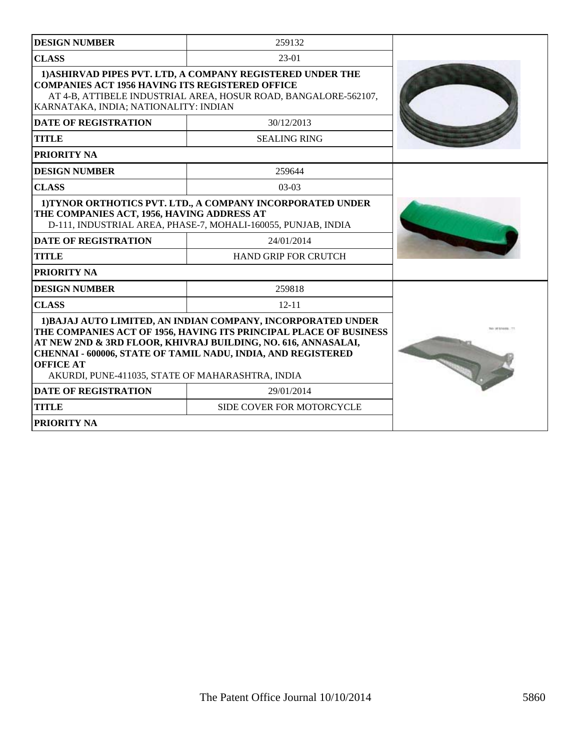| <b>DESIGN NUMBER</b>                                                                                                                                                                                                                                                                                                                       | 259132                                                                                                                      |  |
|--------------------------------------------------------------------------------------------------------------------------------------------------------------------------------------------------------------------------------------------------------------------------------------------------------------------------------------------|-----------------------------------------------------------------------------------------------------------------------------|--|
| <b>CLASS</b>                                                                                                                                                                                                                                                                                                                               | $23-01$                                                                                                                     |  |
| 1) ASHIRVAD PIPES PVT. LTD, A COMPANY REGISTERED UNDER THE<br><b>COMPANIES ACT 1956 HAVING ITS REGISTERED OFFICE</b><br>AT 4-B, ATTIBELE INDUSTRIAL AREA, HOSUR ROAD, BANGALORE-562107,<br>KARNATAKA, INDIA; NATIONALITY: INDIAN                                                                                                           |                                                                                                                             |  |
| <b>DATE OF REGISTRATION</b>                                                                                                                                                                                                                                                                                                                | 30/12/2013                                                                                                                  |  |
| <b>TITLE</b>                                                                                                                                                                                                                                                                                                                               | <b>SEALING RING</b>                                                                                                         |  |
| <b>PRIORITY NA</b>                                                                                                                                                                                                                                                                                                                         |                                                                                                                             |  |
| <b>DESIGN NUMBER</b>                                                                                                                                                                                                                                                                                                                       | 259644                                                                                                                      |  |
| <b>CLASS</b>                                                                                                                                                                                                                                                                                                                               | $03-03$                                                                                                                     |  |
| THE COMPANIES ACT, 1956, HAVING ADDRESS AT                                                                                                                                                                                                                                                                                                 | 1) TYNOR ORTHOTICS PVT. LTD., A COMPANY INCORPORATED UNDER<br>D-111, INDUSTRIAL AREA, PHASE-7, MOHALI-160055, PUNJAB, INDIA |  |
| <b>DATE OF REGISTRATION</b>                                                                                                                                                                                                                                                                                                                | 24/01/2014                                                                                                                  |  |
| <b>TITLE</b>                                                                                                                                                                                                                                                                                                                               | <b>HAND GRIP FOR CRUTCH</b>                                                                                                 |  |
| <b>PRIORITY NA</b>                                                                                                                                                                                                                                                                                                                         |                                                                                                                             |  |
| <b>DESIGN NUMBER</b>                                                                                                                                                                                                                                                                                                                       | 259818                                                                                                                      |  |
| <b>CLASS</b>                                                                                                                                                                                                                                                                                                                               | $12 - 11$                                                                                                                   |  |
| 1) BAJAJ AUTO LIMITED, AN INDIAN COMPANY, INCORPORATED UNDER<br>THE COMPANIES ACT OF 1956, HAVING ITS PRINCIPAL PLACE OF BUSINESS<br>AT NEW 2ND & 3RD FLOOR, KHIVRAJ BUILDING, NO. 616, ANNASALAI,<br>CHENNAI - 600006, STATE OF TAMIL NADU, INDIA, AND REGISTERED<br><b>OFFICE AT</b><br>AKURDI, PUNE-411035, STATE OF MAHARASHTRA, INDIA |                                                                                                                             |  |
| <b>DATE OF REGISTRATION</b>                                                                                                                                                                                                                                                                                                                | 29/01/2014                                                                                                                  |  |
| <b>TITLE</b>                                                                                                                                                                                                                                                                                                                               | SIDE COVER FOR MOTORCYCLE                                                                                                   |  |
| <b>PRIORITY NA</b>                                                                                                                                                                                                                                                                                                                         |                                                                                                                             |  |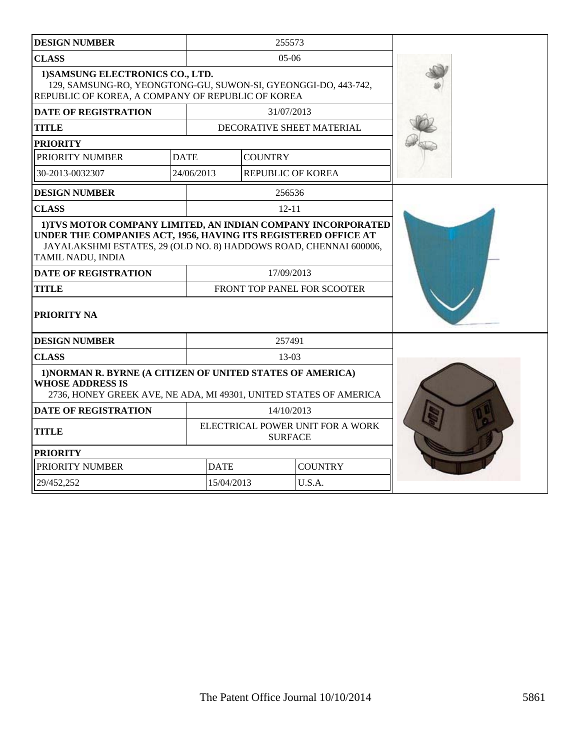| <b>DESIGN NUMBER</b>                                                                                                                                                                                                                                                                                                                |             |                                                    | 255573                   |                           |  |
|-------------------------------------------------------------------------------------------------------------------------------------------------------------------------------------------------------------------------------------------------------------------------------------------------------------------------------------|-------------|----------------------------------------------------|--------------------------|---------------------------|--|
| <b>CLASS</b>                                                                                                                                                                                                                                                                                                                        | $05-06$     |                                                    |                          |                           |  |
| 1) SAMSUNG ELECTRONICS CO., LTD.<br>129, SAMSUNG-RO, YEONGTONG-GU, SUWON-SI, GYEONGGI-DO, 443-742,<br>REPUBLIC OF KOREA, A COMPANY OF REPUBLIC OF KOREA                                                                                                                                                                             |             |                                                    |                          |                           |  |
| <b>DATE OF REGISTRATION</b>                                                                                                                                                                                                                                                                                                         |             |                                                    | 31/07/2013               |                           |  |
| <b>TITLE</b>                                                                                                                                                                                                                                                                                                                        |             |                                                    |                          | DECORATIVE SHEET MATERIAL |  |
| <b>PRIORITY</b>                                                                                                                                                                                                                                                                                                                     |             |                                                    |                          |                           |  |
| PRIORITY NUMBER                                                                                                                                                                                                                                                                                                                     | <b>DATE</b> |                                                    | <b>COUNTRY</b>           |                           |  |
| 30-2013-0032307                                                                                                                                                                                                                                                                                                                     | 24/06/2013  |                                                    | <b>REPUBLIC OF KOREA</b> |                           |  |
| <b>DESIGN NUMBER</b>                                                                                                                                                                                                                                                                                                                |             |                                                    | 256536                   |                           |  |
| <b>CLASS</b>                                                                                                                                                                                                                                                                                                                        |             |                                                    | $12 - 11$                |                           |  |
| 1) TVS MOTOR COMPANY LIMITED, AN INDIAN COMPANY INCORPORATED<br>UNDER THE COMPANIES ACT, 1956, HAVING ITS REGISTERED OFFICE AT<br>JAYALAKSHMI ESTATES, 29 (OLD NO. 8) HADDOWS ROAD, CHENNAI 600006,<br>TAMIL NADU, INDIA<br>17/09/2013<br><b>DATE OF REGISTRATION</b><br>FRONT TOP PANEL FOR SCOOTER<br><b>TITLE</b><br>PRIORITY NA |             |                                                    |                          |                           |  |
| <b>DESIGN NUMBER</b>                                                                                                                                                                                                                                                                                                                |             | 257491                                             |                          |                           |  |
| <b>CLASS</b>                                                                                                                                                                                                                                                                                                                        |             | 13-03                                              |                          |                           |  |
| 1) NORMAN R. BYRNE (A CITIZEN OF UNITED STATES OF AMERICA)<br><b>WHOSE ADDRESS IS</b><br>2736, HONEY GREEK AVE, NE ADA, MI 49301, UNITED STATES OF AMERICA                                                                                                                                                                          |             |                                                    |                          |                           |  |
| <b>DATE OF REGISTRATION</b>                                                                                                                                                                                                                                                                                                         |             | 14/10/2013                                         |                          |                           |  |
| <b>TITLE</b>                                                                                                                                                                                                                                                                                                                        |             | ELECTRICAL POWER UNIT FOR A WORK<br><b>SURFACE</b> |                          |                           |  |
| <b>PRIORITY</b>                                                                                                                                                                                                                                                                                                                     |             |                                                    |                          |                           |  |
| PRIORITY NUMBER                                                                                                                                                                                                                                                                                                                     |             | <b>DATE</b><br><b>COUNTRY</b>                      |                          |                           |  |
| 29/452,252                                                                                                                                                                                                                                                                                                                          |             | U.S.A.<br>15/04/2013                               |                          |                           |  |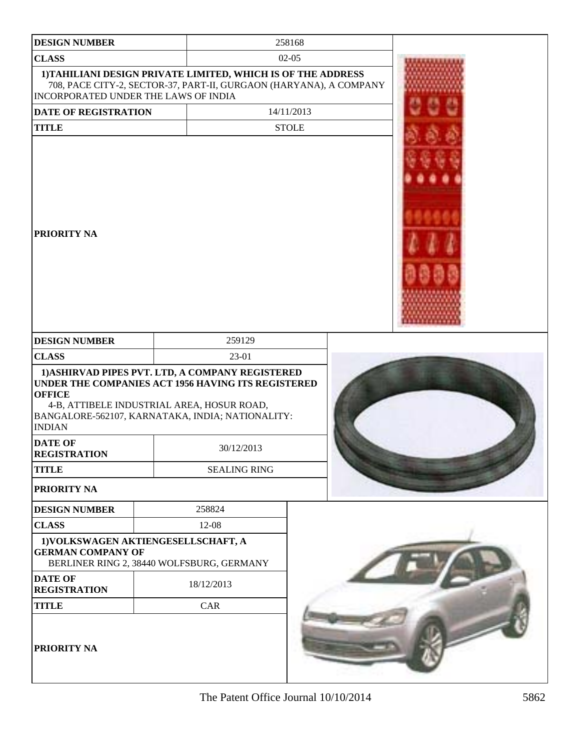| <b>DESIGN NUMBER</b>                  | 258168                                                                                                                                                                                                   |            |  |  |  |
|---------------------------------------|----------------------------------------------------------------------------------------------------------------------------------------------------------------------------------------------------------|------------|--|--|--|
| <b>CLASS</b>                          | $02 - 05$                                                                                                                                                                                                |            |  |  |  |
| INCORPORATED UNDER THE LAWS OF INDIA  | 1) TAHILIANI DESIGN PRIVATE LIMITED, WHICH IS OF THE ADDRESS<br>708, PACE CITY-2, SECTOR-37, PART-II, GURGAON (HARYANA), A COMPANY                                                                       |            |  |  |  |
| DATE OF REGISTRATION                  |                                                                                                                                                                                                          | 14/11/2013 |  |  |  |
| <b>TITLE</b>                          | <b>STOLE</b>                                                                                                                                                                                             |            |  |  |  |
| <b>PRIORITY NA</b>                    |                                                                                                                                                                                                          |            |  |  |  |
| <b>DESIGN NUMBER</b>                  | 259129                                                                                                                                                                                                   |            |  |  |  |
| <b>CLASS</b>                          | 23-01                                                                                                                                                                                                    |            |  |  |  |
| <b>OFFICE</b><br><b>INDIAN</b>        | 1) ASHIRVAD PIPES PVT. LTD, A COMPANY REGISTERED<br>UNDER THE COMPANIES ACT 1956 HAVING ITS REGISTERED<br>4-B, ATTIBELE INDUSTRIAL AREA, HOSUR ROAD,<br>BANGALORE-562107, KARNATAKA, INDIA; NATIONALITY: |            |  |  |  |
| <b>DATE OF</b><br><b>REGISTRATION</b> | 30/12/2013                                                                                                                                                                                               |            |  |  |  |
| <b>TITLE</b>                          | <b>SEALING RING</b>                                                                                                                                                                                      |            |  |  |  |
| PRIORITY NA                           |                                                                                                                                                                                                          |            |  |  |  |
| <b>DESIGN NUMBER</b>                  | 258824                                                                                                                                                                                                   |            |  |  |  |
| <b>CLASS</b>                          | 12-08                                                                                                                                                                                                    |            |  |  |  |
| <b>GERMAN COMPANY OF</b>              | 1) VOLKSWAGEN AKTIENGESELLSCHAFT, A<br>BERLINER RING 2, 38440 WOLFSBURG, GERMANY                                                                                                                         |            |  |  |  |
| <b>DATE OF</b><br><b>REGISTRATION</b> | 18/12/2013                                                                                                                                                                                               |            |  |  |  |
| <b>TITLE</b>                          | CAR                                                                                                                                                                                                      |            |  |  |  |
| PRIORITY NA                           |                                                                                                                                                                                                          |            |  |  |  |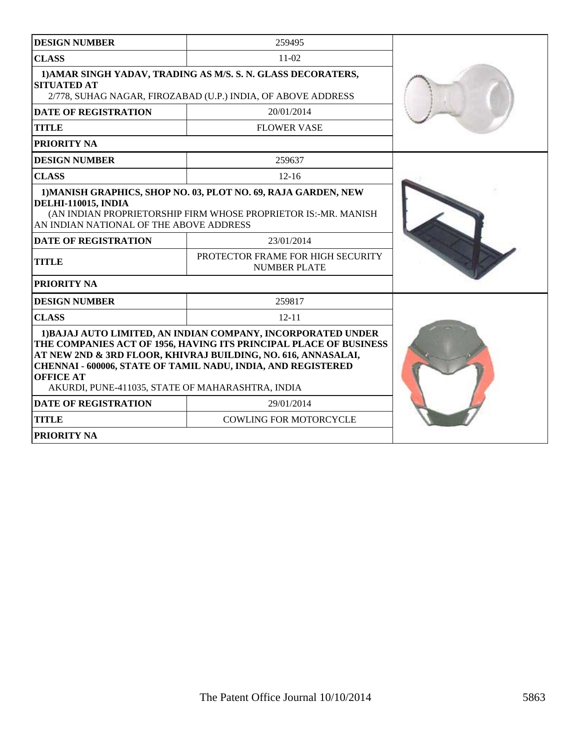| <b>DESIGN NUMBER</b>                                                                                                                                                                                                                                                                                                                                                      | 259495                                                                                                                           |  |  |
|---------------------------------------------------------------------------------------------------------------------------------------------------------------------------------------------------------------------------------------------------------------------------------------------------------------------------------------------------------------------------|----------------------------------------------------------------------------------------------------------------------------------|--|--|
| <b>CLASS</b>                                                                                                                                                                                                                                                                                                                                                              | $11-02$                                                                                                                          |  |  |
| 1) AMAR SINGH YADAV, TRADING AS M/S. S. N. GLASS DECORATERS,<br><b>SITUATED AT</b><br>2/778, SUHAG NAGAR, FIROZABAD (U.P.) INDIA, OF ABOVE ADDRESS                                                                                                                                                                                                                        |                                                                                                                                  |  |  |
| <b>DATE OF REGISTRATION</b>                                                                                                                                                                                                                                                                                                                                               | 20/01/2014                                                                                                                       |  |  |
| <b>TITLE</b>                                                                                                                                                                                                                                                                                                                                                              | <b>FLOWER VASE</b>                                                                                                               |  |  |
| <b>PRIORITY NA</b>                                                                                                                                                                                                                                                                                                                                                        |                                                                                                                                  |  |  |
| <b>DESIGN NUMBER</b>                                                                                                                                                                                                                                                                                                                                                      | 259637                                                                                                                           |  |  |
| <b>CLASS</b>                                                                                                                                                                                                                                                                                                                                                              | $12 - 16$                                                                                                                        |  |  |
| <b>DELHI-110015, INDIA</b><br>AN INDIAN NATIONAL OF THE ABOVE ADDRESS                                                                                                                                                                                                                                                                                                     | 1) MANISH GRAPHICS, SHOP NO. 03, PLOT NO. 69, RAJA GARDEN, NEW<br>(AN INDIAN PROPRIETORSHIP FIRM WHOSE PROPRIETOR IS:-MR. MANISH |  |  |
| <b>DATE OF REGISTRATION</b>                                                                                                                                                                                                                                                                                                                                               | 23/01/2014                                                                                                                       |  |  |
| <b>TITLE</b>                                                                                                                                                                                                                                                                                                                                                              | PROTECTOR FRAME FOR HIGH SECURITY<br><b>NUMBER PLATE</b>                                                                         |  |  |
| <b>PRIORITY NA</b>                                                                                                                                                                                                                                                                                                                                                        |                                                                                                                                  |  |  |
| <b>DESIGN NUMBER</b>                                                                                                                                                                                                                                                                                                                                                      | 259817                                                                                                                           |  |  |
| <b>CLASS</b>                                                                                                                                                                                                                                                                                                                                                              | $12 - 11$                                                                                                                        |  |  |
| 1) BAJAJ AUTO LIMITED, AN INDIAN COMPANY, INCORPORATED UNDER<br>THE COMPANIES ACT OF 1956, HAVING ITS PRINCIPAL PLACE OF BUSINESS<br>AT NEW 2ND & 3RD FLOOR, KHIVRAJ BUILDING, NO. 616, ANNASALAI,<br>CHENNAI - 600006, STATE OF TAMIL NADU, INDIA, AND REGISTERED<br><b>OFFICE AT</b><br>AKURDI, PUNE-411035, STATE OF MAHARASHTRA, INDIA<br><b>DATE OF REGISTRATION</b> |                                                                                                                                  |  |  |
| <b>TITLE</b>                                                                                                                                                                                                                                                                                                                                                              | 29/01/2014<br><b>COWLING FOR MOTORCYCLE</b>                                                                                      |  |  |
| <b>PRIORITY NA</b>                                                                                                                                                                                                                                                                                                                                                        |                                                                                                                                  |  |  |
|                                                                                                                                                                                                                                                                                                                                                                           |                                                                                                                                  |  |  |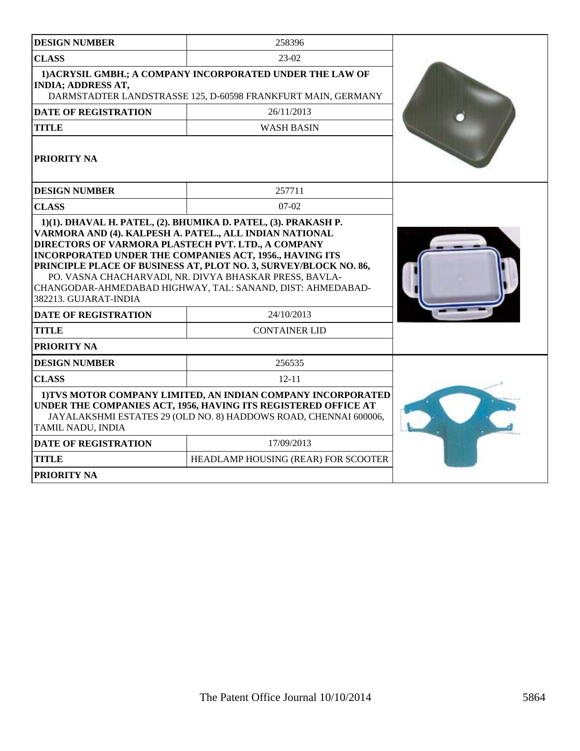| <b>DESIGN NUMBER</b>                                                                                                                                                                                                                                                                                                                                                                                                                         | 258396                              |  |
|----------------------------------------------------------------------------------------------------------------------------------------------------------------------------------------------------------------------------------------------------------------------------------------------------------------------------------------------------------------------------------------------------------------------------------------------|-------------------------------------|--|
| <b>CLASS</b>                                                                                                                                                                                                                                                                                                                                                                                                                                 | 23-02                               |  |
| 1) ACRYSIL GMBH.; A COMPANY INCORPORATED UNDER THE LAW OF<br><b>INDIA; ADDRESS AT,</b><br>DARMSTADTER LANDSTRASSE 125, D-60598 FRANKFURT MAIN, GERMANY                                                                                                                                                                                                                                                                                       |                                     |  |
| <b>DATE OF REGISTRATION</b>                                                                                                                                                                                                                                                                                                                                                                                                                  | 26/11/2013                          |  |
| <b>TITLE</b>                                                                                                                                                                                                                                                                                                                                                                                                                                 | <b>WASH BASIN</b>                   |  |
| <b>PRIORITY NA</b>                                                                                                                                                                                                                                                                                                                                                                                                                           |                                     |  |
| <b>DESIGN NUMBER</b>                                                                                                                                                                                                                                                                                                                                                                                                                         | 257711                              |  |
| <b>CLASS</b>                                                                                                                                                                                                                                                                                                                                                                                                                                 | $07-02$                             |  |
| VARMORA AND (4). KALPESH A. PATEL., ALL INDIAN NATIONAL<br>DIRECTORS OF VARMORA PLASTECH PVT. LTD., A COMPANY<br>INCORPORATED UNDER THE COMPANIES ACT, 1956., HAVING ITS<br>PRINCIPLE PLACE OF BUSINESS AT, PLOT NO. 3, SURVEY/BLOCK NO. 86,<br>PO. VASNA CHACHARVADI, NR. DIVYA BHASKAR PRESS, BAVLA-<br>CHANGODAR-AHMEDABAD HIGHWAY, TAL: SANAND, DIST: AHMEDABAD-<br>382213. GUJARAT-INDIA<br><b>DATE OF REGISTRATION</b><br><b>TITLE</b> |                                     |  |
| PRIORITY NA                                                                                                                                                                                                                                                                                                                                                                                                                                  |                                     |  |
| <b>DESIGN NUMBER</b>                                                                                                                                                                                                                                                                                                                                                                                                                         | 256535                              |  |
| <b>CLASS</b>                                                                                                                                                                                                                                                                                                                                                                                                                                 |                                     |  |
| 1) TVS MOTOR COMPANY LIMITED, AN INDIAN COMPANY INCORPORATED<br>UNDER THE COMPANIES ACT, 1956, HAVING ITS REGISTERED OFFICE AT<br>JAYALAKSHMI ESTATES 29 (OLD NO. 8) HADDOWS ROAD, CHENNAI 600006,<br>TAMIL NADU, INDIA                                                                                                                                                                                                                      |                                     |  |
| <b>DATE OF REGISTRATION</b>                                                                                                                                                                                                                                                                                                                                                                                                                  | 17/09/2013                          |  |
| <b>TITLE</b>                                                                                                                                                                                                                                                                                                                                                                                                                                 | HEADLAMP HOUSING (REAR) FOR SCOOTER |  |
| <b>PRIORITY NA</b>                                                                                                                                                                                                                                                                                                                                                                                                                           |                                     |  |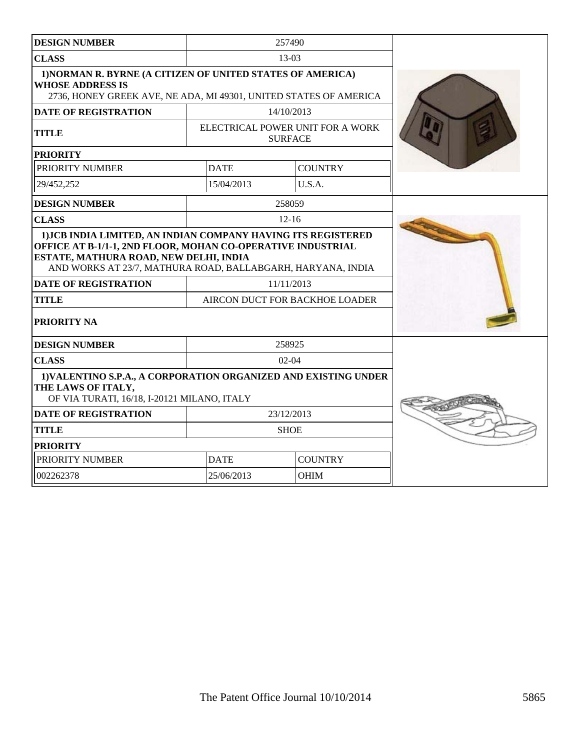| <b>DESIGN NUMBER</b>                                                                                                                                                                                                               |             | 257490                                             |  |
|------------------------------------------------------------------------------------------------------------------------------------------------------------------------------------------------------------------------------------|-------------|----------------------------------------------------|--|
| <b>CLASS</b>                                                                                                                                                                                                                       |             | $13-03$                                            |  |
| 1) NORMAN R. BYRNE (A CITIZEN OF UNITED STATES OF AMERICA)<br><b>WHOSE ADDRESS IS</b><br>2736, HONEY GREEK AVE, NE ADA, MI 49301, UNITED STATES OF AMERICA                                                                         |             |                                                    |  |
| <b>DATE OF REGISTRATION</b>                                                                                                                                                                                                        |             | 14/10/2013                                         |  |
| <b>TITLE</b>                                                                                                                                                                                                                       |             | ELECTRICAL POWER UNIT FOR A WORK<br><b>SURFACE</b> |  |
| <b>PRIORITY</b>                                                                                                                                                                                                                    |             |                                                    |  |
| PRIORITY NUMBER                                                                                                                                                                                                                    | <b>DATE</b> | <b>COUNTRY</b>                                     |  |
| 29/452,252                                                                                                                                                                                                                         | 15/04/2013  | U.S.A.                                             |  |
| <b>DESIGN NUMBER</b>                                                                                                                                                                                                               |             | 258059                                             |  |
| <b>CLASS</b>                                                                                                                                                                                                                       |             | $12 - 16$                                          |  |
| OFFICE AT B-1/1-1, 2ND FLOOR, MOHAN CO-OPERATIVE INDUSTRIAL<br>ESTATE, MATHURA ROAD, NEW DELHI, INDIA<br>AND WORKS AT 23/7, MATHURA ROAD, BALLABGARH, HARYANA, INDIA<br><b>DATE OF REGISTRATION</b><br><b>TITLE</b><br>PRIORITY NA |             | 11/11/2013<br>AIRCON DUCT FOR BACKHOE LOADER       |  |
| <b>DESIGN NUMBER</b>                                                                                                                                                                                                               |             | 258925                                             |  |
| <b>CLASS</b>                                                                                                                                                                                                                       |             | $02-04$                                            |  |
| 1) VALENTINO S.P.A., A CORPORATION ORGANIZED AND EXISTING UNDER<br>THE LAWS OF ITALY,<br>OF VIA TURATI, 16/18, I-20121 MILANO, ITALY                                                                                               |             |                                                    |  |
| <b>DATE OF REGISTRATION</b>                                                                                                                                                                                                        |             | 23/12/2013                                         |  |
| <b>TITLE</b>                                                                                                                                                                                                                       |             | <b>SHOE</b>                                        |  |
| <b>PRIORITY</b>                                                                                                                                                                                                                    |             |                                                    |  |
| PRIORITY NUMBER                                                                                                                                                                                                                    | <b>DATE</b> | <b>COUNTRY</b>                                     |  |
| 002262378                                                                                                                                                                                                                          | 25/06/2013  | <b>OHIM</b>                                        |  |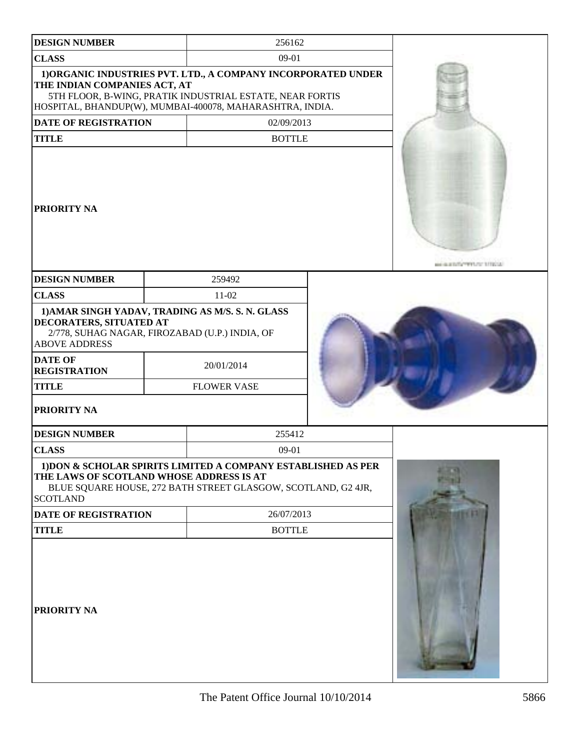| <b>DESIGN NUMBER</b>                                                                                                                                                                                                                 | 256162                                                                                                                                                                                |                                             |
|--------------------------------------------------------------------------------------------------------------------------------------------------------------------------------------------------------------------------------------|---------------------------------------------------------------------------------------------------------------------------------------------------------------------------------------|---------------------------------------------|
| <b>CLASS</b>                                                                                                                                                                                                                         | 09-01                                                                                                                                                                                 |                                             |
| THE INDIAN COMPANIES ACT, AT                                                                                                                                                                                                         | 1) ORGANIC INDUSTRIES PVT. LTD., A COMPANY INCORPORATED UNDER<br>5TH FLOOR, B-WING, PRATIK INDUSTRIAL ESTATE, NEAR FORTIS<br>HOSPITAL, BHANDUP(W), MUMBAI-400078, MAHARASHTRA, INDIA. |                                             |
| DATE OF REGISTRATION                                                                                                                                                                                                                 | 02/09/2013                                                                                                                                                                            |                                             |
| <b>TITLE</b>                                                                                                                                                                                                                         | <b>BOTTLE</b>                                                                                                                                                                         |                                             |
| <b>PRIORITY NA</b>                                                                                                                                                                                                                   |                                                                                                                                                                                       | <b>AND REAL PROPERTY OF A REAL PROPERTY</b> |
| <b>DESIGN NUMBER</b>                                                                                                                                                                                                                 | 259492                                                                                                                                                                                |                                             |
| <b>CLASS</b>                                                                                                                                                                                                                         | $11-02$                                                                                                                                                                               |                                             |
| 1) AMAR SINGH YADAV, TRADING AS M/S. S. N. GLASS<br>DECORATERS, SITUATED AT<br>2/778, SUHAG NAGAR, FIROZABAD (U.P.) INDIA, OF<br><b>ABOVE ADDRESS</b><br><b>DATE OF</b><br><b>REGISTRATION</b><br><b>TITLE</b><br><b>PRIORITY NA</b> | 20/01/2014<br><b>FLOWER VASE</b>                                                                                                                                                      |                                             |
| <b>DESIGN NUMBER</b>                                                                                                                                                                                                                 | 255412                                                                                                                                                                                |                                             |
| <b>CLASS</b>                                                                                                                                                                                                                         | 09-01                                                                                                                                                                                 |                                             |
| THE LAWS OF SCOTLAND WHOSE ADDRESS IS AT<br><b>SCOTLAND</b>                                                                                                                                                                          | 1) DON & SCHOLAR SPIRITS LIMITED A COMPANY ESTABLISHED AS PER<br>BLUE SQUARE HOUSE, 272 BATH STREET GLASGOW, SCOTLAND, G2 4JR,                                                        |                                             |
| <b>DATE OF REGISTRATION</b>                                                                                                                                                                                                          | 26/07/2013                                                                                                                                                                            |                                             |
| <b>TITLE</b>                                                                                                                                                                                                                         | <b>BOTTLE</b>                                                                                                                                                                         |                                             |
| <b>PRIORITY NA</b>                                                                                                                                                                                                                   |                                                                                                                                                                                       |                                             |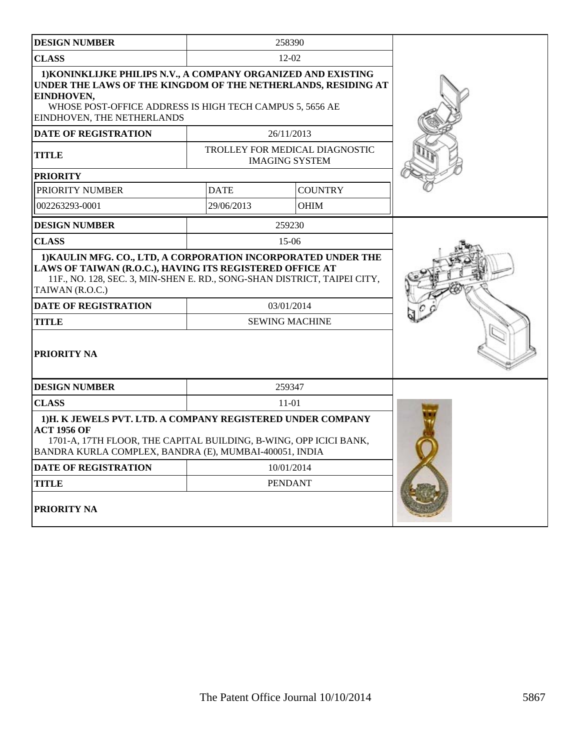| <b>DESIGN NUMBER</b>                                                                                                                                                                                                                                                                   |                                     | 258390                                                  |  |
|----------------------------------------------------------------------------------------------------------------------------------------------------------------------------------------------------------------------------------------------------------------------------------------|-------------------------------------|---------------------------------------------------------|--|
| <b>CLASS</b>                                                                                                                                                                                                                                                                           |                                     | $12 - 02$                                               |  |
| 1) KONINKLIJKE PHILIPS N.V., A COMPANY ORGANIZED AND EXISTING<br>UNDER THE LAWS OF THE KINGDOM OF THE NETHERLANDS, RESIDING AT<br>EINDHOVEN,<br>WHOSE POST-OFFICE ADDRESS IS HIGH TECH CAMPUS 5, 5656 AE<br>EINDHOVEN, THE NETHERLANDS                                                 |                                     |                                                         |  |
| <b>DATE OF REGISTRATION</b>                                                                                                                                                                                                                                                            |                                     | 26/11/2013                                              |  |
| <b>TITLE</b>                                                                                                                                                                                                                                                                           |                                     | TROLLEY FOR MEDICAL DIAGNOSTIC<br><b>IMAGING SYSTEM</b> |  |
| <b>PRIORITY</b>                                                                                                                                                                                                                                                                        |                                     |                                                         |  |
| PRIORITY NUMBER                                                                                                                                                                                                                                                                        | <b>DATE</b>                         | <b>COUNTRY</b>                                          |  |
| 002263293-0001                                                                                                                                                                                                                                                                         | 29/06/2013                          | OHIM                                                    |  |
| <b>DESIGN NUMBER</b>                                                                                                                                                                                                                                                                   |                                     | 259230                                                  |  |
| <b>CLASS</b>                                                                                                                                                                                                                                                                           |                                     | $15-06$                                                 |  |
| 1) KAULIN MFG. CO., LTD, A CORPORATION INCORPORATED UNDER THE<br>LAWS OF TAIWAN (R.O.C.), HAVING ITS REGISTERED OFFICE AT<br>11F., NO. 128, SEC. 3, MIN-SHEN E. RD., SONG-SHAN DISTRICT, TAIPEI CITY,<br>TAIWAN (R.O.C.)<br><b>DATE OF REGISTRATION</b><br><b>TITLE</b><br>PRIORITY NA | 03/01/2014<br><b>SEWING MACHINE</b> |                                                         |  |
| <b>DESIGN NUMBER</b>                                                                                                                                                                                                                                                                   |                                     | 259347                                                  |  |
| <b>CLASS</b>                                                                                                                                                                                                                                                                           |                                     | $11-01$                                                 |  |
| 1)H. K JEWELS PVT. LTD. A COMPANY REGISTERED UNDER COMPANY<br><b>ACT 1956 OF</b><br>1701-A, 17TH FLOOR, THE CAPITAL BUILDING, B-WING, OPP ICICI BANK,<br>BANDRA KURLA COMPLEX, BANDRA (E), MUMBAI-400051, INDIA                                                                        |                                     |                                                         |  |
| <b>DATE OF REGISTRATION</b>                                                                                                                                                                                                                                                            |                                     | 10/01/2014                                              |  |
| <b>TITLE</b>                                                                                                                                                                                                                                                                           |                                     | <b>PENDANT</b>                                          |  |
| PRIORITY NA                                                                                                                                                                                                                                                                            |                                     |                                                         |  |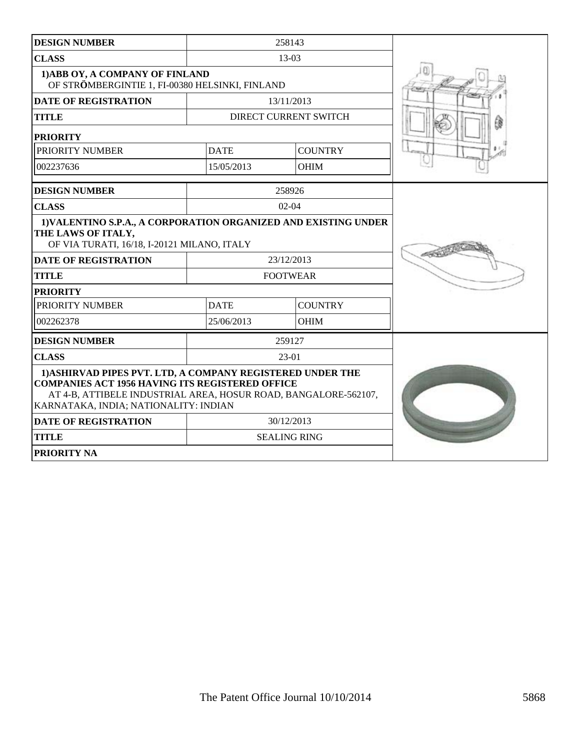| <b>DESIGN NUMBER</b>                                                                                                                                                                                                             |             | 258143                |  |
|----------------------------------------------------------------------------------------------------------------------------------------------------------------------------------------------------------------------------------|-------------|-----------------------|--|
| <b>CLASS</b>                                                                                                                                                                                                                     |             | 13-03                 |  |
| 1) ABB OY, A COMPANY OF FINLAND<br>OF STRÖMBERGINTIE 1, FI-00380 HELSINKI, FINLAND                                                                                                                                               |             |                       |  |
| <b>DATE OF REGISTRATION</b>                                                                                                                                                                                                      |             | 13/11/2013            |  |
| <b>TITLE</b>                                                                                                                                                                                                                     |             | DIRECT CURRENT SWITCH |  |
| <b>PRIORITY</b>                                                                                                                                                                                                                  |             |                       |  |
| PRIORITY NUMBER                                                                                                                                                                                                                  | <b>DATE</b> | <b>COUNTRY</b>        |  |
| 002237636                                                                                                                                                                                                                        | 15/05/2013  | <b>OHIM</b>           |  |
| <b>DESIGN NUMBER</b>                                                                                                                                                                                                             |             | 258926                |  |
| <b>CLASS</b>                                                                                                                                                                                                                     |             | $02-04$               |  |
| 1) VALENTINO S.P.A., A CORPORATION ORGANIZED AND EXISTING UNDER<br>THE LAWS OF ITALY,<br>OF VIA TURATI, 16/18, I-20121 MILANO, ITALY                                                                                             |             |                       |  |
| <b>DATE OF REGISTRATION</b>                                                                                                                                                                                                      |             | 23/12/2013            |  |
| <b>TITLE</b>                                                                                                                                                                                                                     |             | <b>FOOTWEAR</b>       |  |
| <b>PRIORITY</b>                                                                                                                                                                                                                  |             |                       |  |
| PRIORITY NUMBER                                                                                                                                                                                                                  | <b>DATE</b> | <b>COUNTRY</b>        |  |
| 002262378                                                                                                                                                                                                                        | 25/06/2013  | <b>OHIM</b>           |  |
| <b>DESIGN NUMBER</b>                                                                                                                                                                                                             |             | 259127                |  |
| <b>CLASS</b>                                                                                                                                                                                                                     |             | 23-01                 |  |
| 1) ASHIRVAD PIPES PVT. LTD, A COMPANY REGISTERED UNDER THE<br><b>COMPANIES ACT 1956 HAVING ITS REGISTERED OFFICE</b><br>AT 4-B, ATTIBELE INDUSTRIAL AREA, HOSUR ROAD, BANGALORE-562107,<br>KARNATAKA, INDIA; NATIONALITY: INDIAN |             |                       |  |
| <b>DATE OF REGISTRATION</b>                                                                                                                                                                                                      |             | 30/12/2013            |  |
| <b>TITLE</b>                                                                                                                                                                                                                     |             | <b>SEALING RING</b>   |  |
| <b>PRIORITY NA</b>                                                                                                                                                                                                               |             |                       |  |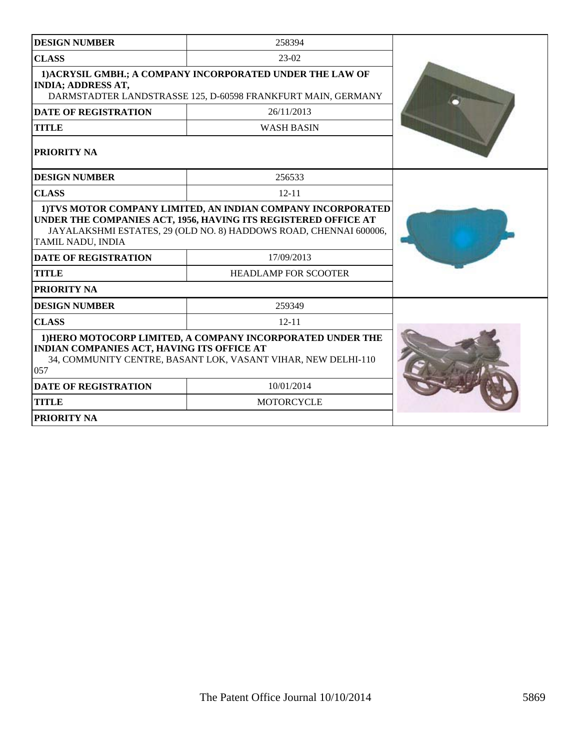| <b>DESIGN NUMBER</b>                                                                                                                                                                                                     | 258394                      |  |
|--------------------------------------------------------------------------------------------------------------------------------------------------------------------------------------------------------------------------|-----------------------------|--|
| <b>CLASS</b>                                                                                                                                                                                                             | $23-02$                     |  |
| 1) ACRYSIL GMBH.; A COMPANY INCORPORATED UNDER THE LAW OF<br><b>INDIA; ADDRESS AT,</b><br>DARMSTADTER LANDSTRASSE 125, D-60598 FRANKFURT MAIN, GERMANY                                                                   |                             |  |
| <b>DATE OF REGISTRATION</b>                                                                                                                                                                                              | 26/11/2013                  |  |
| <b>TITLE</b>                                                                                                                                                                                                             | <b>WASH BASIN</b>           |  |
| PRIORITY NA                                                                                                                                                                                                              |                             |  |
| <b>DESIGN NUMBER</b>                                                                                                                                                                                                     | 256533                      |  |
| <b>CLASS</b>                                                                                                                                                                                                             | $12 - 11$                   |  |
| 1) TVS MOTOR COMPANY LIMITED, AN INDIAN COMPANY INCORPORATED<br>UNDER THE COMPANIES ACT, 1956, HAVING ITS REGISTERED OFFICE AT<br>JAYALAKSHMI ESTATES, 29 (OLD NO. 8) HADDOWS ROAD, CHENNAI 600006,<br>TAMIL NADU, INDIA |                             |  |
| <b>DATE OF REGISTRATION</b>                                                                                                                                                                                              | 17/09/2013                  |  |
| <b>TITLE</b>                                                                                                                                                                                                             | <b>HEADLAMP FOR SCOOTER</b> |  |
| PRIORITY NA                                                                                                                                                                                                              |                             |  |
| <b>DESIGN NUMBER</b>                                                                                                                                                                                                     | 259349                      |  |
| <b>CLASS</b>                                                                                                                                                                                                             | $12 - 11$                   |  |
| 1) HERO MOTOCORP LIMITED, A COMPANY INCORPORATED UNDER THE<br><b>INDIAN COMPANIES ACT, HAVING ITS OFFICE AT</b><br>34, COMMUNITY CENTRE, BASANT LOK, VASANT VIHAR, NEW DELHI-110<br>057                                  |                             |  |
| <b>DATE OF REGISTRATION</b>                                                                                                                                                                                              | 10/01/2014                  |  |
| <b>TITLE</b>                                                                                                                                                                                                             | <b>MOTORCYCLE</b>           |  |
| <b>PRIORITY NA</b>                                                                                                                                                                                                       |                             |  |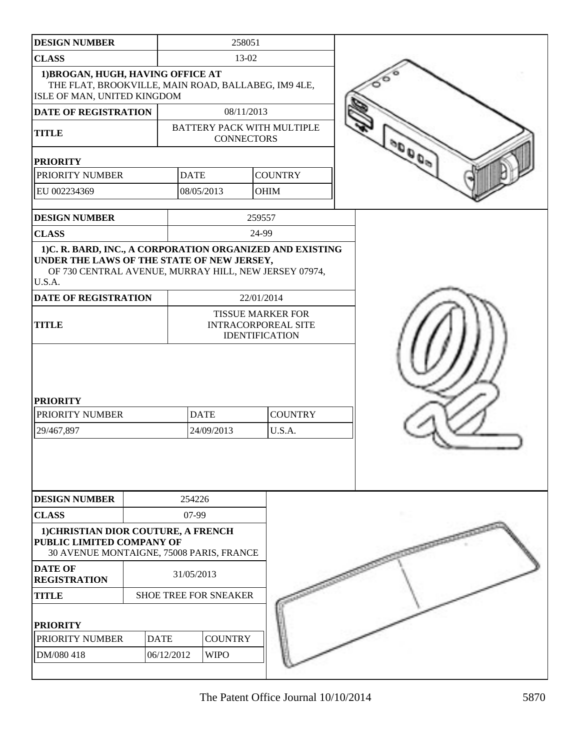| <b>DESIGN NUMBER</b>                                                                                                                                                                                     |             |                                   | 258051            |                |  |
|----------------------------------------------------------------------------------------------------------------------------------------------------------------------------------------------------------|-------------|-----------------------------------|-------------------|----------------|--|
| <b>CLASS</b>                                                                                                                                                                                             |             | 13-02                             |                   |                |  |
| 1) BROGAN, HUGH, HAVING OFFICE AT<br>THE FLAT, BROOKVILLE, MAIN ROAD, BALLABEG, IM9 4LE,<br>ISLE OF MAN, UNITED KINGDOM                                                                                  |             |                                   |                   |                |  |
| <b>DATE OF REGISTRATION</b>                                                                                                                                                                              |             | 08/11/2013                        |                   |                |  |
| <b>TITLE</b>                                                                                                                                                                                             |             | <b>BATTERY PACK WITH MULTIPLE</b> | <b>CONNECTORS</b> |                |  |
| <b>PRIORITY</b>                                                                                                                                                                                          |             |                                   |                   |                |  |
| PRIORITY NUMBER                                                                                                                                                                                          |             | <b>DATE</b>                       |                   | <b>COUNTRY</b> |  |
| EU 002234369                                                                                                                                                                                             |             | 08/05/2013                        |                   | <b>OHIM</b>    |  |
| <b>DESIGN NUMBER</b>                                                                                                                                                                                     |             |                                   | 259557            |                |  |
| <b>CLASS</b>                                                                                                                                                                                             |             |                                   | 24-99             |                |  |
| 1)C. R. BARD, INC., A CORPORATION ORGANIZED AND EXISTING<br>UNDER THE LAWS OF THE STATE OF NEW JERSEY,<br>OF 730 CENTRAL AVENUE, MURRAY HILL, NEW JERSEY 07974,<br>U.S.A.<br><b>DATE OF REGISTRATION</b> |             |                                   | 22/01/2014        |                |  |
|                                                                                                                                                                                                          |             |                                   |                   |                |  |
| <b>TISSUE MARKER FOR</b><br><b>TITLE</b><br><b>INTRACORPOREAL SITE</b><br><b>IDENTIFICATION</b>                                                                                                          |             |                                   |                   |                |  |
| <b>PRIORITY</b><br>PRIORITY NUMBER                                                                                                                                                                       |             | <b>DATE</b>                       |                   | <b>COUNTRY</b> |  |
| 29/467,897                                                                                                                                                                                               |             | 24/09/2013                        |                   | U.S.A.         |  |
| <b>DESIGN NUMBER</b>                                                                                                                                                                                     |             |                                   |                   |                |  |
|                                                                                                                                                                                                          |             | 254226                            |                   |                |  |
| <b>CLASS</b><br>1) CHRISTIAN DIOR COUTURE, A FRENCH<br>PUBLIC LIMITED COMPANY OF<br>30 AVENUE MONTAIGNE, 75008 PARIS, FRANCE                                                                             |             | 07-99                             |                   |                |  |
| <b>DATE OF</b><br><b>REGISTRATION</b>                                                                                                                                                                    |             | 31/05/2013                        |                   |                |  |
| <b>TITLE</b>                                                                                                                                                                                             |             | <b>SHOE TREE FOR SNEAKER</b>      |                   |                |  |
| <b>PRIORITY</b>                                                                                                                                                                                          |             |                                   |                   |                |  |
| PRIORITY NUMBER                                                                                                                                                                                          | <b>DATE</b> | <b>COUNTRY</b>                    |                   |                |  |
| DM/080 418                                                                                                                                                                                               |             | 06/12/2012<br><b>WIPO</b>         |                   |                |  |